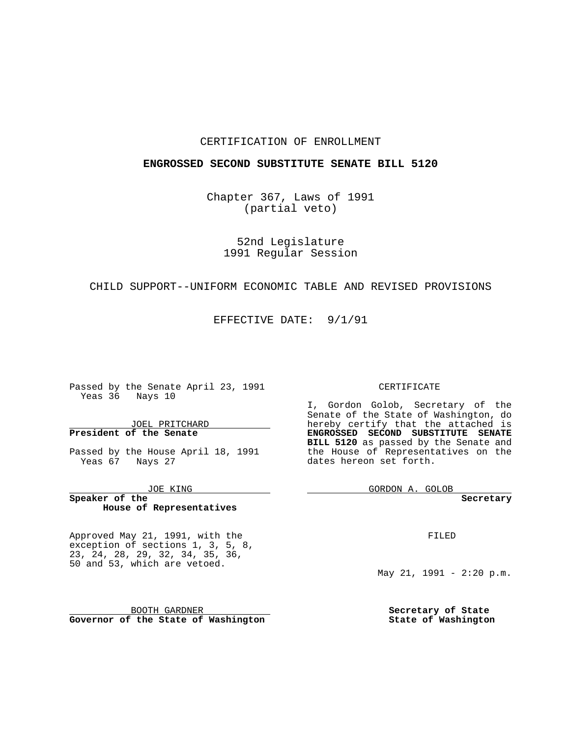#### CERTIFICATION OF ENROLLMENT

#### **ENGROSSED SECOND SUBSTITUTE SENATE BILL 5120**

Chapter 367, Laws of 1991 (partial veto)

52nd Legislature 1991 Regular Session

## CHILD SUPPORT--UNIFORM ECONOMIC TABLE AND REVISED PROVISIONS

EFFECTIVE DATE: 9/1/91

**Contract Contract** 

Passed by the Senate April 23, 1991 Yeas 36 Nays 10

JOEL PRITCHARD **President of the Senate**

Passed by the House April 18, 1991 Yeas 67 Nays 27

JOE KING

**Speaker of the House of Representatives**

Approved May 21, 1991, with the exception of sections 1, 3, 5, 8, 23, 24, 28, 29, 32, 34, 35, 36, 50 and 53, which are vetoed.

BOOTH GARDNER **Governor of the State of Washington**

#### CERTIFICATE

I, Gordon Golob, Secretary of the Senate of the State of Washington, do hereby certify that the attached is **ENGROSSED SECOND SUBSTITUTE SENATE BILL 5120** as passed by the Senate and the House of Representatives on the dates hereon set forth.

GORDON A. GOLOB

**Secretary**

FILED

May 21, 1991 - 2:20 p.m.

**Secretary of State State of Washington**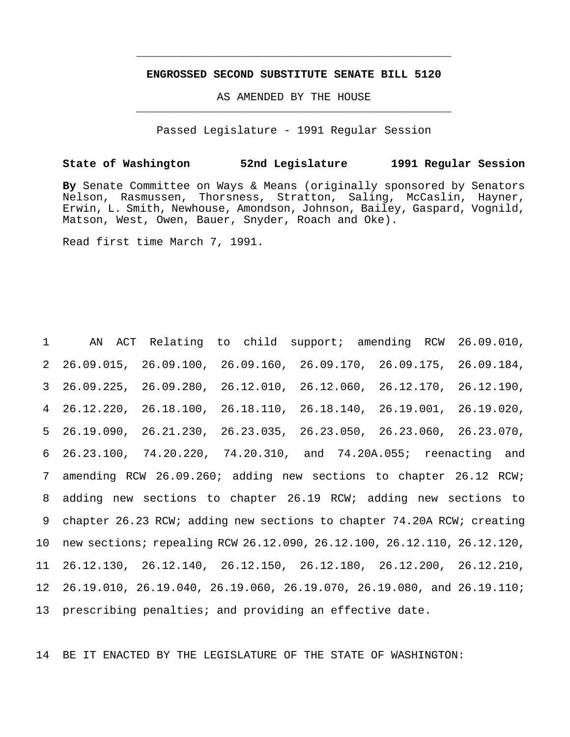### **ENGROSSED SECOND SUBSTITUTE SENATE BILL 5120**

\_\_\_\_\_\_\_\_\_\_\_\_\_\_\_\_\_\_\_\_\_\_\_\_\_\_\_\_\_\_\_\_\_\_\_\_\_\_\_\_\_\_\_\_\_\_\_

AS AMENDED BY THE HOUSE \_\_\_\_\_\_\_\_\_\_\_\_\_\_\_\_\_\_\_\_\_\_\_\_\_\_\_\_\_\_\_\_\_\_\_\_\_\_\_\_\_\_\_\_\_\_\_

Passed Legislature - 1991 Regular Session

### **State of Washington 52nd Legislature 1991 Regular Session**

**By** Senate Committee on Ways & Means (originally sponsored by Senators Nelson, Rasmussen, Thorsness, Stratton, Saling, McCaslin, Hayner, Erwin, L. Smith, Newhouse, Amondson, Johnson, Bailey, Gaspard, Vognild, Matson, West, Owen, Bauer, Snyder, Roach and Oke).

Read first time March 7, 1991.

 AN ACT Relating to child support; amending RCW 26.09.010, 26.09.015, 26.09.100, 26.09.160, 26.09.170, 26.09.175, 26.09.184, 26.09.225, 26.09.280, 26.12.010, 26.12.060, 26.12.170, 26.12.190, 26.12.220, 26.18.100, 26.18.110, 26.18.140, 26.19.001, 26.19.020, 26.19.090, 26.21.230, 26.23.035, 26.23.050, 26.23.060, 26.23.070, 26.23.100, 74.20.220, 74.20.310, and 74.20A.055; reenacting and amending RCW 26.09.260; adding new sections to chapter 26.12 RCW; adding new sections to chapter 26.19 RCW; adding new sections to chapter 26.23 RCW; adding new sections to chapter 74.20A RCW; creating new sections; repealing RCW 26.12.090, 26.12.100, 26.12.110, 26.12.120, 26.12.130, 26.12.140, 26.12.150, 26.12.180, 26.12.200, 26.12.210, 26.19.010, 26.19.040, 26.19.060, 26.19.070, 26.19.080, and 26.19.110; prescribing penalties; and providing an effective date.

14 BE IT ENACTED BY THE LEGISLATURE OF THE STATE OF WASHINGTON: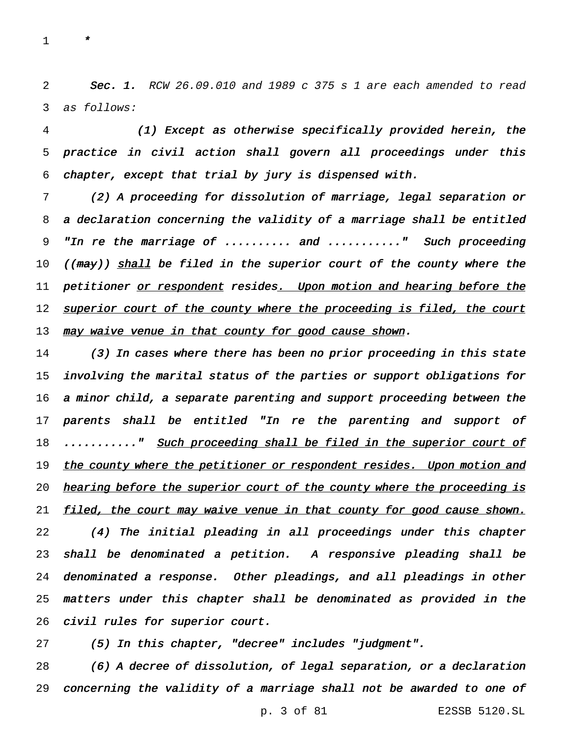\*

2 Sec. 1. RCW 26.09.010 and 1989 c 375 s 1 are each amended to read as follows:

 (1) Except as otherwise specifically provided herein, the practice in civil action shall govern all proceedings under this chapter, except that trial by jury is dispensed with.

 (2) <sup>A</sup> proceeding for dissolution of marriage, legal separation or <sup>a</sup> declaration concerning the validity of <sup>a</sup> marriage shall be entitled "In re the marriage of .......... and ..........." Such proceeding 10 ((may)) shall be filed in the superior court of the county where the 11 petitioner <u>or respondent</u> resides<u>. Upon motion and hearing before the</u> 12 superior court of the county where the proceeding is filed, the court 13 may waive venue in that county for good cause shown.

 (3) In cases where there has been no prior proceeding in this state involving the marital status of the parties or support obligations for <sup>a</sup> minor child, <sup>a</sup> separate parenting and support proceeding between the parents shall be entitled "In re the parenting and support of 18 ..........." Such proceeding shall be filed in the superior court of 19 the county where the petitioner or respondent resides. Upon motion and 20 hearing before the superior court of the county where the proceeding is 21 filed, the court may waive venue in that county for good cause shown. (4) The initial pleading in all proceedings under this chapter shall be denominated <sup>a</sup> petition. <sup>A</sup> responsive pleading shall be denominated <sup>a</sup> response. Other pleadings, and all pleadings in other matters under this chapter shall be denominated as provided in the civil rules for superior court.

(5) In this chapter, "decree" includes "judgment".

 (6) <sup>A</sup> decree of dissolution, of legal separation, or <sup>a</sup> declaration concerning the validity of <sup>a</sup> marriage shall not be awarded to one of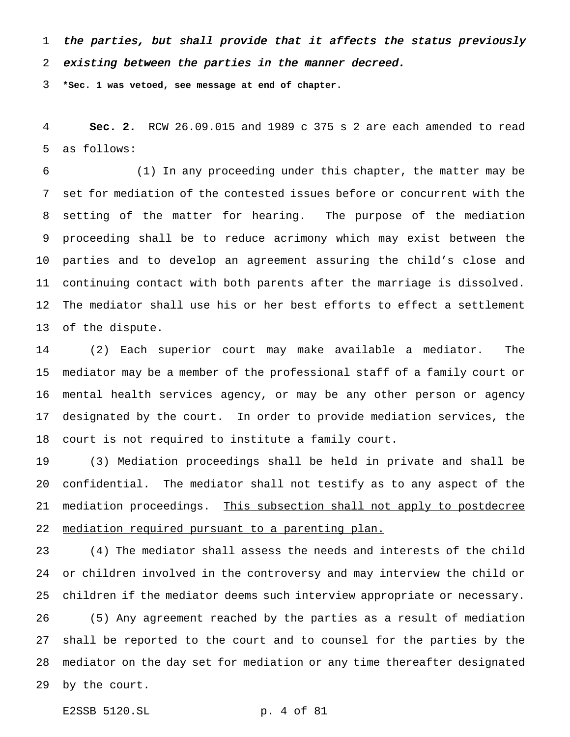the parties, but shall provide that it affects the status previously

existing between the parties in the manner decreed.

**\*Sec. 1 was vetoed, see message at end of chapter.**

 **Sec. 2.** RCW 26.09.015 and 1989 c 375 s 2 are each amended to read as follows:

 (1) In any proceeding under this chapter, the matter may be set for mediation of the contested issues before or concurrent with the setting of the matter for hearing. The purpose of the mediation proceeding shall be to reduce acrimony which may exist between the parties and to develop an agreement assuring the child's close and continuing contact with both parents after the marriage is dissolved. The mediator shall use his or her best efforts to effect a settlement of the dispute.

 (2) Each superior court may make available a mediator. The mediator may be a member of the professional staff of a family court or mental health services agency, or may be any other person or agency designated by the court. In order to provide mediation services, the court is not required to institute a family court.

 (3) Mediation proceedings shall be held in private and shall be confidential. The mediator shall not testify as to any aspect of the 21 mediation proceedings. This subsection shall not apply to postdecree mediation required pursuant to a parenting plan.

 (4) The mediator shall assess the needs and interests of the child or children involved in the controversy and may interview the child or children if the mediator deems such interview appropriate or necessary. (5) Any agreement reached by the parties as a result of mediation shall be reported to the court and to counsel for the parties by the mediator on the day set for mediation or any time thereafter designated by the court.

E2SSB 5120.SL p. 4 of 81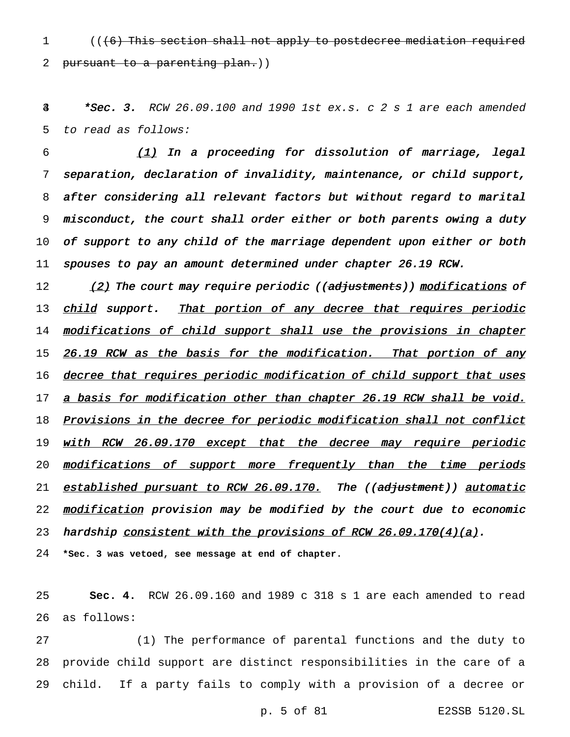1 (( $(6)$  This section shall not apply to postdecree mediation required 2 pursuant to a parenting plan.))

 $\frac{3}{4}$  \*Sec. 3. RCW 26.09.100 and 1990 1st ex.s. c 2 s 1 are each amended 5 to read as follows:

 (1) In a proceeding for dissolution of marriage, legal separation, declaration of invalidity, maintenance, or child support, after considering all relevant factors but without regard to marital misconduct, the court shall order either or both parents owing <sup>a</sup> duty 10 of support to any child of the marriage dependent upon either or both 11 spouses to pay an amount determined under chapter 26.19 RCW.

12 (2) The court may require periodic ((adjustments)) modifications of 13 child support. That portion of any decree that requires periodic 14 modifications of child support shall use the provisions in chapter 15 26.19 RCW as the basis for the modification. That portion of any 16 decree that requires periodic modification of child support that uses 17 a basis for modification other than chapter 26.19 RCW shall be void. 18 Provisions in the decree for periodic modification shall not conflict 19 with RCW 26.09.170 except that the decree may require periodic 20 modifications of support more frequently than the time periods 21 established pursuant to RCW 26.09.170. The ((adjustment)) automatic 22 modification provision may be modified by the court due to economic 23 hardship consistent with the provisions of RCW  $26.09.170(4)(a)$ .

24 **\*Sec. 3 was vetoed, see message at end of chapter.**

25 **Sec. 4.** RCW 26.09.160 and 1989 c 318 s 1 are each amended to read 26 as follows:

27 (1) The performance of parental functions and the duty to 28 provide child support are distinct responsibilities in the care of a 29 child. If a party fails to comply with a provision of a decree or

p. 5 of 81 E2SSB 5120.SL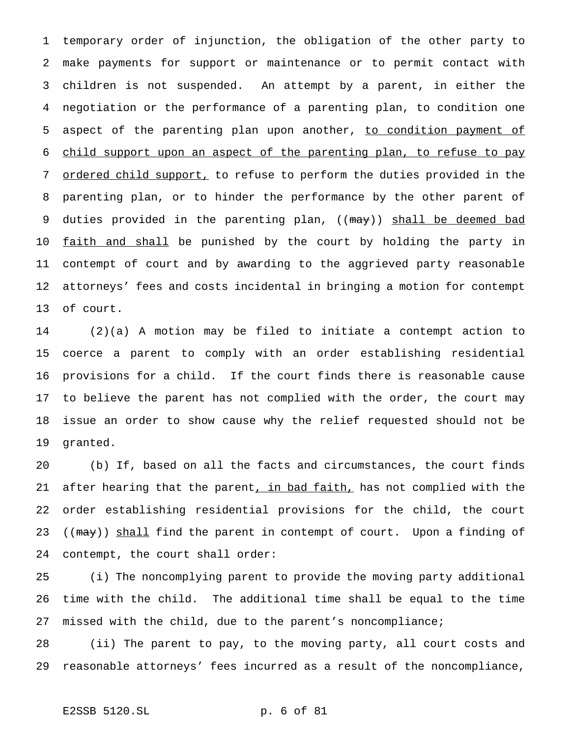temporary order of injunction, the obligation of the other party to make payments for support or maintenance or to permit contact with children is not suspended. An attempt by a parent, in either the negotiation or the performance of a parenting plan, to condition one 5 aspect of the parenting plan upon another, to condition payment of child support upon an aspect of the parenting plan, to refuse to pay ordered child support, to refuse to perform the duties provided in the parenting plan, or to hinder the performance by the other parent of 9 duties provided in the parenting plan, ((may)) shall be deemed bad 10 faith and shall be punished by the court by holding the party in contempt of court and by awarding to the aggrieved party reasonable attorneys' fees and costs incidental in bringing a motion for contempt of court.

 (2)(a) A motion may be filed to initiate a contempt action to coerce a parent to comply with an order establishing residential provisions for a child. If the court finds there is reasonable cause to believe the parent has not complied with the order, the court may issue an order to show cause why the relief requested should not be granted.

 (b) If, based on all the facts and circumstances, the court finds 21 after hearing that the parent, in bad faith, has not complied with the order establishing residential provisions for the child, the court 23 ((may)) shall find the parent in contempt of court. Upon a finding of contempt, the court shall order:

 (i) The noncomplying parent to provide the moving party additional time with the child. The additional time shall be equal to the time missed with the child, due to the parent's noncompliance;

 (ii) The parent to pay, to the moving party, all court costs and reasonable attorneys' fees incurred as a result of the noncompliance,

## E2SSB 5120.SL p. 6 of 81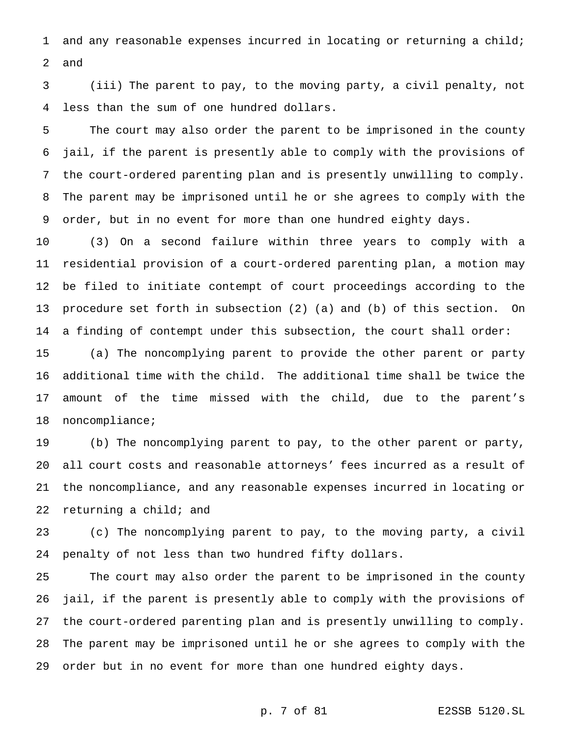and any reasonable expenses incurred in locating or returning a child; and

 (iii) The parent to pay, to the moving party, a civil penalty, not less than the sum of one hundred dollars.

 The court may also order the parent to be imprisoned in the county jail, if the parent is presently able to comply with the provisions of the court-ordered parenting plan and is presently unwilling to comply. The parent may be imprisoned until he or she agrees to comply with the order, but in no event for more than one hundred eighty days.

 (3) On a second failure within three years to comply with a residential provision of a court-ordered parenting plan, a motion may be filed to initiate contempt of court proceedings according to the procedure set forth in subsection (2) (a) and (b) of this section. On a finding of contempt under this subsection, the court shall order:

 (a) The noncomplying parent to provide the other parent or party additional time with the child. The additional time shall be twice the amount of the time missed with the child, due to the parent's noncompliance;

 (b) The noncomplying parent to pay, to the other parent or party, all court costs and reasonable attorneys' fees incurred as a result of the noncompliance, and any reasonable expenses incurred in locating or returning a child; and

 (c) The noncomplying parent to pay, to the moving party, a civil penalty of not less than two hundred fifty dollars.

 The court may also order the parent to be imprisoned in the county jail, if the parent is presently able to comply with the provisions of the court-ordered parenting plan and is presently unwilling to comply. The parent may be imprisoned until he or she agrees to comply with the order but in no event for more than one hundred eighty days.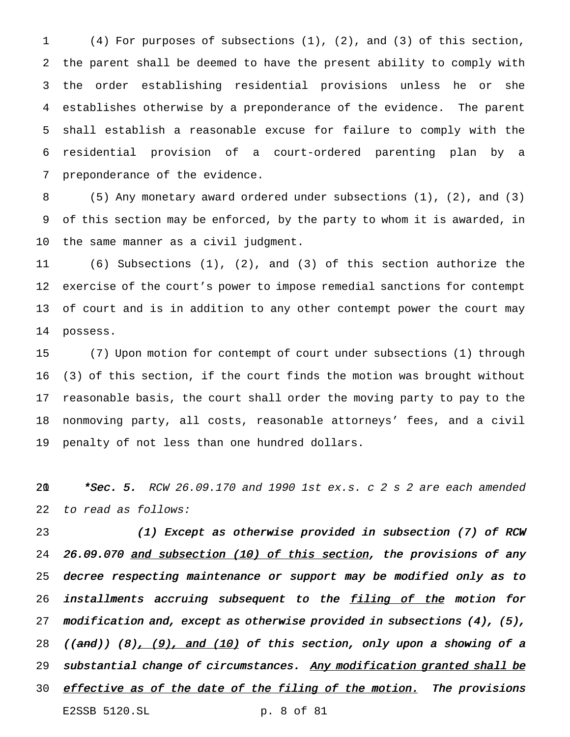(4) For purposes of subsections (1), (2), and (3) of this section, the parent shall be deemed to have the present ability to comply with the order establishing residential provisions unless he or she establishes otherwise by a preponderance of the evidence. The parent shall establish a reasonable excuse for failure to comply with the residential provision of a court-ordered parenting plan by a preponderance of the evidence.

 (5) Any monetary award ordered under subsections (1), (2), and (3) of this section may be enforced, by the party to whom it is awarded, in the same manner as a civil judgment.

 (6) Subsections (1), (2), and (3) of this section authorize the exercise of the court's power to impose remedial sanctions for contempt of court and is in addition to any other contempt power the court may possess.

 (7) Upon motion for contempt of court under subsections (1) through (3) of this section, if the court finds the motion was brought without reasonable basis, the court shall order the moving party to pay to the nonmoving party, all costs, reasonable attorneys' fees, and a civil penalty of not less than one hundred dollars.

20  $*Sec. 5. RCW 26.09.170$  and 1990 1st ex.s. c 2 s 2 are each amended to read as follows:

 (1) Except as otherwise provided in subsection (7) of RCW 26.09.070 and subsection (10) of this section, the provisions of any decree respecting maintenance or support may be modified only as to 26 installments accruing subsequent to the filing of the motion for 27 modification and, except as otherwise provided in subsections  $(4)$ ,  $(5)$ , 28 ((and)) (8),  $(9)$ , and (10) of this section, only upon a showing of a 29 substantial change of circumstances. Any modification granted shall be 30 effective as of the date of the filing of the motion. The provisions E2SSB 5120.SL p. 8 of 81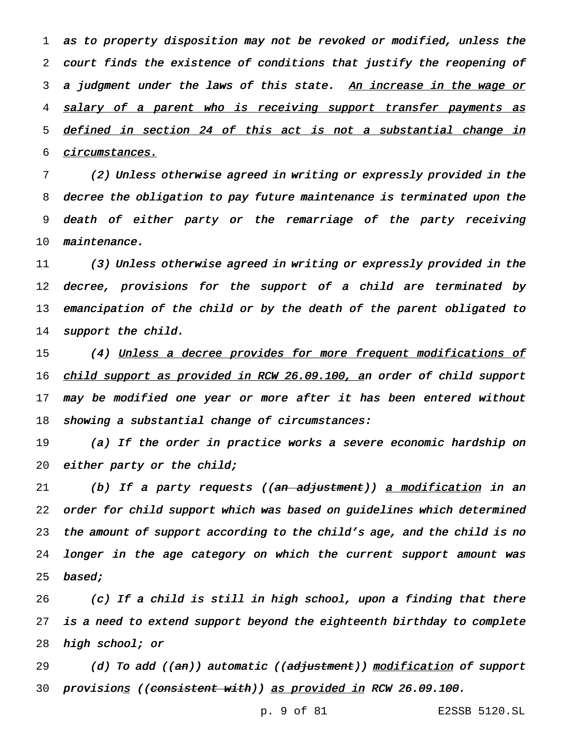as to property disposition may not be revoked or modified, unless the court finds the existence of conditions that justify the reopening of 3 a judgment under the laws of this state. An increase in the wage or 4 salary of a parent who is receiving support transfer payments as defined in section <sup>24</sup> of this act is not <sup>a</sup> substantial change in circumstances.

 (2) Unless otherwise agreed in writing or expressly provided in the decree the obligation to pay future maintenance is terminated upon the death of either party or the remarriage of the party receiving maintenance.

11 (3) Unless otherwise agreed in writing or expressly provided in the 12 decree, provisions for the support of a child are terminated by 13 emancipation of the child or by the death of the parent obligated to 14 support the child.

15 (4) Unless a decree provides for more frequent modifications of 16 child support as provided in RCW 26.09.100, an order of child support 17 may be modified one year or more after it has been entered without 18 showing a substantial change of circumstances:

19 (a) If the order in practice works <sup>a</sup> severe economic hardship on 20 either party or the child;

21 (b) If a party requests ((<del>an adjustment</del>)) <u>a modification</u> in an 22 order for child support which was based on guidelines which determined 23 the amount of support according to the child's age, and the child is no 24 longer in the age category on which the current support amount was 25 **based;** 

26 (c) If <sup>a</sup> child is still in high school, upon <sup>a</sup> finding that there 27 is <sup>a</sup> need to extend support beyond the eighteenth birthday to complete 28 high school; or

29 (d) To add ((an)) automatic ((adjustment)) modification of support 30 provisions ((consistent with)) as provided in RCW 26.09.100.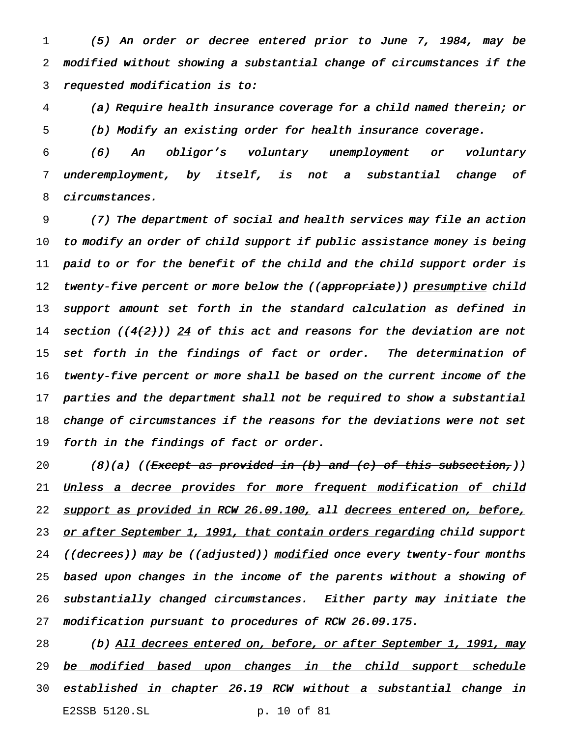1 (5) An order or decree entered prior to June 7, 1984, may be 2 modified without showing <sup>a</sup> substantial change of circumstances if the 3 requested modification is to:

4 (a) Require health insurance coverage for <sup>a</sup> child named therein; or 5 (b) Modify an existing order for health insurance coverage.

6 (6) An obligor's voluntary unemployment or voluntary 7 underemployment, by itself, is not <sup>a</sup> substantial change of 8 circumstances.

 (7) The department of social and health services may file an action to modify an order of child support if public assistance money is being paid to or for the benefit of the child and the child support order is 12 twenty-five percent or more below the ((appropriate)) presumptive child support amount set forth in the standard calculation as defined in 14 section (( $4(2)$ )) 24 of this act and reasons for the deviation are not 15 set forth in the findings of fact or order. The determination of twenty-five percent or more shall be based on the current income of the 17 parties and the department shall not be required to show a substantial change of circumstances if the reasons for the deviations were not set forth in the findings of fact or order.

20 (8)(a) ((Except as provided in (b) and (c) of this subsection,)) 21 Unless a decree provides for more frequent modification of child 22 support as provided in RCW 26.09.100, all decrees entered on, before, 23 or after September 1, 1991, that contain orders regarding child support 24 ((decrees)) may be ((ad<del>juste</del>d)) modified once every twenty-four months 25 based upon changes in the income of the parents without <sup>a</sup> showing of 26 substantially changed circumstances. Either party may initiate the 27 modification pursuant to procedures of RCW 26.09.175.

28 (b) All decrees entered on, before, or after September 1, 1991, may 29 be modified based upon changes in the child support schedule 30 established in chapter 26.19 RCW without a substantial change in E2SSB 5120.SL p. 10 of 81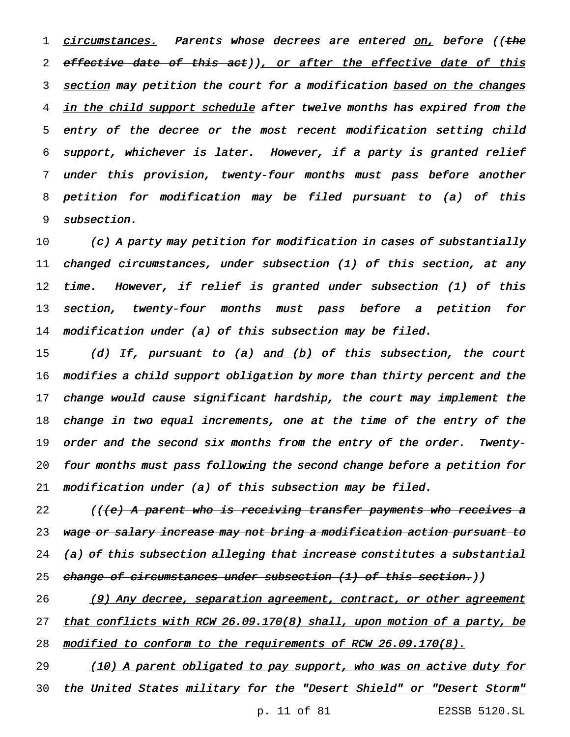1 circumstances. Parents whose decrees are entered on, before ((the 2 effective date of this act)), or after the effective date of this 3 section may petition the court for a modification based on the changes 4 in the child support schedule after twelve months has expired from the 5 entry of the decree or the most recent modification setting child 6 support, whichever is later. However, if <sup>a</sup> party is granted relief 7 under this provision, twenty-four months must pass before another 8 petition for modification may be filed pursuant to (a) of this 9 subsection.

 (c) <sup>A</sup> party may petition for modification in cases of substantially changed circumstances, under subsection (1) of this section, at any time. However, if relief is granted under subsection (1) of this section, twenty-four months must pass before <sup>a</sup> petition for modification under (a) of this subsection may be filed.

15 (d) If, pursuant to (a) and (b) of this subsection, the court modifies <sup>a</sup> child support obligation by more than thirty percent and the change would cause significant hardship, the court may implement the change in two equal increments, one at the time of the entry of the order and the second six months from the entry of the order. Twenty- four months must pass following the second change before <sup>a</sup> petition for modification under (a) of this subsection may be filed.

22 ((<del>(e) A parent who is receiving transfer payments who receives a</del> 23 wage or salary increase may not bring a modification action pursuant to 24 (a) of this subsection alleging that increase constitutes a substantial 25 change of circumstances under subsection (1) of this section.))

26 (9) Any decree, separation agreement, contract, or other agreement 27 that conflicts with RCW 26.09.170(8) shall, upon motion of a party, be 28 modified to conform to the requirements of RCW 26.09.170(8).

29 (10) A parent obligated to pay support, who was on active duty for 30 the United States military for the "Desert Shield" or "Desert Storm"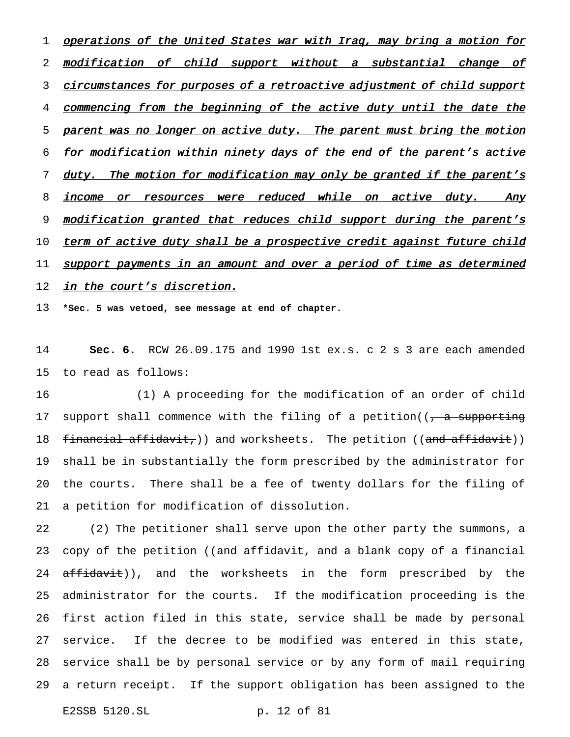1 operations of the United States war with Iraq, may bring a motion for 2 modification of child support without a substantial change of 3 circumstances for purposes of a retroactive adjustment of child support 4 commencing from the beginning of the active duty until the date the 5 parent was no longer on active duty. The parent must bring the motion 6 for modification within ninety days of the end of the parent's active 7 duty. The motion for modification may only be granted if the parent's 8 income or resources were reduced while on active duty. Any 9 modification granted that reduces child support during the parent's 10 term of active duty shall be a prospective credit against future child 11 support payments in an amount and over a period of time as determined 12 in the court's discretion.

13 **\*Sec. 5 was vetoed, see message at end of chapter.**

14 **Sec. 6.** RCW 26.09.175 and 1990 1st ex.s. c 2 s 3 are each amended 15 to read as follows:

 (1) A proceeding for the modification of an order of child 17 support shall commence with the filing of a petition((, a supporting 18 financial affidavit,)) and worksheets. The petition ((and affidavit)) shall be in substantially the form prescribed by the administrator for the courts. There shall be a fee of twenty dollars for the filing of a petition for modification of dissolution.

 (2) The petitioner shall serve upon the other party the summons, a 23 copy of the petition ((and affidavit, and a blank copy of a financial  $affidavit)$ , and the worksheets in the form prescribed by the administrator for the courts. If the modification proceeding is the first action filed in this state, service shall be made by personal service. If the decree to be modified was entered in this state, service shall be by personal service or by any form of mail requiring a return receipt. If the support obligation has been assigned to the

E2SSB 5120.SL p. 12 of 81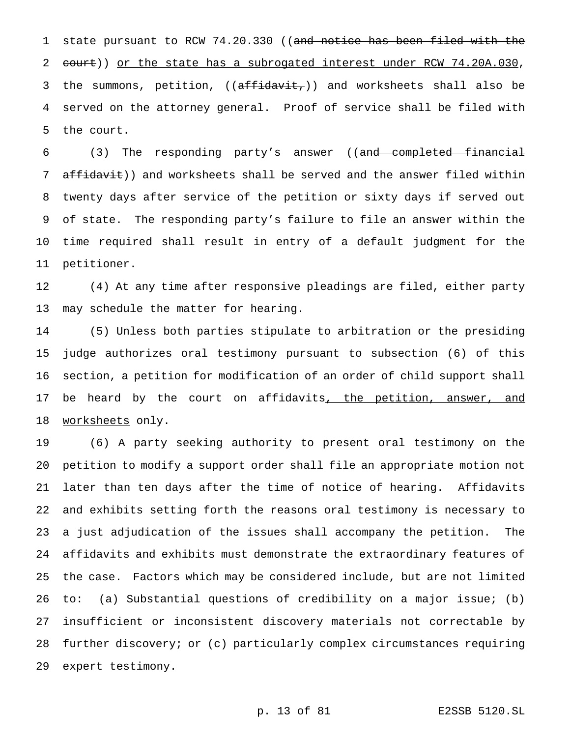state pursuant to RCW 74.20.330 ((and notice has been filed with the 2 court)) or the state has a subrogated interest under RCW 74.20A.030, 3 the summons, petition, ((affidavit,)) and worksheets shall also be served on the attorney general. Proof of service shall be filed with the court.

 (3) The responding party's answer ((and completed financial affidavit)) and worksheets shall be served and the answer filed within twenty days after service of the petition or sixty days if served out of state. The responding party's failure to file an answer within the time required shall result in entry of a default judgment for the petitioner.

 (4) At any time after responsive pleadings are filed, either party may schedule the matter for hearing.

 (5) Unless both parties stipulate to arbitration or the presiding judge authorizes oral testimony pursuant to subsection (6) of this section, a petition for modification of an order of child support shall 17 be heard by the court on affidavits, the petition, answer, and worksheets only.

 (6) A party seeking authority to present oral testimony on the petition to modify a support order shall file an appropriate motion not later than ten days after the time of notice of hearing. Affidavits and exhibits setting forth the reasons oral testimony is necessary to a just adjudication of the issues shall accompany the petition. The affidavits and exhibits must demonstrate the extraordinary features of the case. Factors which may be considered include, but are not limited to: (a) Substantial questions of credibility on a major issue; (b) insufficient or inconsistent discovery materials not correctable by further discovery; or (c) particularly complex circumstances requiring expert testimony.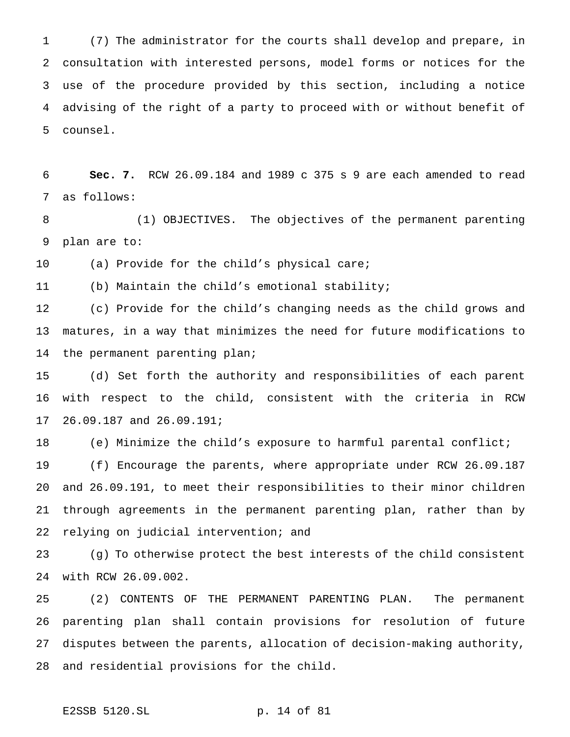(7) The administrator for the courts shall develop and prepare, in consultation with interested persons, model forms or notices for the use of the procedure provided by this section, including a notice advising of the right of a party to proceed with or without benefit of counsel.

 **Sec. 7.** RCW 26.09.184 and 1989 c 375 s 9 are each amended to read as follows:

 (1) OBJECTIVES. The objectives of the permanent parenting plan are to:

(a) Provide for the child's physical care;

(b) Maintain the child's emotional stability;

 (c) Provide for the child's changing needs as the child grows and matures, in a way that minimizes the need for future modifications to the permanent parenting plan;

 (d) Set forth the authority and responsibilities of each parent with respect to the child, consistent with the criteria in RCW 26.09.187 and 26.09.191;

(e) Minimize the child's exposure to harmful parental conflict;

 (f) Encourage the parents, where appropriate under RCW 26.09.187 and 26.09.191, to meet their responsibilities to their minor children through agreements in the permanent parenting plan, rather than by relying on judicial intervention; and

 (g) To otherwise protect the best interests of the child consistent with RCW 26.09.002.

 (2) CONTENTS OF THE PERMANENT PARENTING PLAN. The permanent parenting plan shall contain provisions for resolution of future disputes between the parents, allocation of decision-making authority, and residential provisions for the child.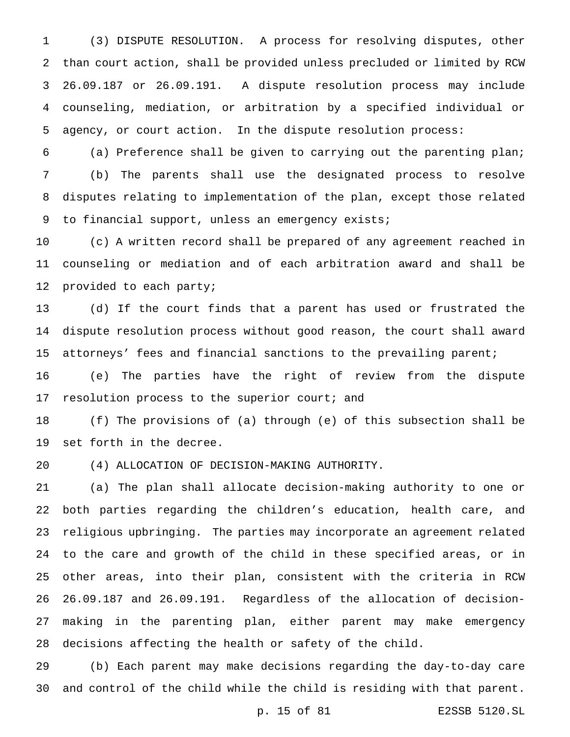(3) DISPUTE RESOLUTION. A process for resolving disputes, other than court action, shall be provided unless precluded or limited by RCW 26.09.187 or 26.09.191. A dispute resolution process may include counseling, mediation, or arbitration by a specified individual or agency, or court action. In the dispute resolution process:

 (a) Preference shall be given to carrying out the parenting plan; (b) The parents shall use the designated process to resolve disputes relating to implementation of the plan, except those related to financial support, unless an emergency exists;

 (c) A written record shall be prepared of any agreement reached in counseling or mediation and of each arbitration award and shall be provided to each party;

 (d) If the court finds that a parent has used or frustrated the dispute resolution process without good reason, the court shall award attorneys' fees and financial sanctions to the prevailing parent;

 (e) The parties have the right of review from the dispute 17 resolution process to the superior court; and

 (f) The provisions of (a) through (e) of this subsection shall be set forth in the decree.

(4) ALLOCATION OF DECISION-MAKING AUTHORITY.

 (a) The plan shall allocate decision-making authority to one or both parties regarding the children's education, health care, and religious upbringing. The parties may incorporate an agreement related to the care and growth of the child in these specified areas, or in other areas, into their plan, consistent with the criteria in RCW 26.09.187 and 26.09.191. Regardless of the allocation of decision- making in the parenting plan, either parent may make emergency decisions affecting the health or safety of the child.

 (b) Each parent may make decisions regarding the day-to-day care and control of the child while the child is residing with that parent.

p. 15 of 81 E2SSB 5120.SL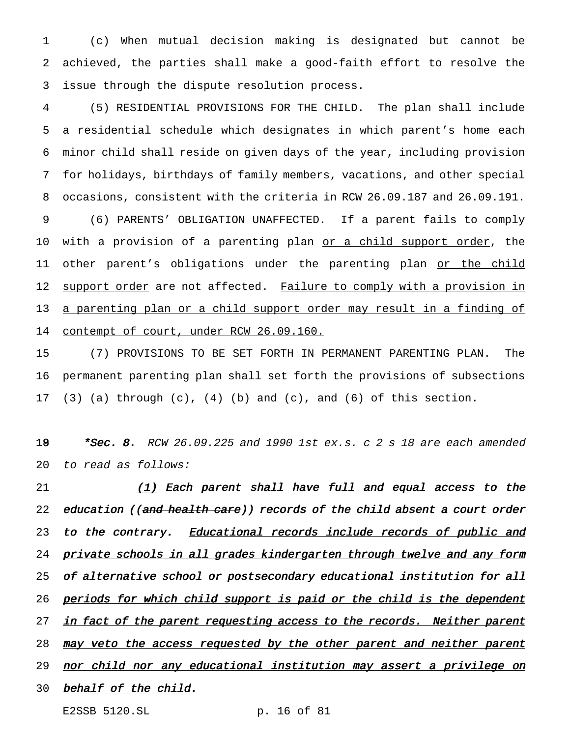1 (c) When mutual decision making is designated but cannot be 2 achieved, the parties shall make a good-faith effort to resolve the 3 issue through the dispute resolution process.

4 (5) RESIDENTIAL PROVISIONS FOR THE CHILD. The plan shall include 5 a residential schedule which designates in which parent's home each 6 minor child shall reside on given days of the year, including provision 7 for holidays, birthdays of family members, vacations, and other special 8 occasions, consistent with the criteria in RCW 26.09.187 and 26.09.191. 9 (6) PARENTS' OBLIGATION UNAFFECTED. If a parent fails to comply 10 with a provision of a parenting plan <u>or a child support order</u>, the 11 other parent's obligations under the parenting plan or the child 12 support order are not affected. Failure to comply with a provision in 13 a parenting plan or a child support order may result in a finding of 14 contempt of court, under RCW 26.09.160.

15 (7) PROVISIONS TO BE SET FORTH IN PERMANENT PARENTING PLAN. The 16 permanent parenting plan shall set forth the provisions of subsections 17 (3) (a) through  $(c)$ ,  $(4)$   $(b)$  and  $(c)$ , and  $(6)$  of this section.

18  $*Sec. 8. RCW 26.09.225$  and 1990 1st ex.s. c 2 s 18 are each amended 20 to read as follows:

21  $(1)$  Each parent shall have full and equal access to the 22 education ((and health care)) records of the child absent a court order 23 to the contrary. Educational records include records of public and 24 private schools in all grades kindergarten through twelve and any form 25 of alternative school or postsecondary educational institution for all 26 periods for which child support is paid or the child is the dependent 27 in fact of the parent requesting access to the records. Neither parent 28 may veto the access requested by the other parent and neither parent 29 nor child nor any educational institution may assert a privilege on 30 behalf of the child.

E2SSB 5120.SL p. 16 of 81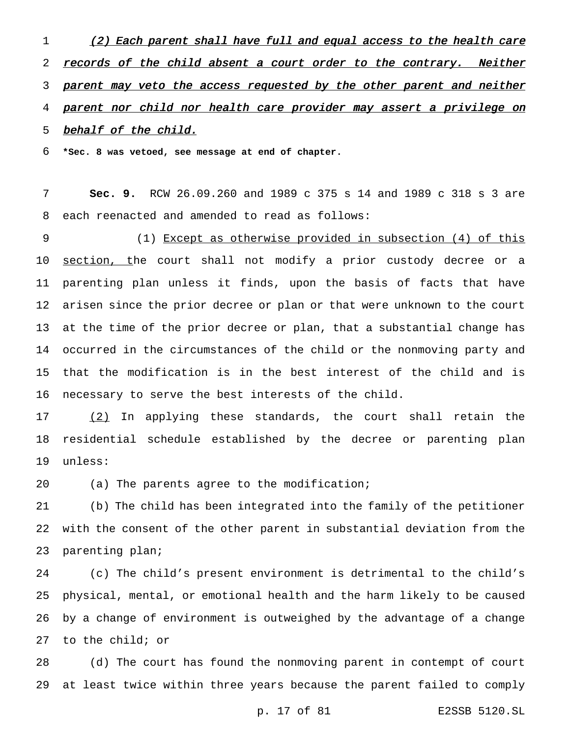1 (2) Each parent shall have full and equal access to the health care 2 records of the child absent a court order to the contrary. Neither 3 parent may veto the access requested by the other parent and neither parent nor child nor health care provider may assert <sup>a</sup> privilege on 5 behalf of the child.

**\*Sec. 8 was vetoed, see message at end of chapter.**

 **Sec. 9.** RCW 26.09.260 and 1989 c 375 s 14 and 1989 c 318 s 3 are each reenacted and amended to read as follows:

 (1) Except as otherwise provided in subsection (4) of this 10 section, the court shall not modify a prior custody decree or a parenting plan unless it finds, upon the basis of facts that have arisen since the prior decree or plan or that were unknown to the court at the time of the prior decree or plan, that a substantial change has occurred in the circumstances of the child or the nonmoving party and that the modification is in the best interest of the child and is necessary to serve the best interests of the child.

 (2) In applying these standards, the court shall retain the residential schedule established by the decree or parenting plan unless:

(a) The parents agree to the modification;

 (b) The child has been integrated into the family of the petitioner with the consent of the other parent in substantial deviation from the parenting plan;

 (c) The child's present environment is detrimental to the child's physical, mental, or emotional health and the harm likely to be caused by a change of environment is outweighed by the advantage of a change to the child; or

 (d) The court has found the nonmoving parent in contempt of court at least twice within three years because the parent failed to comply

p. 17 of 81 E2SSB 5120.SL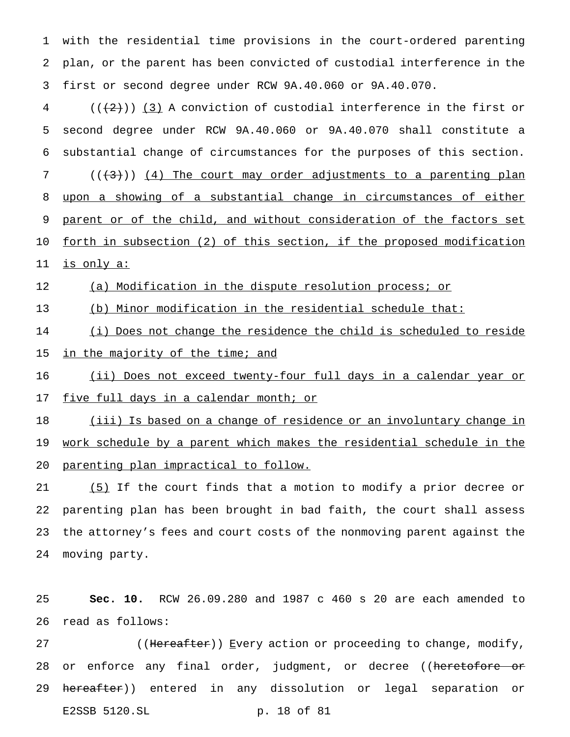with the residential time provisions in the court-ordered parenting plan, or the parent has been convicted of custodial interference in the first or second degree under RCW 9A.40.060 or 9A.40.070.

 $(4)$  ( $(\frac{1}{2})$ ) (3) A conviction of custodial interference in the first or second degree under RCW 9A.40.060 or 9A.40.070 shall constitute a substantial change of circumstances for the purposes of this section. ( $(\langle 3\rangle)$ ) (4) The court may order adjustments to a parenting plan upon a showing of a substantial change in circumstances of either 9 parent or of the child, and without consideration of the factors set forth in subsection (2) of this section, if the proposed modification

is only a:

12 (a) Modification in the dispute resolution process; or

(b) Minor modification in the residential schedule that:

(i) Does not change the residence the child is scheduled to reside

15 in the majority of the time; and

(ii) Does not exceed twenty-four full days in a calendar year or

17 five full days in a calendar month; or

 (iii) Is based on a change of residence or an involuntary change in work schedule by a parent which makes the residential schedule in the parenting plan impractical to follow.

 (5) If the court finds that a motion to modify a prior decree or parenting plan has been brought in bad faith, the court shall assess the attorney's fees and court costs of the nonmoving parent against the moving party.

 **Sec. 10.** RCW 26.09.280 and 1987 c 460 s 20 are each amended to read as follows:

27 ((Hereafter)) Every action or proceeding to change, modify, 28 or enforce any final order, judgment, or decree ((heretofore or hereafter)) entered in any dissolution or legal separation or E2SSB 5120.SL p. 18 of 81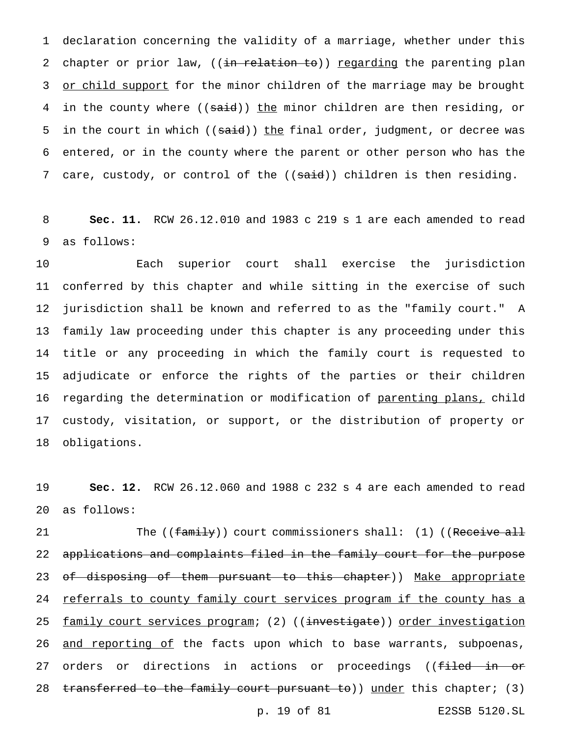1 declaration concerning the validity of a marriage, whether under this 2 chapter or prior law, ((in relation to)) regarding the parenting plan 3 or child support for the minor children of the marriage may be brought 4 in the county where ((said)) the minor children are then residing, or 5 in the court in which ((said)) the final order, judgment, or decree was 6 entered, or in the county where the parent or other person who has the 7 care, custody, or control of the ((said)) children is then residing.

8 **Sec. 11.** RCW 26.12.010 and 1983 c 219 s 1 are each amended to read 9 as follows:

 Each superior court shall exercise the jurisdiction conferred by this chapter and while sitting in the exercise of such jurisdiction shall be known and referred to as the "family court." A family law proceeding under this chapter is any proceeding under this title or any proceeding in which the family court is requested to adjudicate or enforce the rights of the parties or their children 16 regarding the determination or modification of parenting plans, child custody, visitation, or support, or the distribution of property or obligations.

19 **Sec. 12.** RCW 26.12.060 and 1988 c 232 s 4 are each amended to read 20 as follows:

21 The ((family)) court commissioners shall: (1) ((Receive all 22 applications and complaints filed in the family court for the purpose 23 of disposing of them pursuant to this chapter)) Make appropriate 24 referrals to county family court services program if the county has a 25 family court services program; (2) ((investigate)) order investigation 26 and reporting of the facts upon which to base warrants, subpoenas, 27 orders or directions in actions or proceedings ((filed in or 28 transferred to the family court pursuant to)) under this chapter; (3)

p. 19 of 81 E2SSB 5120.SL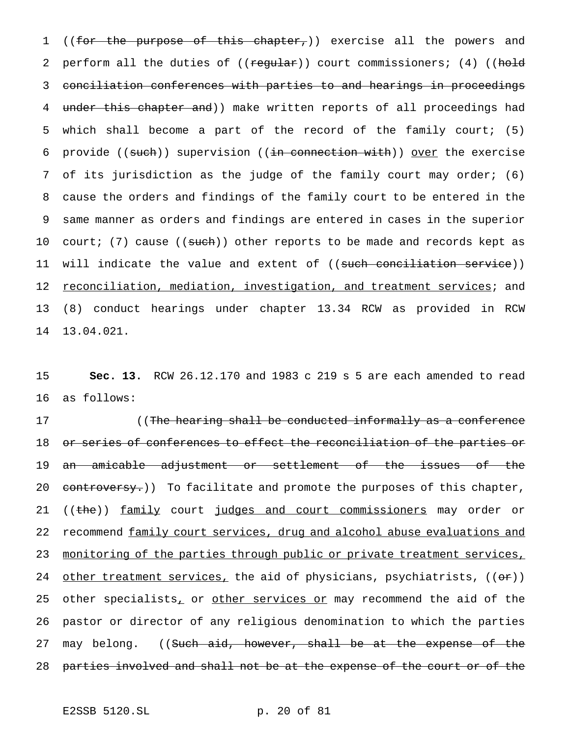1 ((for the purpose of this chapter,)) exercise all the powers and 2 perform all the duties of ((regular)) court commissioners; (4) ((hold 3 conciliation conferences with parties to and hearings in proceedings 4 under this chapter and)) make written reports of all proceedings had 5 which shall become a part of the record of the family court; (5) 6 provide ((such)) supervision ((in connection with)) over the exercise 7 of its jurisdiction as the judge of the family court may order; (6) 8 cause the orders and findings of the family court to be entered in the 9 same manner as orders and findings are entered in cases in the superior 10 court; (7) cause ((such)) other reports to be made and records kept as 11 will indicate the value and extent of ((<del>such conciliation service</del>)) 12 reconciliation, mediation, investigation, and treatment services; and 13 (8) conduct hearings under chapter 13.34 RCW as provided in RCW 14 13.04.021.

15 **Sec. 13.** RCW 26.12.170 and 1983 c 219 s 5 are each amended to read 16 as follows:

17 ((The hearing shall be conducted informally as a conference 18 or series of conferences to effect the reconciliation of the parties or 19 an amicable adjustment or settlement of the issues of the 20 controversy.)) To facilitate and promote the purposes of this chapter, 21 ((the)) family court judges and court commissioners may order or 22 recommend family court services, drug and alcohol abuse evaluations and 23 monitoring of the parties through public or private treatment services, 24 other treatment services, the aid of physicians, psychiatrists,  $((\theta \cdot \mathbf{r}))$ 25 other specialists, or other services or may recommend the aid of the 26 pastor or director of any religious denomination to which the parties 27 may belong. ((Such aid, however, shall be at the expense of the 28 parties involved and shall not be at the expense of the court or of the

E2SSB 5120.SL p. 20 of 81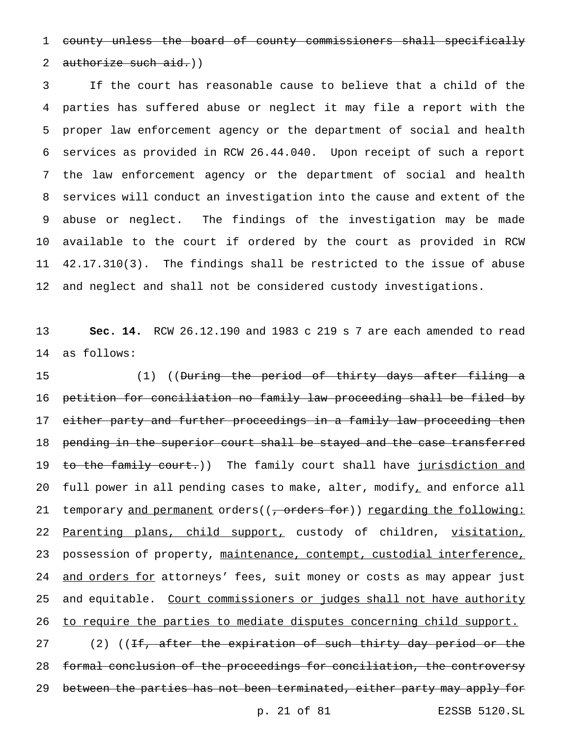1 county unless the board of county commissioners shall specifically

# 2 authorize such  $aid.)$

 If the court has reasonable cause to believe that a child of the parties has suffered abuse or neglect it may file a report with the proper law enforcement agency or the department of social and health services as provided in RCW 26.44.040. Upon receipt of such a report the law enforcement agency or the department of social and health services will conduct an investigation into the cause and extent of the abuse or neglect. The findings of the investigation may be made available to the court if ordered by the court as provided in RCW 42.17.310(3). The findings shall be restricted to the issue of abuse and neglect and shall not be considered custody investigations.

13 **Sec. 14.** RCW 26.12.190 and 1983 c 219 s 7 are each amended to read 14 as follows:

15 (1) ((During the period of thirty days after filing a 16 petition for conciliation no family law proceeding shall be filed by 17 e<del>ither party and further proceedings in a family law proceeding then</del> 18 pending in the superior court shall be stayed and the case transferred 19 to the family court.)) The family court shall have jurisdiction and 20 full power in all pending cases to make, alter, modify, and enforce all 21 temporary and permanent orders((, orders for)) regarding the following: 22 Parenting plans, child support, custody of children, visitation, 23 possession of property, maintenance, contempt, custodial interference, 24 and orders for attorneys' fees, suit money or costs as may appear just 25 and equitable. Court commissioners or judges shall not have authority 26 to require the parties to mediate disputes concerning child support. 27 (2) ((If, after the expiration of such thirty day period or the 28 formal conclusion of the proceedings for conciliation, the controversy 29 between the parties has not been terminated, either party may apply for

p. 21 of 81 E2SSB 5120.SL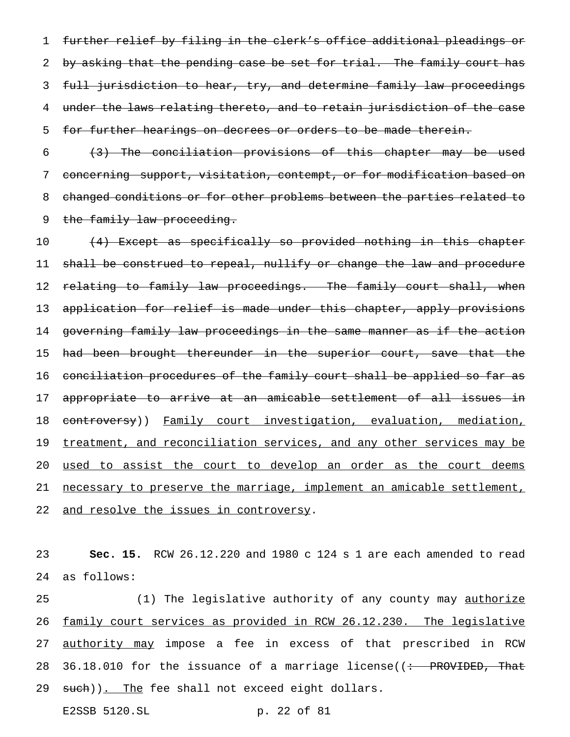1 further relief by filing in the clerk's office additional pleadings or 2 by asking that the pending case be set for trial. The family court has 3 full jurisdiction to hear, try, and determine family law proceedings 4 under the laws relating thereto, and to retain jurisdiction of the case 5 for further hearings on decrees or orders to be made therein.

 $6$   $(3)$  The conciliation provisions of this chapter may be used 7 concerning support, visitation, contempt, or for modification based on 8 changed conditions or for other problems between the parties related to 9 the family law proceeding.

10 (4) Except as specifically so provided nothing in this chapter 11 shall be construed to repeal, nullify or change the law and procedure 12 relating to family law proceedings. The family court shall, when 13 application for relief is made under this chapter, apply provisions 14 governing family law proceedings in the same manner as if the action 15 had been brought thereunder in the superior court, save that the 16 conciliation procedures of the family court shall be applied so far as 17 appropriate to arrive at an amicable settlement of all issues in 18 controversy)) Family court investigation, evaluation, mediation, 19 treatment, and reconciliation services, and any other services may be 20 used to assist the court to develop an order as the court deems 21 necessary to preserve the marriage, implement an amicable settlement, 22 and resolve the issues in controversy.

23 **Sec. 15.** RCW 26.12.220 and 1980 c 124 s 1 are each amended to read 24 as follows:

25 (1) The legislative authority of any county may <u>authorize</u> 26 family court services as provided in RCW 26.12.230. The legislative 27 authority may impose a fee in excess of that prescribed in RCW 28 36.18.010 for the issuance of a marriage license( $\left( \div \text{ PROVIDED}, \text{That} \right)$ 29 such)). The fee shall not exceed eight dollars.

E2SSB 5120.SL p. 22 of 81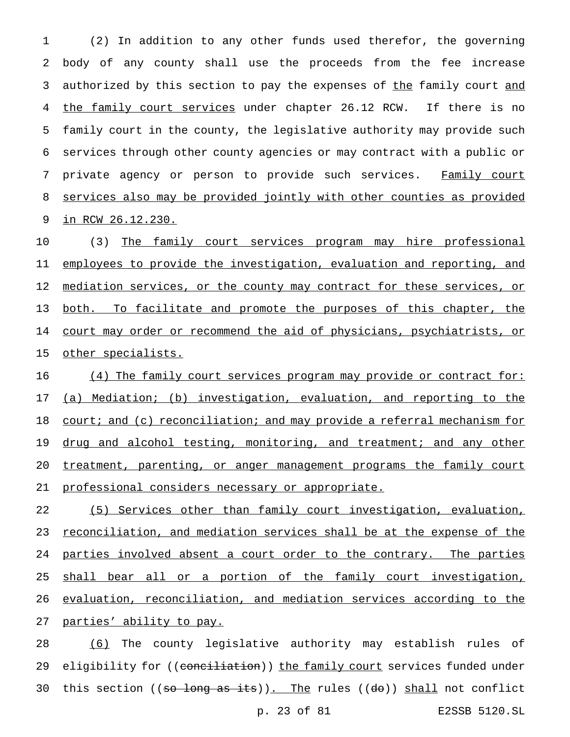(2) In addition to any other funds used therefor, the governing body of any county shall use the proceeds from the fee increase 3 authorized by this section to pay the expenses of the family court and 4 the family court services under chapter 26.12 RCW. If there is no family court in the county, the legislative authority may provide such services through other county agencies or may contract with a public or 7 private agency or person to provide such services. Family court services also may be provided jointly with other counties as provided in RCW 26.12.230.

10 (3) The family court services program may hire professional 11 employees to provide the investigation, evaluation and reporting, and 12 mediation services, or the county may contract for these services, or 13 both. To facilitate and promote the purposes of this chapter, the 14 court may order or recommend the aid of physicians, psychiatrists, or 15 other specialists.

16 (4) The family court services program may provide or contract for: 17 (a) Mediation; (b) investigation, evaluation, and reporting to the 18 court; and (c) reconciliation; and may provide a referral mechanism for 19 drug and alcohol testing, monitoring, and treatment; and any other 20 treatment, parenting, or anger management programs the family court 21 professional considers necessary or appropriate.

 (5) Services other than family court investigation, evaluation, 23 reconciliation, and mediation services shall be at the expense of the 24 parties involved absent a court order to the contrary. The parties shall bear all or a portion of the family court investigation, evaluation, reconciliation, and mediation services according to the parties' ability to pay.

28 (6) The county legislative authority may establish rules of 29 eligibility for ((conciliation)) the family court services funded under 30 this section ((so long as its)). The rules (( $d\theta$ )) shall not conflict p. 23 of 81 E2SSB 5120.SL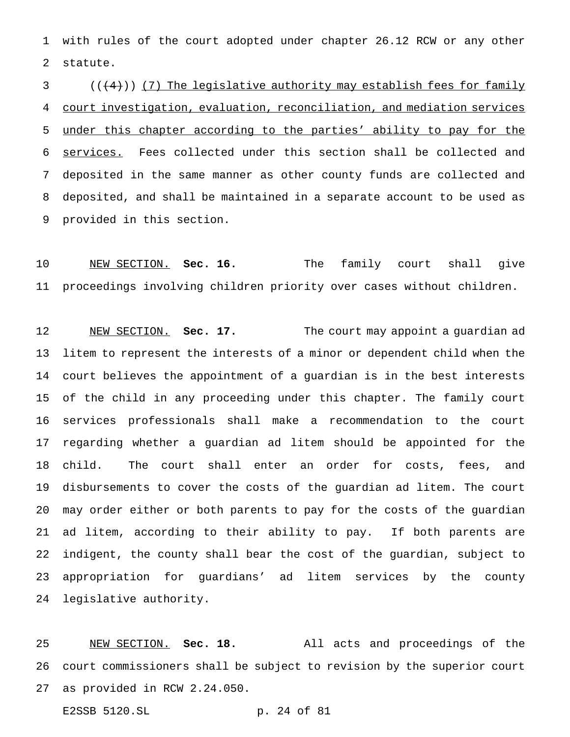with rules of the court adopted under chapter 26.12 RCW or any other statute.

 ( $(\langle 4 \rangle)$ ) (7) The legislative authority may establish fees for family court investigation, evaluation, reconciliation, and mediation services under this chapter according to the parties' ability to pay for the services. Fees collected under this section shall be collected and deposited in the same manner as other county funds are collected and deposited, and shall be maintained in a separate account to be used as provided in this section.

 NEW SECTION. **Sec. 16.** The family court shall give proceedings involving children priority over cases without children.

 NEW SECTION. **Sec. 17.** The court may appoint a guardian ad litem to represent the interests of a minor or dependent child when the court believes the appointment of a guardian is in the best interests of the child in any proceeding under this chapter. The family court services professionals shall make a recommendation to the court regarding whether a guardian ad litem should be appointed for the child. The court shall enter an order for costs, fees, and disbursements to cover the costs of the guardian ad litem. The court may order either or both parents to pay for the costs of the guardian ad litem, according to their ability to pay. If both parents are indigent, the county shall bear the cost of the guardian, subject to appropriation for guardians' ad litem services by the county legislative authority.

 NEW SECTION. **Sec. 18.** All acts and proceedings of the court commissioners shall be subject to revision by the superior court as provided in RCW 2.24.050.

E2SSB 5120.SL p. 24 of 81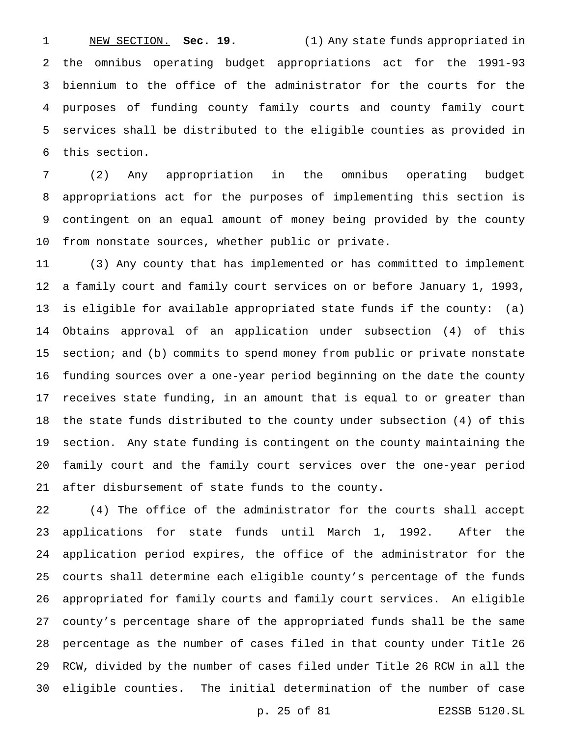NEW SECTION. **Sec. 19.** (1) Any state funds appropriated in the omnibus operating budget appropriations act for the 1991-93 biennium to the office of the administrator for the courts for the purposes of funding county family courts and county family court services shall be distributed to the eligible counties as provided in this section.

 (2) Any appropriation in the omnibus operating budget appropriations act for the purposes of implementing this section is contingent on an equal amount of money being provided by the county from nonstate sources, whether public or private.

 (3) Any county that has implemented or has committed to implement a family court and family court services on or before January 1, 1993, is eligible for available appropriated state funds if the county: (a) Obtains approval of an application under subsection (4) of this section; and (b) commits to spend money from public or private nonstate funding sources over a one-year period beginning on the date the county receives state funding, in an amount that is equal to or greater than the state funds distributed to the county under subsection (4) of this section. Any state funding is contingent on the county maintaining the family court and the family court services over the one-year period after disbursement of state funds to the county.

 (4) The office of the administrator for the courts shall accept applications for state funds until March 1, 1992. After the application period expires, the office of the administrator for the courts shall determine each eligible county's percentage of the funds appropriated for family courts and family court services. An eligible county's percentage share of the appropriated funds shall be the same percentage as the number of cases filed in that county under Title 26 RCW, divided by the number of cases filed under Title 26 RCW in all the eligible counties. The initial determination of the number of case

p. 25 of 81 E2SSB 5120.SL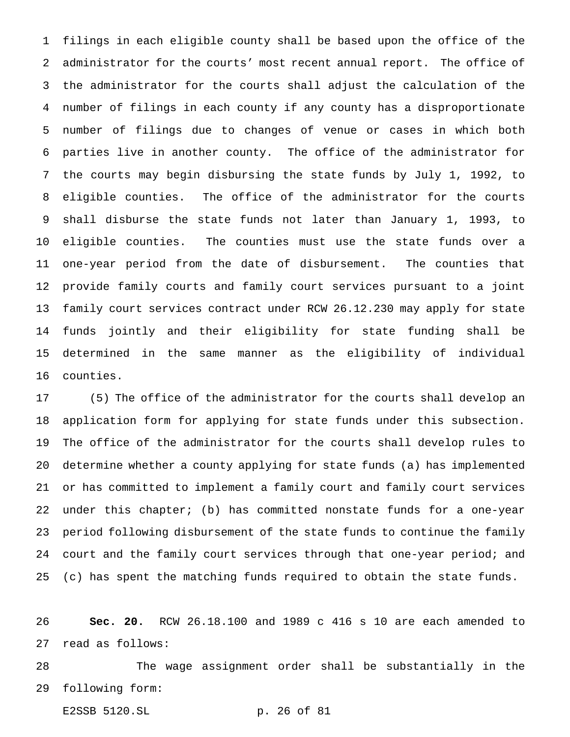filings in each eligible county shall be based upon the office of the administrator for the courts' most recent annual report. The office of the administrator for the courts shall adjust the calculation of the number of filings in each county if any county has a disproportionate number of filings due to changes of venue or cases in which both parties live in another county. The office of the administrator for the courts may begin disbursing the state funds by July 1, 1992, to eligible counties. The office of the administrator for the courts shall disburse the state funds not later than January 1, 1993, to eligible counties. The counties must use the state funds over a one-year period from the date of disbursement. The counties that provide family courts and family court services pursuant to a joint family court services contract under RCW 26.12.230 may apply for state funds jointly and their eligibility for state funding shall be determined in the same manner as the eligibility of individual counties.

 (5) The office of the administrator for the courts shall develop an application form for applying for state funds under this subsection. The office of the administrator for the courts shall develop rules to determine whether a county applying for state funds (a) has implemented or has committed to implement a family court and family court services under this chapter; (b) has committed nonstate funds for a one-year period following disbursement of the state funds to continue the family court and the family court services through that one-year period; and (c) has spent the matching funds required to obtain the state funds.

 **Sec. 20.** RCW 26.18.100 and 1989 c 416 s 10 are each amended to read as follows:

 The wage assignment order shall be substantially in the following form:

E2SSB 5120.SL p. 26 of 81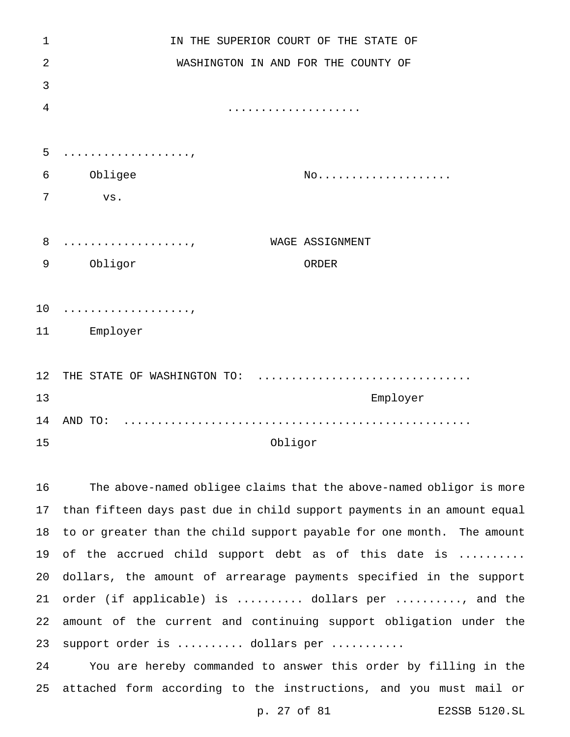| $\mathbf 1$    | IN THE SUPERIOR COURT OF THE STATE OF                            |
|----------------|------------------------------------------------------------------|
| $\overline{2}$ | WASHINGTON IN AND FOR THE COUNTY OF                              |
| 3              |                                                                  |
| $\overline{4}$ | .                                                                |
|                |                                                                  |
| 5              | .                                                                |
| 6              | Obligee<br>$\text{NO} \ldots \ldots \ldots \ldots \ldots \ldots$ |
| 7              | $_{\rm VS}$ .                                                    |
|                |                                                                  |
| 8              | WAGE ASSIGNMENT<br>.                                             |
| 9              | Obligor<br>ORDER                                                 |
|                |                                                                  |
| 10             | .                                                                |
| 11             | Employer                                                         |
|                |                                                                  |
| 12             | THE STATE OF WASHINGTON TO:                                      |
| 13             | Employer                                                         |
| 14             |                                                                  |
| 15             | Obligor                                                          |
|                |                                                                  |

 The above-named obligee claims that the above-named obligor is more than fifteen days past due in child support payments in an amount equal to or greater than the child support payable for one month. The amount 19 of the accrued child support debt as of this date is ......... dollars, the amount of arrearage payments specified in the support order (if applicable) is .......... dollars per .........., and the amount of the current and continuing support obligation under the 23 support order is .......... dollars per ...........

 You are hereby commanded to answer this order by filling in the attached form according to the instructions, and you must mail or

p. 27 of 81 E2SSB 5120.SL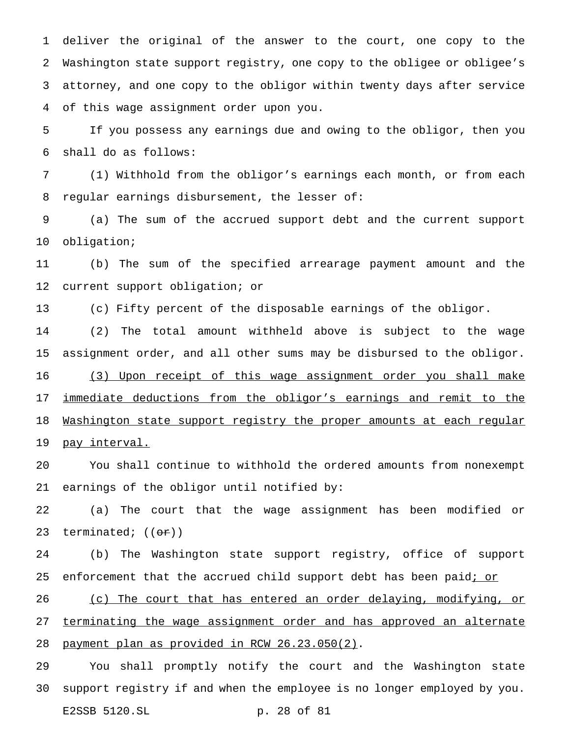deliver the original of the answer to the court, one copy to the Washington state support registry, one copy to the obligee or obligee's attorney, and one copy to the obligor within twenty days after service of this wage assignment order upon you.

 If you possess any earnings due and owing to the obligor, then you shall do as follows:

 (1) Withhold from the obligor's earnings each month, or from each regular earnings disbursement, the lesser of:

 (a) The sum of the accrued support debt and the current support obligation;

 (b) The sum of the specified arrearage payment amount and the current support obligation; or

(c) Fifty percent of the disposable earnings of the obligor.

 (2) The total amount withheld above is subject to the wage assignment order, and all other sums may be disbursed to the obligor.

 (3) Upon receipt of this wage assignment order you shall make 17 immediate deductions from the obligor's earnings and remit to the Washington state support registry the proper amounts at each regular pay interval.

 You shall continue to withhold the ordered amounts from nonexempt earnings of the obligor until notified by:

 (a) The court that the wage assignment has been modified or 23 terminated;  $((\theta \cdot \hat{r}))$ 

 (b) The Washington state support registry, office of support 25 enforcement that the accrued child support debt has been paid; or

 (c) The court that has entered an order delaying, modifying, or 27 terminating the wage assignment order and has approved an alternate payment plan as provided in RCW 26.23.050(2).

 You shall promptly notify the court and the Washington state support registry if and when the employee is no longer employed by you. E2SSB 5120.SL p. 28 of 81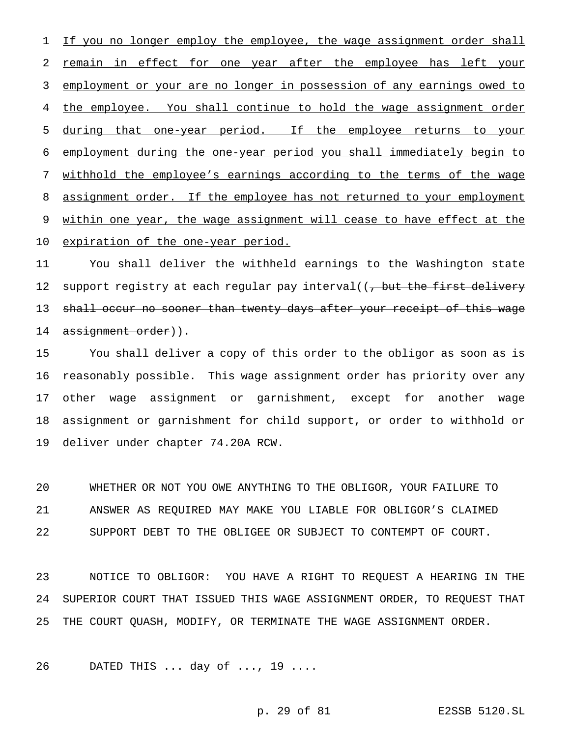1 If you no longer employ the employee, the wage assignment order shall remain in effect for one year after the employee has left your employment or your are no longer in possession of any earnings owed to the employee. You shall continue to hold the wage assignment order during that one-year period. If the employee returns to your employment during the one-year period you shall immediately begin to withhold the employee's earnings according to the terms of the wage 8 assignment order. If the employee has not returned to your employment 9 within one year, the wage assignment will cease to have effect at the expiration of the one-year period.

 You shall deliver the withheld earnings to the Washington state 12 support registry at each regular pay interval((, but the first delivery 13 shall occur no sooner than twenty days after your receipt of this wage 14 assignment order)).

 You shall deliver a copy of this order to the obligor as soon as is reasonably possible. This wage assignment order has priority over any other wage assignment or garnishment, except for another wage assignment or garnishment for child support, or order to withhold or deliver under chapter 74.20A RCW.

 WHETHER OR NOT YOU OWE ANYTHING TO THE OBLIGOR, YOUR FAILURE TO ANSWER AS REQUIRED MAY MAKE YOU LIABLE FOR OBLIGOR'S CLAIMED SUPPORT DEBT TO THE OBLIGEE OR SUBJECT TO CONTEMPT OF COURT.

 NOTICE TO OBLIGOR: YOU HAVE A RIGHT TO REQUEST A HEARING IN THE SUPERIOR COURT THAT ISSUED THIS WAGE ASSIGNMENT ORDER, TO REQUEST THAT THE COURT QUASH, MODIFY, OR TERMINATE THE WAGE ASSIGNMENT ORDER.

DATED THIS ... day of ..., 19 ....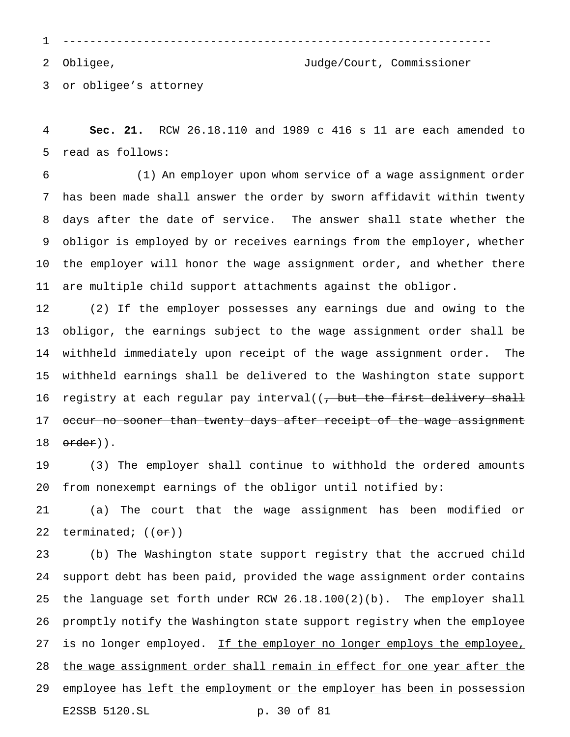----------------------------------------------------------------

Obligee, Judge/Court, Commissioner

or obligee's attorney

 **Sec. 21.** RCW 26.18.110 and 1989 c 416 s 11 are each amended to read as follows:

 (1) An employer upon whom service of a wage assignment order has been made shall answer the order by sworn affidavit within twenty days after the date of service. The answer shall state whether the obligor is employed by or receives earnings from the employer, whether the employer will honor the wage assignment order, and whether there are multiple child support attachments against the obligor.

 (2) If the employer possesses any earnings due and owing to the obligor, the earnings subject to the wage assignment order shall be withheld immediately upon receipt of the wage assignment order. The withheld earnings shall be delivered to the Washington state support 16 registry at each regular pay interval((, but the first delivery shall 17 occur no sooner than twenty days after receipt of the wage assignment 18 order)).

 (3) The employer shall continue to withhold the ordered amounts from nonexempt earnings of the obligor until notified by:

 (a) The court that the wage assignment has been modified or 22 terminated;  $((\theta \cdot \hat{r}))$ 

 (b) The Washington state support registry that the accrued child support debt has been paid, provided the wage assignment order contains the language set forth under RCW 26.18.100(2)(b). The employer shall promptly notify the Washington state support registry when the employee 27 is no longer employed. If the employer no longer employs the employee, 28 the wage assignment order shall remain in effect for one year after the 29 employee has left the employment or the employer has been in possession E2SSB 5120.SL p. 30 of 81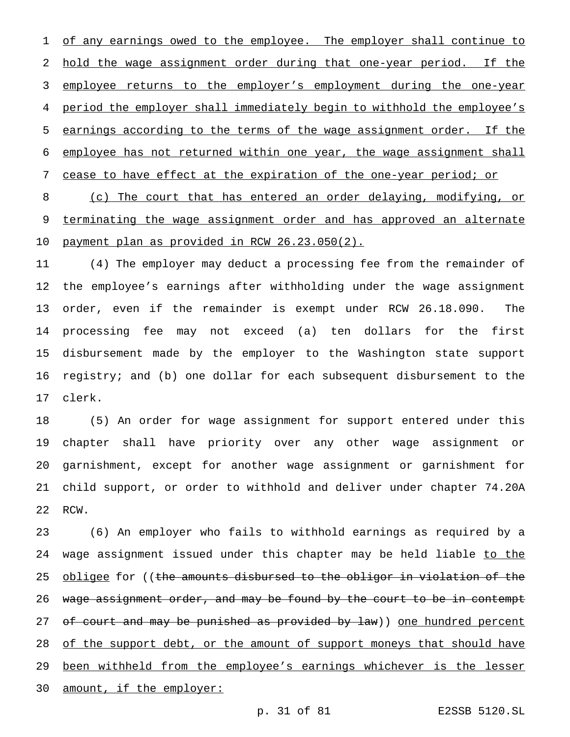1 of any earnings owed to the employee. The employer shall continue to hold the wage assignment order during that one-year period. If the employee returns to the employer's employment during the one-year period the employer shall immediately begin to withhold the employee's earnings according to the terms of the wage assignment order. If the employee has not returned within one year, the wage assignment shall

cease to have effect at the expiration of the one-year period; or

 (c) The court that has entered an order delaying, modifying, or 9 terminating the wage assignment order and has approved an alternate payment plan as provided in RCW 26.23.050(2).

 (4) The employer may deduct a processing fee from the remainder of the employee's earnings after withholding under the wage assignment order, even if the remainder is exempt under RCW 26.18.090. The processing fee may not exceed (a) ten dollars for the first disbursement made by the employer to the Washington state support registry; and (b) one dollar for each subsequent disbursement to the clerk.

 (5) An order for wage assignment for support entered under this chapter shall have priority over any other wage assignment or garnishment, except for another wage assignment or garnishment for child support, or order to withhold and deliver under chapter 74.20A RCW.

 (6) An employer who fails to withhold earnings as required by a 24 wage assignment issued under this chapter may be held liable to the 25 <u>obligee</u> for ((the amounts disbursed to the obligor in violation of the 26 wage assignment order, and may be found by the court to be in contempt 27 of court and may be punished as provided by law)) one hundred percent 28 of the support debt, or the amount of support moneys that should have 29 been withheld from the employee's earnings whichever is the lesser amount, if the employer: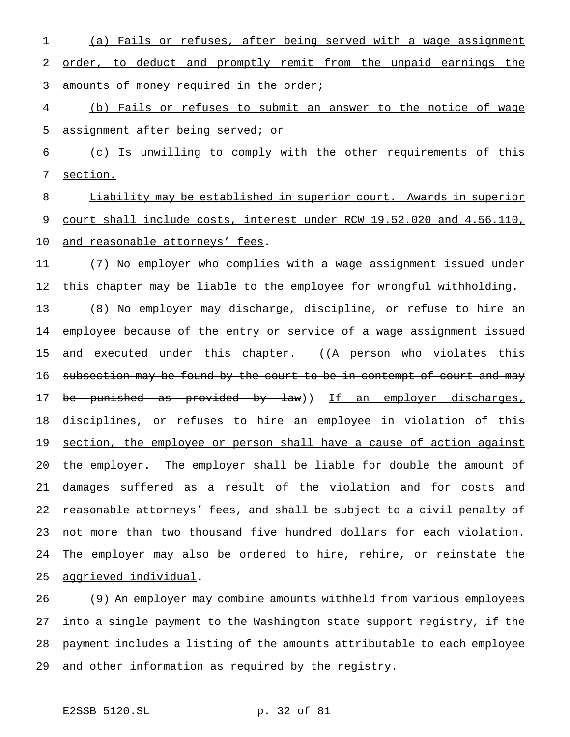(a) Fails or refuses, after being served with a wage assignment order, to deduct and promptly remit from the unpaid earnings the 3 amounts of money required in the order;

 (b) Fails or refuses to submit an answer to the notice of wage assignment after being served; or

 (c) Is unwilling to comply with the other requirements of this section.

 Liability may be established in superior court. Awards in superior 9 court shall include costs, interest under RCW 19.52.020 and 4.56.110, and reasonable attorneys' fees.

 (7) No employer who complies with a wage assignment issued under this chapter may be liable to the employee for wrongful withholding. (8) No employer may discharge, discipline, or refuse to hire an employee because of the entry or service of a wage assignment issued 15 and executed under this chapter. ((A person who violates this 16 subsection may be found by the court to be in contempt of court and may 17 be punished as provided by law)) If an employer discharges, disciplines, or refuses to hire an employee in violation of this 19 section, the employee or person shall have a cause of action against 20 the employer. The employer shall be liable for double the amount of damages suffered as a result of the violation and for costs and 22 reasonable attorneys' fees, and shall be subject to a civil penalty of not more than two thousand five hundred dollars for each violation. The employer may also be ordered to hire, rehire, or reinstate the aggrieved individual.

 (9) An employer may combine amounts withheld from various employees into a single payment to the Washington state support registry, if the payment includes a listing of the amounts attributable to each employee and other information as required by the registry.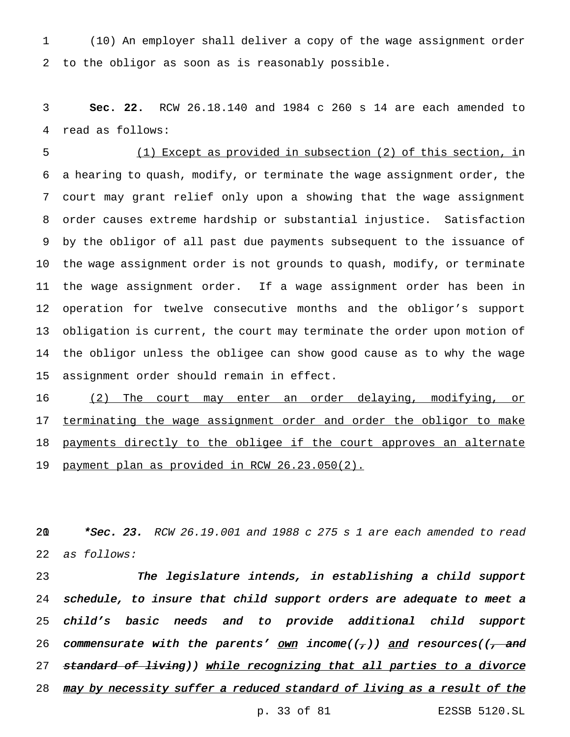(10) An employer shall deliver a copy of the wage assignment order to the obligor as soon as is reasonably possible.

 **Sec. 22.** RCW 26.18.140 and 1984 c 260 s 14 are each amended to read as follows:

 (1) Except as provided in subsection (2) of this section, in a hearing to quash, modify, or terminate the wage assignment order, the court may grant relief only upon a showing that the wage assignment order causes extreme hardship or substantial injustice. Satisfaction by the obligor of all past due payments subsequent to the issuance of the wage assignment order is not grounds to quash, modify, or terminate the wage assignment order. If a wage assignment order has been in operation for twelve consecutive months and the obligor's support obligation is current, the court may terminate the order upon motion of the obligor unless the obligee can show good cause as to why the wage assignment order should remain in effect.

 (2) The court may enter an order delaying, modifying, or 17 terminating the wage assignment order and order the obligor to make 18 payments directly to the obligee if the court approves an alternate payment plan as provided in RCW 26.23.050(2).

20 \*Sec. 23. RCW 26.19.001 and 1988 c 275 s 1 are each amended to read as follows:

 The legislature intends, in establishing <sup>a</sup> child support schedule, to insure that child support orders are adequate to meet <sup>a</sup> child's basic needs and to provide additional child support 26 commensurate with the parents' own income( $(\tau)$ ) and resources( $(\tau$  and 27 standard of living)) while recognizing that all parties to a divorce 28 may by necessity suffer a reduced standard of living as a result of the

p. 33 of 81 E2SSB 5120.SL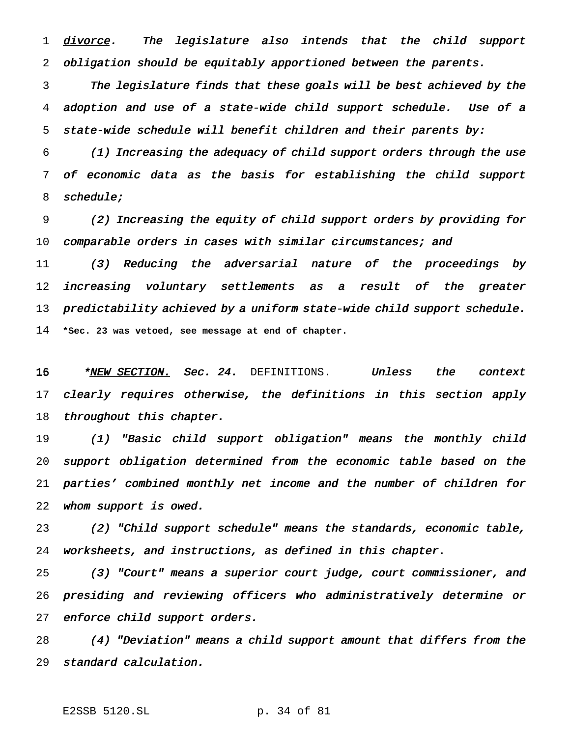1 divorce. The legislature also intends that the child support obligation should be equitably apportioned between the parents.

 The legislature finds that these goals will be best achieved by the adoption and use of <sup>a</sup> state-wide child support schedule. Use of <sup>a</sup> state-wide schedule will benefit children and their parents by:

 (1) Increasing the adequacy of child support orders through the use of economic data as the basis for establishing the child support schedule;

 (2) Increasing the equity of child support orders by providing for 10 comparable orders in cases with similar circumstances; and

 (3) Reducing the adversarial nature of the proceedings by increasing voluntary settlements as <sup>a</sup> result of the greater 13 predictability achieved by a uniform state-wide child support schedule. **\*Sec. 23 was vetoed, see message at end of chapter.**

16 \*<u>NEW SECTION.</u> Sec. 24. DEFINITIONS. Unless the context 17 clearly requires otherwise, the definitions in this section apply 18 throughout this chapter.

 (1) "Basic child support obligation" means the monthly child support obligation determined from the economic table based on the parties' combined monthly net income and the number of children for whom support is owed.

 (2) "Child support schedule" means the standards, economic table, worksheets, and instructions, as defined in this chapter.

 (3) "Court" means <sup>a</sup> superior court judge, court commissioner, and presiding and reviewing officers who administratively determine or enforce child support orders.

 (4) "Deviation" means <sup>a</sup> child support amount that differs from the standard calculation.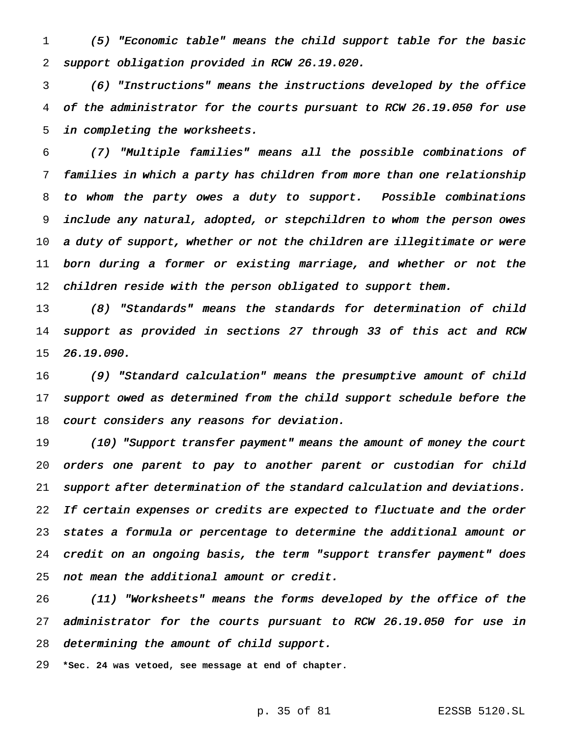(5) "Economic table" means the child support table for the basic support obligation provided in RCW 26.19.020.

 (6) "Instructions" means the instructions developed by the office of the administrator for the courts pursuant to RCW 26.19.050 for use in completing the worksheets.

 (7) "Multiple families" means all the possible combinations of families in which <sup>a</sup> party has children from more than one relationship to whom the party owes <sup>a</sup> duty to support. Possible combinations include any natural, adopted, or stepchildren to whom the person owes 10 a duty of support, whether or not the children are illegitimate or were born during <sup>a</sup> former or existing marriage, and whether or not the 12 children reside with the person obligated to support them.

 (8) "Standards" means the standards for determination of child support as provided in sections <sup>27</sup> through <sup>33</sup> of this act and RCW 26.19.090.

 (9) "Standard calculation" means the presumptive amount of child 17 support owed as determined from the child support schedule before the court considers any reasons for deviation.

 (10) "Support transfer payment" means the amount of money the court orders one parent to pay to another parent or custodian for child support after determination of the standard calculation and deviations. 22 If certain expenses or credits are expected to fluctuate and the order states <sup>a</sup> formula or percentage to determine the additional amount or credit on an ongoing basis, the term "support transfer payment" does not mean the additional amount or credit.

 (11) "Worksheets" means the forms developed by the office of the administrator for the courts pursuant to RCW 26.19.050 for use in determining the amount of child support.

**\*Sec. 24 was vetoed, see message at end of chapter.**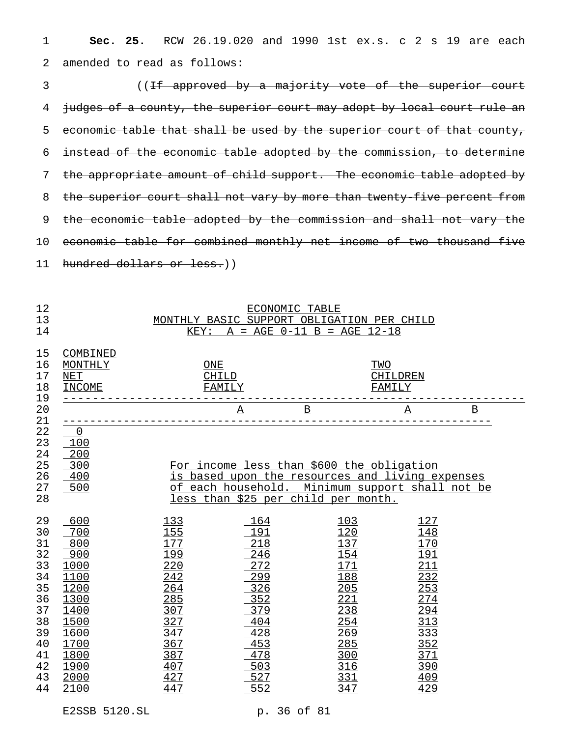**Sec. 25.** RCW 26.19.020 and 1990 1st ex.s. c 2 s 19 are each amended to read as follows:

3 ((If approved by a majority vote of the superior court 4 judges of a county, the superior court may adopt by local court rule an 5 economic table that shall be used by the superior court of that county, instead of the economic table adopted by the commission, to determine the appropriate amount of child support. The economic table adopted by 8 the superior court shall not vary by more than twenty-five percent from 9 the economic table adopted by the commission and shall not vary the economic table for combined monthly net income of two thousand five hundred dollars or less.))

| 12                                                                                           | ECONOMIC TABLE                                                                                                           |                                                                                                                                                                                        |                                                                                                              |                                                                                                              |                                                                                                                      |                          |  |  |  |
|----------------------------------------------------------------------------------------------|--------------------------------------------------------------------------------------------------------------------------|----------------------------------------------------------------------------------------------------------------------------------------------------------------------------------------|--------------------------------------------------------------------------------------------------------------|--------------------------------------------------------------------------------------------------------------|----------------------------------------------------------------------------------------------------------------------|--------------------------|--|--|--|
| 13                                                                                           | MONTHLY BASIC SUPPORT OBLIGATION PER CHILD                                                                               |                                                                                                                                                                                        |                                                                                                              |                                                                                                              |                                                                                                                      |                          |  |  |  |
| 14                                                                                           | $A = AGE 0-11 B = AGE 12-18$<br>KEY:                                                                                     |                                                                                                                                                                                        |                                                                                                              |                                                                                                              |                                                                                                                      |                          |  |  |  |
| 15<br>16<br>17<br>18<br>19                                                                   | COMBINED<br>MONTHLY<br><b>NET</b><br><b>INCOME</b>                                                                       | ONE                                                                                                                                                                                    | CHILD<br>FAMILY                                                                                              |                                                                                                              | TWO<br>CHILDREN<br>FAMILY                                                                                            |                          |  |  |  |
| 20                                                                                           |                                                                                                                          |                                                                                                                                                                                        | $\underline{\mathbf{A}}$                                                                                     | $\underline{\mathtt{B}}$                                                                                     | $\underline{\textbf{A}}$                                                                                             | $\underline{\mathtt{B}}$ |  |  |  |
| 21                                                                                           |                                                                                                                          |                                                                                                                                                                                        |                                                                                                              |                                                                                                              |                                                                                                                      |                          |  |  |  |
| 22<br>23<br>24<br>25<br>26<br>27<br>28                                                       | $\overline{0}$<br>100<br>$-200$<br>300<br>400<br>500                                                                     | For income less than \$600 the obligation<br>is based upon the resources and living expenses<br>of each household. Minimum support shall not be<br>less than \$25 per child per month. |                                                                                                              |                                                                                                              |                                                                                                                      |                          |  |  |  |
| 29<br>30<br>31<br>32<br>33<br>34<br>35<br>36<br>37<br>38<br>39<br>40<br>41<br>42<br>43<br>44 | 600<br>700<br>800<br>900<br>1000<br>1100<br>1200<br>1300<br>1400<br>1500<br>1600<br>1700<br>1800<br>1900<br>2000<br>2100 | 133<br>155<br>177<br>199<br>220<br>242<br>264<br>285<br>307<br>327<br>347<br>367<br>387<br>407<br>427<br>447                                                                           | 164<br>191<br>218<br>246<br>272<br>299<br>326<br>352<br>379<br>404<br>428<br>453<br>478<br>503<br>527<br>552 | 103<br>120<br>137<br>154<br>171<br>188<br>205<br>221<br>238<br>254<br>269<br>285<br>300<br>316<br>331<br>347 | 127<br>148<br>170<br><u> 191</u><br>211<br>232<br>253<br>274<br>294<br>313<br>333<br>352<br>371<br>390<br>409<br>429 |                          |  |  |  |

E2SSB 5120.SL p. 36 of 81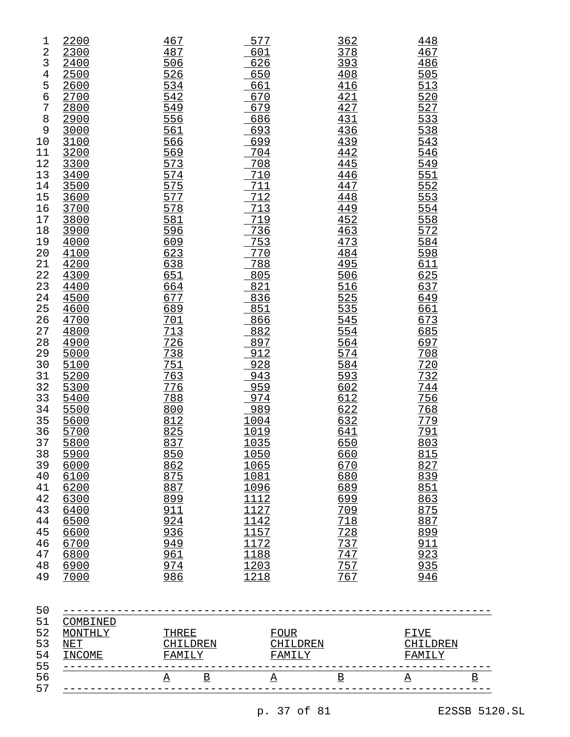| 1<br>2<br>3<br>4<br>5<br>б<br>7<br>8<br>9<br>10<br>11<br>12<br>13<br>14<br>15<br>16<br>17<br>18<br>19<br>20<br>21<br>22<br>23<br>24<br>25<br>26<br>27<br>28<br>29<br>30<br>31<br>32<br>33<br>34<br>35<br>36<br>37<br>38<br>39 | 2200<br>2300<br>2400<br>2500<br>2600<br>2700<br>2800<br>2900<br>3000<br>3100<br>3200<br>3300<br>3400<br>3500<br>3600<br>3700<br>3800<br>3900<br>4000<br>4100<br>4200<br>4300<br>4400<br>4500<br>4600<br>4700<br>4800<br>4900<br>5000<br>5100<br>5200<br>5300<br>5400<br>5500<br>5600<br>5700<br>5800<br>5900<br>6000<br>6100<br>6200<br>6300<br>6400<br>6500<br>6600<br>6700<br>6800<br>6900<br>7000 | 467<br>487<br>506<br>526<br>534<br>542<br>549<br>556<br>561<br>566<br>569<br>573<br>574<br>575<br>577<br>578<br>581<br>596<br>609<br>623<br>638<br>651<br>664<br>677<br>689<br>701<br>713<br>726<br>738<br>751<br>763<br>776<br>788<br>800<br>812<br>825<br>837<br>850<br>862<br>875<br>887<br>899<br>911<br>924<br>936<br>949<br>961<br>974<br>986 | 577<br>601<br>626<br>650<br>661<br>670<br>679<br>686<br>693<br><u>699</u><br>704<br>708<br>710<br>711<br>712<br>713<br>719<br>736<br>753<br>770<br>788<br>805<br>821<br>836<br>851<br>866<br>882<br>897<br>912<br>928<br>943<br>959<br>974<br>989<br>1004<br>1019<br>1035<br>1050<br>1065<br>1081<br>1096<br>1112<br>1127<br>1142<br>1157<br>1172<br>1188<br>1203<br>1218 | 362<br>378<br>393<br>408<br>416<br>421<br>427<br>431<br>436<br>439<br>442<br>445<br>446<br>447<br>448<br>449<br>452<br>463<br>473<br>484<br>495<br>506<br>516<br>525<br>535<br>545<br>554<br>564<br>574<br>584<br>593<br>602<br>612<br>622<br>632<br>641<br>650<br>660<br>670<br>680<br>689<br>699<br>709<br>718<br>728<br>737<br>747<br>757<br>767 | 448<br>467<br>486<br>505<br>513<br>520<br>527<br>533<br>538<br>543<br>546<br>549<br>551<br>552<br>553<br>554<br>558<br>572<br>584<br>598<br>611<br>625<br>637<br>649<br>661<br>673<br>685<br>697<br>708<br>720<br>732<br>744<br>756<br>768<br>779<br>791<br>803<br>815<br>827<br>839<br>851<br>863<br>875<br>887<br>899<br>911<br>923<br>935<br><u>946</u> |  | 50 | 40<br>41<br>42<br>43<br>44<br>45<br>46<br>47<br>48<br>49 |
|-------------------------------------------------------------------------------------------------------------------------------------------------------------------------------------------------------------------------------|------------------------------------------------------------------------------------------------------------------------------------------------------------------------------------------------------------------------------------------------------------------------------------------------------------------------------------------------------------------------------------------------------|-----------------------------------------------------------------------------------------------------------------------------------------------------------------------------------------------------------------------------------------------------------------------------------------------------------------------------------------------------|---------------------------------------------------------------------------------------------------------------------------------------------------------------------------------------------------------------------------------------------------------------------------------------------------------------------------------------------------------------------------|-----------------------------------------------------------------------------------------------------------------------------------------------------------------------------------------------------------------------------------------------------------------------------------------------------------------------------------------------------|------------------------------------------------------------------------------------------------------------------------------------------------------------------------------------------------------------------------------------------------------------------------------------------------------------------------------------------------------------|--|----|----------------------------------------------------------|
|-------------------------------------------------------------------------------------------------------------------------------------------------------------------------------------------------------------------------------|------------------------------------------------------------------------------------------------------------------------------------------------------------------------------------------------------------------------------------------------------------------------------------------------------------------------------------------------------------------------------------------------------|-----------------------------------------------------------------------------------------------------------------------------------------------------------------------------------------------------------------------------------------------------------------------------------------------------------------------------------------------------|---------------------------------------------------------------------------------------------------------------------------------------------------------------------------------------------------------------------------------------------------------------------------------------------------------------------------------------------------------------------------|-----------------------------------------------------------------------------------------------------------------------------------------------------------------------------------------------------------------------------------------------------------------------------------------------------------------------------------------------------|------------------------------------------------------------------------------------------------------------------------------------------------------------------------------------------------------------------------------------------------------------------------------------------------------------------------------------------------------------|--|----|----------------------------------------------------------|

| 51 | COMBINED   |                      |   |                         |        |   |        |  |
|----|------------|----------------------|---|-------------------------|--------|---|--------|--|
| 52 | ONTHI<br>M | THREE                |   | FOUR                    |        |   | FIVE   |  |
| 53 | NET        | CHILDREN<br>CHILDREN |   | CHILDREN                |        |   |        |  |
| 54 | INCOME     | FAMILY               |   |                         | FAMILY |   | FAMILY |  |
| 55 |            |                      |   |                         |        |   |        |  |
| 56 |            | Α                    | В | $\overline{\mathbf{v}}$ | В      | A |        |  |
| 57 |            |                      |   |                         |        |   |        |  |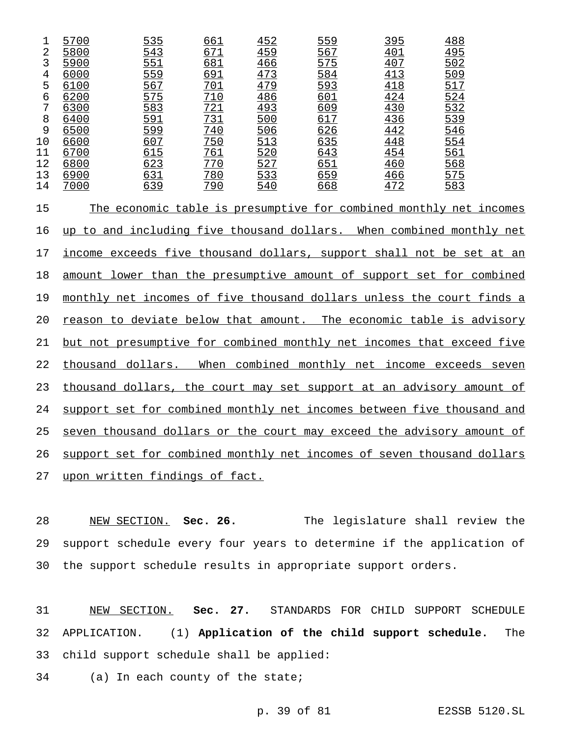| 5700 | 535 |                                                                                                |                                                                                                                                 |                                                                                                              |                                                                                              | 488                                                                                     |
|------|-----|------------------------------------------------------------------------------------------------|---------------------------------------------------------------------------------------------------------------------------------|--------------------------------------------------------------------------------------------------------------|----------------------------------------------------------------------------------------------|-----------------------------------------------------------------------------------------|
| 5800 |     |                                                                                                |                                                                                                                                 |                                                                                                              |                                                                                              | $\frac{495}{502}$                                                                       |
| 5900 |     |                                                                                                |                                                                                                                                 |                                                                                                              |                                                                                              |                                                                                         |
| 6000 |     |                                                                                                |                                                                                                                                 |                                                                                                              |                                                                                              | 509                                                                                     |
| 6100 |     |                                                                                                |                                                                                                                                 |                                                                                                              |                                                                                              |                                                                                         |
| 6200 |     |                                                                                                |                                                                                                                                 |                                                                                                              |                                                                                              | $\frac{517}{524}$ $\frac{524}{532}$                                                     |
| 6300 |     |                                                                                                |                                                                                                                                 |                                                                                                              |                                                                                              |                                                                                         |
| 6400 |     |                                                                                                |                                                                                                                                 |                                                                                                              |                                                                                              |                                                                                         |
| 6500 |     |                                                                                                |                                                                                                                                 |                                                                                                              |                                                                                              |                                                                                         |
| 6600 |     |                                                                                                |                                                                                                                                 |                                                                                                              |                                                                                              | $\frac{546}{554}$                                                                       |
| 6700 | 615 |                                                                                                |                                                                                                                                 | 643                                                                                                          | 454                                                                                          | 561                                                                                     |
| 6800 |     |                                                                                                |                                                                                                                                 |                                                                                                              |                                                                                              | $rac{568}{575}$                                                                         |
| 6900 |     |                                                                                                |                                                                                                                                 |                                                                                                              |                                                                                              |                                                                                         |
| 7000 |     | 790                                                                                            |                                                                                                                                 | 668                                                                                                          | 472                                                                                          | 583                                                                                     |
|      |     | <u>543</u><br>551<br>559<br>567<br>575<br>583<br>$\frac{591}{599}$<br>607<br>623<br>631<br>639 | <u>661</u><br>671<br>681<br>$\frac{691}{701}$<br>$\frac{721}{731}$<br>$\frac{731}{740}$<br>750<br>761<br>770<br>$\frac{780}{ }$ | 452<br>459<br>466<br>473<br>479<br>486<br>$\frac{493}{500}$<br>506<br>513<br>520<br>$\frac{527}{533}$<br>540 | 559<br>567<br>575<br>584<br>$\frac{593}{601}$<br>609<br>617<br>626<br>635<br>$rac{651}{659}$ | <u>395</u><br>401<br>407<br>413<br>418<br>424<br>430<br>436<br>442<br>448<br>460<br>466 |

15 The economic table is presumptive for combined monthly net incomes 16 up to and including five thousand dollars. When combined monthly net 17 income exceeds five thousand dollars, support shall not be set at an 18 amount lower than the presumptive amount of support set for combined monthly net incomes of five thousand dollars unless the court finds a reason to deviate below that amount. The economic table is advisory but not presumptive for combined monthly net incomes that exceed five thousand dollars. When combined monthly net income exceeds seven 23 thousand dollars, the court may set support at an advisory amount of 24 support set for combined monthly net incomes between five thousand and seven thousand dollars or the court may exceed the advisory amount of 26 support set for combined monthly net incomes of seven thousand dollars upon written findings of fact.

 NEW SECTION. **Sec. 26.** The legislature shall review the support schedule every four years to determine if the application of the support schedule results in appropriate support orders.

 NEW SECTION. **Sec. 27.** STANDARDS FOR CHILD SUPPORT SCHEDULE APPLICATION. (1) **Application of the child support schedule.** The child support schedule shall be applied:

(a) In each county of the state;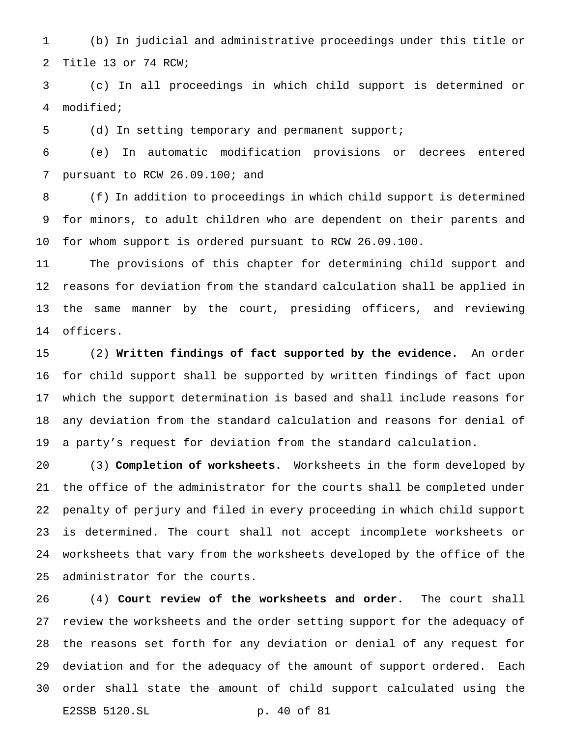(b) In judicial and administrative proceedings under this title or Title 13 or 74 RCW;

 (c) In all proceedings in which child support is determined or modified;

(d) In setting temporary and permanent support;

 (e) In automatic modification provisions or decrees entered pursuant to RCW 26.09.100; and

 (f) In addition to proceedings in which child support is determined for minors, to adult children who are dependent on their parents and for whom support is ordered pursuant to RCW 26.09.100.

 The provisions of this chapter for determining child support and reasons for deviation from the standard calculation shall be applied in the same manner by the court, presiding officers, and reviewing officers.

 (2) **Written findings of fact supported by the evidence.** An order for child support shall be supported by written findings of fact upon which the support determination is based and shall include reasons for any deviation from the standard calculation and reasons for denial of a party's request for deviation from the standard calculation.

 (3) **Completion of worksheets.** Worksheets in the form developed by the office of the administrator for the courts shall be completed under penalty of perjury and filed in every proceeding in which child support is determined. The court shall not accept incomplete worksheets or worksheets that vary from the worksheets developed by the office of the administrator for the courts.

 (4) **Court review of the worksheets and order.** The court shall review the worksheets and the order setting support for the adequacy of the reasons set forth for any deviation or denial of any request for deviation and for the adequacy of the amount of support ordered. Each order shall state the amount of child support calculated using the E2SSB 5120.SL p. 40 of 81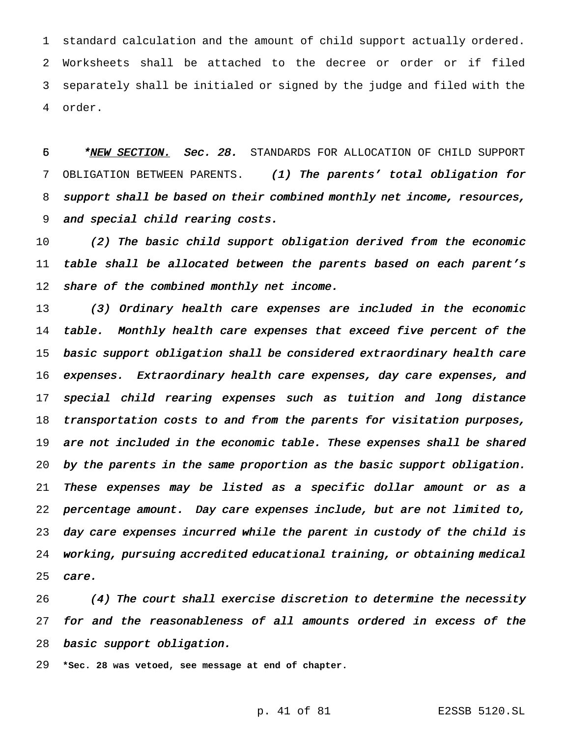standard calculation and the amount of child support actually ordered. Worksheets shall be attached to the decree or order or if filed separately shall be initialed or signed by the judge and filed with the order.

5 \* **\*NEW SECTION.** Sec. 28. STANDARDS FOR ALLOCATION OF CHILD SUPPORT OBLIGATION BETWEEN PARENTS. (1) The parents' total obligation for support shall be based on their combined monthly net income, resources, and special child rearing costs.

 (2) The basic child support obligation derived from the economic 11 table shall be allocated between the parents based on each parent's 12 share of the combined monthly net income.

 (3) Ordinary health care expenses are included in the economic 14 table. Monthly health care expenses that exceed five percent of the basic support obligation shall be considered extraordinary health care expenses. Extraordinary health care expenses, day care expenses, and special child rearing expenses such as tuition and long distance transportation costs to and from the parents for visitation purposes, are not included in the economic table. These expenses shall be shared by the parents in the same proportion as the basic support obligation. These expenses may be listed as <sup>a</sup> specific dollar amount or as <sup>a</sup> percentage amount. Day care expenses include, but are not limited to, day care expenses incurred while the parent in custody of the child is working, pursuing accredited educational training, or obtaining medical care.

 (4) The court shall exercise discretion to determine the necessity for and the reasonableness of all amounts ordered in excess of the basic support obligation.

**\*Sec. 28 was vetoed, see message at end of chapter.**

p. 41 of 81 E2SSB 5120.SL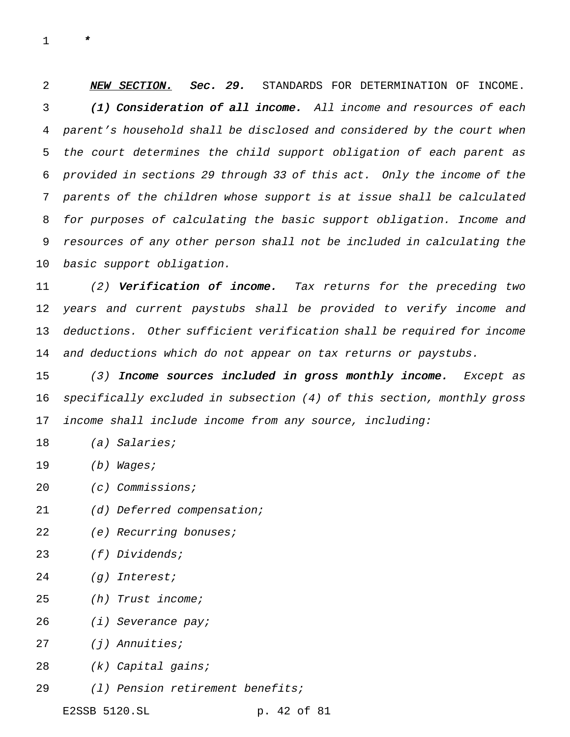\*

2 NEW SECTION. Sec. 29. STANDARDS FOR DETERMINATION OF INCOME. 3 (1) Consideration of all income. All income and resources of each parent's household shall be disclosed and considered by the court when the court determines the child support obligation of each parent as provided in sections <sup>29</sup> through <sup>33</sup> of this act. Only the income of the parents of the children whose support is at issue shall be calculated for purposes of calculating the basic support obligation. Income and resources of any other person shall not be included in calculating the basic support obligation.

11 (2) Verification of income. Tax returns for the preceding two years and current paystubs shall be provided to verify income and deductions. Other sufficient verification shall be required for income 14 and deductions which do not appear on tax returns or paystubs.

15 (3) Income sources included in gross monthly income. Except as specifically excluded in subsection (4) of this section, monthly gross income shall include income from any source, including:

- 18 (a) Salaries;
- 19 (b) Wages;
- 20 (c) Commissions;
- 21 (d) Deferred compensation;
- 22 (e) Recurring bonuses;
- (f) Dividends;
- (g) Interest;
- (h) Trust income;
- (i) Severance pay;
- (j) Annuities;
- (k) Capital gains;
- (l) Pension retirement benefits;

E2SSB 5120.SL p. 42 of 81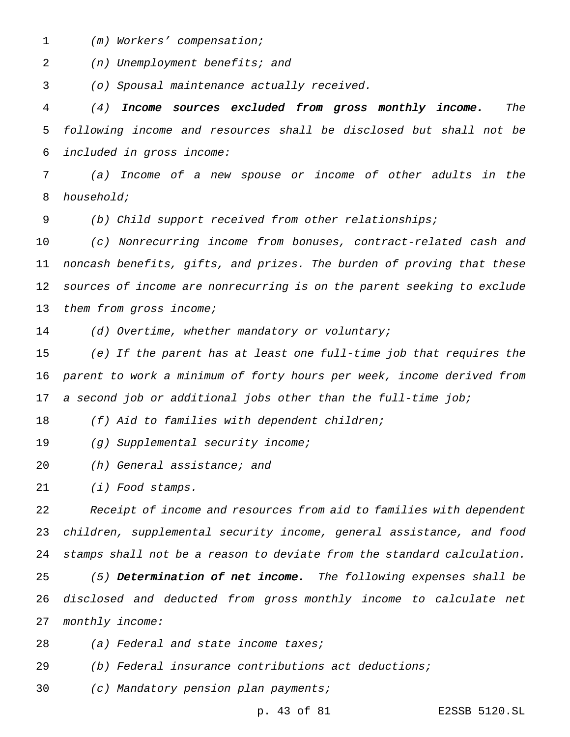(m) Workers' compensation;

(n) Unemployment benefits; and

(o) Spousal maintenance actually received.

 (4) Income sources excluded from gross monthly income. The following income and resources shall be disclosed but shall not be included in gross income:

 (a) Income of <sup>a</sup> new spouse or income of other adults in the household;

(b) Child support received from other relationships;

 (c) Nonrecurring income from bonuses, contract-related cash and noncash benefits, gifts, and prizes. The burden of proving that these sources of income are nonrecurring is on the parent seeking to exclude 13 them from gross income;

(d) Overtime, whether mandatory or voluntary;

 (e) If the parent has at least one full-time job that requires the parent to work <sup>a</sup> minimum of forty hours per week, income derived from <sup>a</sup> second job or additional jobs other than the full-time job;

18 (f) Aid to families with dependent children;

19 (g) Supplemental security income;

(h) General assistance; and

(i) Food stamps.

 Receipt of income and resources from aid to families with dependent children, supplemental security income, general assistance, and food stamps shall not be <sup>a</sup> reason to deviate from the standard calculation.

25 (5) Determination of net income. The following expenses shall be disclosed and deducted from gross monthly income to calculate net monthly income:

28 (a) Federal and state income taxes;

(b) Federal insurance contributions act deductions;

(c) Mandatory pension plan payments;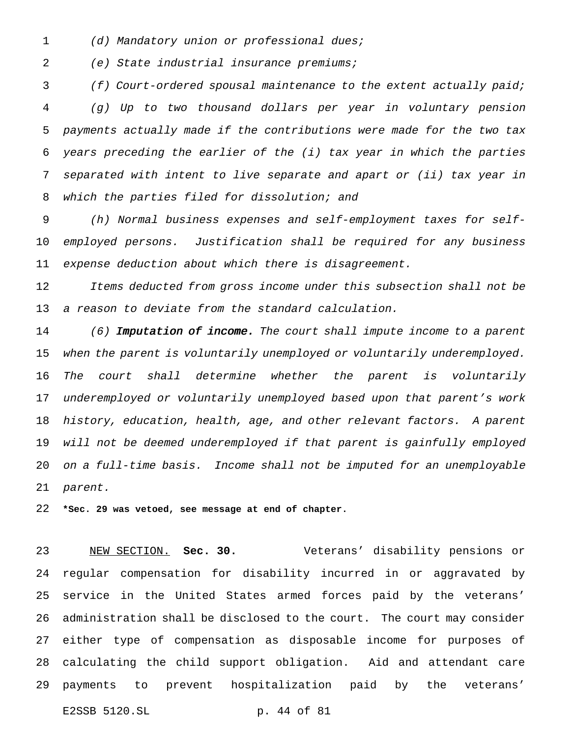1 (d) Mandatory union or professional dues;

(e) State industrial insurance premiums;

 (f) Court-ordered spousal maintenance to the extent actually paid; (g) Up to two thousand dollars per year in voluntary pension payments actually made if the contributions were made for the two tax years preceding the earlier of the (i) tax year in which the parties separated with intent to live separate and apart or (ii) tax year in which the parties filed for dissolution; and

 (h) Normal business expenses and self-employment taxes for self- employed persons. Justification shall be required for any business expense deduction about which there is disagreement.

 Items deducted from gross income under this subsection shall not be <sup>a</sup> reason to deviate from the standard calculation.

14 (6) Imputation of income. The court shall impute income to a parent when the parent is voluntarily unemployed or voluntarily underemployed. The court shall determine whether the parent is voluntarily underemployed or voluntarily unemployed based upon that parent's work history, education, health, age, and other relevant factors. <sup>A</sup> parent will not be deemed underemployed if that parent is gainfully employed on <sup>a</sup> full-time basis. Income shall not be imputed for an unemployable parent.

**\*Sec. 29 was vetoed, see message at end of chapter.**

 NEW SECTION. **Sec. 30.** Veterans' disability pensions or regular compensation for disability incurred in or aggravated by service in the United States armed forces paid by the veterans' administration shall be disclosed to the court. The court may consider either type of compensation as disposable income for purposes of calculating the child support obligation. Aid and attendant care payments to prevent hospitalization paid by the veterans' E2SSB 5120.SL p. 44 of 81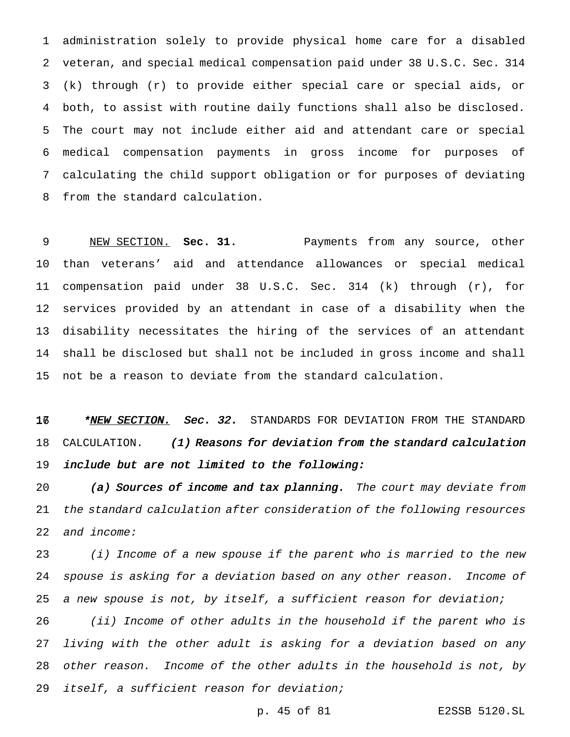administration solely to provide physical home care for a disabled veteran, and special medical compensation paid under 38 U.S.C. Sec. 314 (k) through (r) to provide either special care or special aids, or both, to assist with routine daily functions shall also be disclosed. The court may not include either aid and attendant care or special medical compensation payments in gross income for purposes of calculating the child support obligation or for purposes of deviating from the standard calculation.

 NEW SECTION. **Sec. 31.** Payments from any source, other than veterans' aid and attendance allowances or special medical compensation paid under 38 U.S.C. Sec. 314 (k) through (r), for services provided by an attendant in case of a disability when the disability necessitates the hiring of the services of an attendant shall be disclosed but shall not be included in gross income and shall not be a reason to deviate from the standard calculation.

16 \*<u>NEW SECTION.</u> Sec. 32. STANDARDS FOR DEVIATION FROM THE STANDARD 18 CALCULATION. (1) Reasons for deviation from the standard calculation include but are not limited to the following:

20 (a) Sources of income and tax planning. The court may deviate from the standard calculation after consideration of the following resources and income:

 (i) Income of <sup>a</sup> new spouse if the parent who is married to the new spouse is asking for <sup>a</sup> deviation based on any other reason. Income of <sup>a</sup> new spouse is not, by itself, <sup>a</sup> sufficient reason for deviation;

 (ii) Income of other adults in the household if the parent who is living with the other adult is asking for <sup>a</sup> deviation based on any other reason. Income of the other adults in the household is not, by itself, <sup>a</sup> sufficient reason for deviation;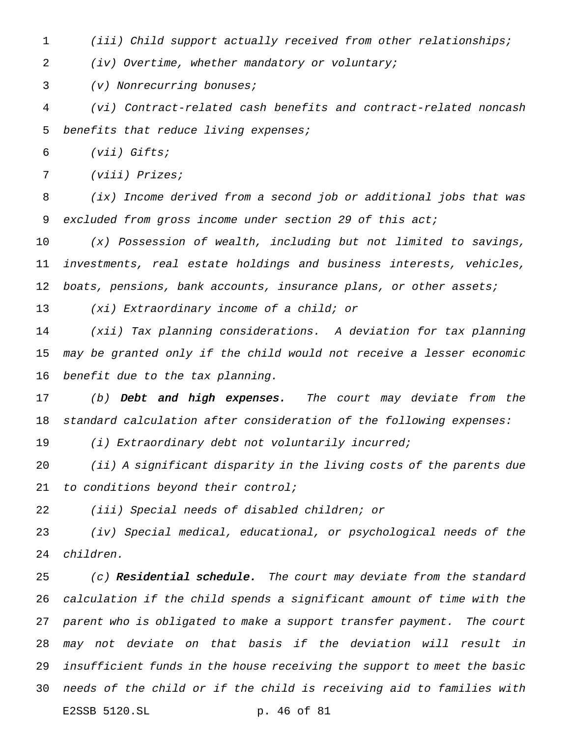(iii) Child support actually received from other relationships;

(iv) Overtime, whether mandatory or voluntary;

(v) Nonrecurring bonuses;

 (vi) Contract-related cash benefits and contract-related noncash 5 benefits that reduce living expenses;

(vii) Gifts;

(viii) Prizes;

 (ix) Income derived from <sup>a</sup> second job or additional jobs that was 9 excluded from gross income under section 29 of this act;

 (x) Possession of wealth, including but not limited to savings, investments, real estate holdings and business interests, vehicles, boats, pensions, bank accounts, insurance plans, or other assets;

(xi) Extraordinary income of <sup>a</sup> child; or

 (xii) Tax planning considerations. <sup>A</sup> deviation for tax planning may be granted only if the child would not receive <sup>a</sup> lesser economic benefit due to the tax planning.

17 (b) Debt and high expenses. The court may deviate from the standard calculation after consideration of the following expenses:

19 (i) Extraordinary debt not voluntarily incurred;

 (ii) <sup>A</sup> significant disparity in the living costs of the parents due to conditions beyond their control;

(iii) Special needs of disabled children; or

 (iv) Special medical, educational, or psychological needs of the children.

 $(c)$  Residential schedule. The court may deviate from the standard calculation if the child spends <sup>a</sup> significant amount of time with the parent who is obligated to make <sup>a</sup> support transfer payment. The court may not deviate on that basis if the deviation will result in insufficient funds in the house receiving the support to meet the basic needs of the child or if the child is receiving aid to families with E2SSB 5120.SL p. 46 of 81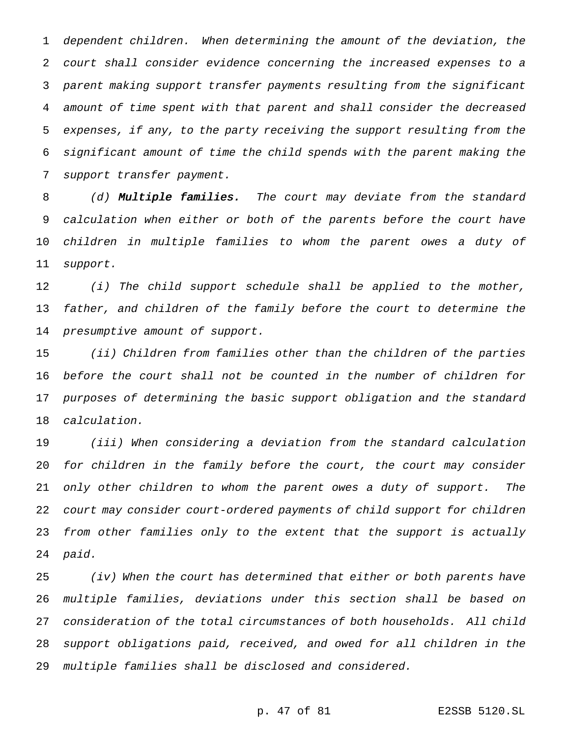dependent children. When determining the amount of the deviation, the court shall consider evidence concerning the increased expenses to <sup>a</sup> parent making support transfer payments resulting from the significant amount of time spent with that parent and shall consider the decreased expenses, if any, to the party receiving the support resulting from the significant amount of time the child spends with the parent making the support transfer payment.

8 (d) Multiple families. The court may deviate from the standard calculation when either or both of the parents before the court have children in multiple families to whom the parent owes <sup>a</sup> duty of support.

 (i) The child support schedule shall be applied to the mother, father, and children of the family before the court to determine the presumptive amount of support.

 (ii) Children from families other than the children of the parties before the court shall not be counted in the number of children for purposes of determining the basic support obligation and the standard calculation.

 (iii) When considering <sup>a</sup> deviation from the standard calculation for children in the family before the court, the court may consider only other children to whom the parent owes <sup>a</sup> duty of support. The court may consider court-ordered payments of child support for children from other families only to the extent that the support is actually paid.

 (iv) When the court has determined that either or both parents have multiple families, deviations under this section shall be based on consideration of the total circumstances of both households. All child support obligations paid, received, and owed for all children in the multiple families shall be disclosed and considered.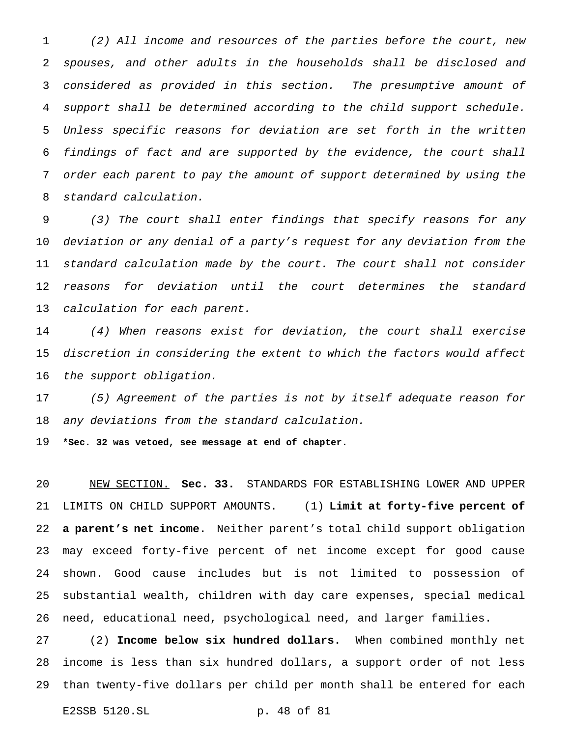(2) All income and resources of the parties before the court, new spouses, and other adults in the households shall be disclosed and considered as provided in this section. The presumptive amount of support shall be determined according to the child support schedule. Unless specific reasons for deviation are set forth in the written findings of fact and are supported by the evidence, the court shall order each parent to pay the amount of support determined by using the standard calculation.

 (3) The court shall enter findings that specify reasons for any deviation or any denial of <sup>a</sup> party's request for any deviation from the standard calculation made by the court. The court shall not consider reasons for deviation until the court determines the standard calculation for each parent.

 (4) When reasons exist for deviation, the court shall exercise discretion in considering the extent to which the factors would affect the support obligation.

 (5) Agreement of the parties is not by itself adequate reason for any deviations from the standard calculation.

**\*Sec. 32 was vetoed, see message at end of chapter.**

 NEW SECTION. **Sec. 33.** STANDARDS FOR ESTABLISHING LOWER AND UPPER LIMITS ON CHILD SUPPORT AMOUNTS. (1) **Limit at forty-five percent of a parent's net income.** Neither parent's total child support obligation may exceed forty-five percent of net income except for good cause shown. Good cause includes but is not limited to possession of substantial wealth, children with day care expenses, special medical need, educational need, psychological need, and larger families.

 (2) **Income below six hundred dollars.** When combined monthly net income is less than six hundred dollars, a support order of not less than twenty-five dollars per child per month shall be entered for each

E2SSB 5120.SL p. 48 of 81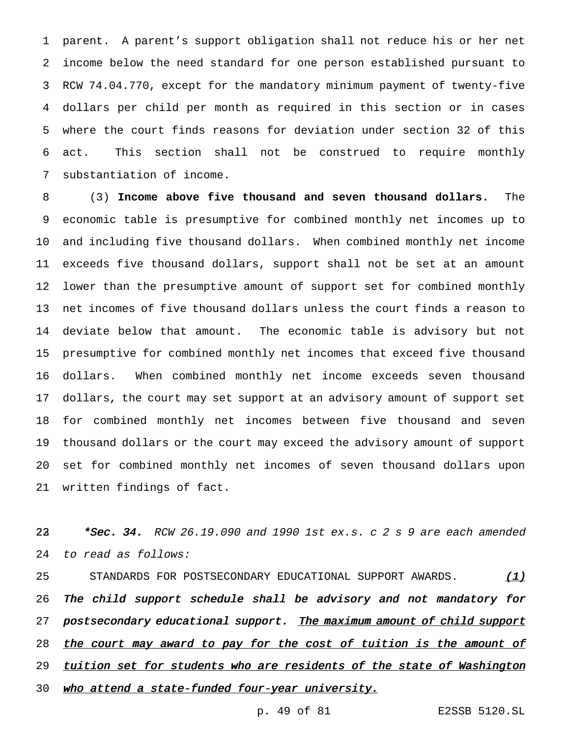parent. A parent's support obligation shall not reduce his or her net income below the need standard for one person established pursuant to RCW 74.04.770, except for the mandatory minimum payment of twenty-five dollars per child per month as required in this section or in cases where the court finds reasons for deviation under section 32 of this act. This section shall not be construed to require monthly substantiation of income.

 (3) **Income above five thousand and seven thousand dollars.** The economic table is presumptive for combined monthly net incomes up to and including five thousand dollars. When combined monthly net income exceeds five thousand dollars, support shall not be set at an amount lower than the presumptive amount of support set for combined monthly net incomes of five thousand dollars unless the court finds a reason to deviate below that amount. The economic table is advisory but not presumptive for combined monthly net incomes that exceed five thousand dollars. When combined monthly net income exceeds seven thousand dollars, the court may set support at an advisory amount of support set for combined monthly net incomes between five thousand and seven thousand dollars or the court may exceed the advisory amount of support set for combined monthly net incomes of seven thousand dollars upon written findings of fact.

22 \*Sec. 34. RCW 26.19.090 and 1990 1st ex.s. c 2 s 9 are each amended to read as follows:

 STANDARDS FOR POSTSECONDARY EDUCATIONAL SUPPORT AWARDS. (1) The child support schedule shall be advisory and not mandatory for 27 postsecondary educational support. The maximum amount of child support 28 the court may award to pay for the cost of tuition is the amount of 29 tuition set for students who are residents of the state of Washington 30 who attend a state-funded four-year university.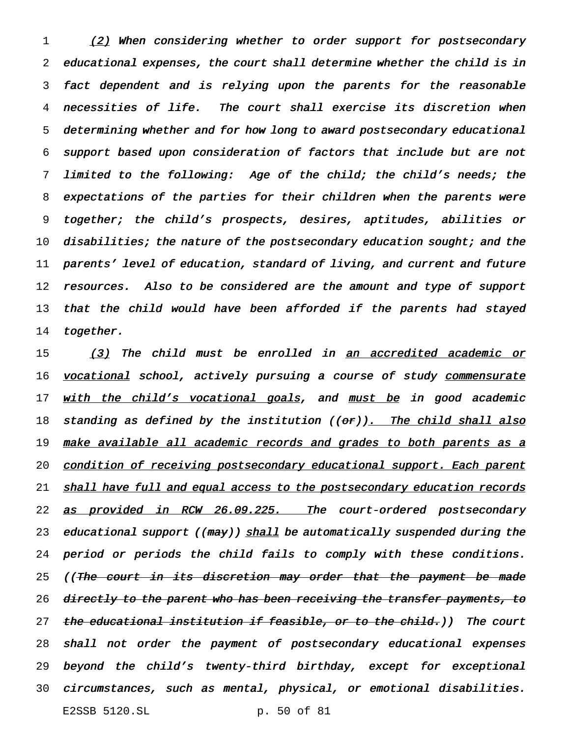1 (2) When considering whether to order support for postsecondary educational expenses, the court shall determine whether the child is in fact dependent and is relying upon the parents for the reasonable necessities of life. The court shall exercise its discretion when determining whether and for how long to award postsecondary educational support based upon consideration of factors that include but are not limited to the following: Age of the child; the child's needs; the expectations of the parties for their children when the parents were together; the child's prospects, desires, aptitudes, abilities or 10 disabilities; the nature of the postsecondary education sought; and the parents' level of education, standard of living, and current and future resources. Also to be considered are the amount and type of support 13 that the child would have been afforded if the parents had stayed 14 together.

15 (3) The child must be enrolled in an accredited academic or 16 vocational school, actively pursuing a course of study commensurate 17 with the child's vocational goals, and must be in good academic 18 standing as defined by the institution ((or)). The child shall also 19 <u>make available all academic records and grades to both parents as a</u> 20 condition of receiving postsecondary educational support. Each parent 21 shall have full and equal access to the postsecondary education records 22 as provided in RCW 26.09.225. The court-ordered postsecondary 23 educational support ((may)) shall be automatically suspended during the 24 period or periods the child fails to comply with these conditions. 25 ((The court in its discretion may order that the payment be made 26 directly to the parent who has been receiving the transfer payments, to 27 the educational institution if feasible, or to the child.)) The court 28 shall not order the payment of postsecondary educational expenses 29 beyond the child's twenty-third birthday, except for exceptional 30 circumstances, such as mental, physical, or emotional disabilities. E2SSB 5120.SL p. 50 of 81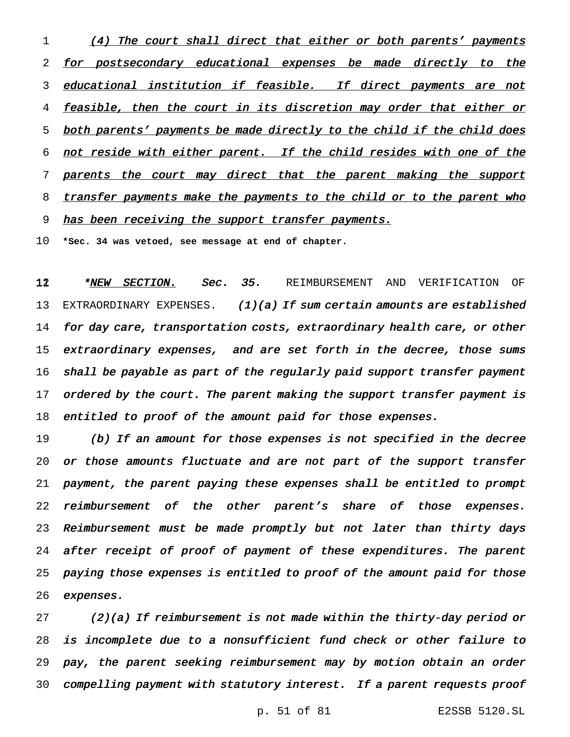1 (4) The court shall direct that either or both parents' payments 2 for postsecondary educational expenses be made directly to the 3 educational institution if feasible. If direct payments are not 4 feasible, then the court in its discretion may order that either or 5 both parents' payments be made directly to the child if the child does 6 not reside with either parent. If the child resides with one of the 7 parents the court may direct that the parent making the support 8 transfer payments make the payments to the child or to the parent who 9 has been receiving the support transfer payments.

10 **\*Sec. 34 was vetoed, see message at end of chapter.**

12 **\*NEW SECTION. Sec. 35.** REIMBURSEMENT AND VERIFICATION OF 13 EXTRAORDINARY EXPENSES.  $(1)(a)$  If sum certain amounts are established 14 for day care, transportation costs, extraordinary health care, or other 15 extraordinary expenses, and are set forth in the decree, those sums 16 shall be payable as part of the regularly paid support transfer payment 17 ordered by the court. The parent making the support transfer payment is 18 entitled to proof of the amount paid for those expenses.

 (b) If an amount for those expenses is not specified in the decree or those amounts fluctuate and are not part of the support transfer payment, the parent paying these expenses shall be entitled to prompt 22 reimbursement of the other parent's share of those expenses. Reimbursement must be made promptly but not later than thirty days after receipt of proof of payment of these expenditures. The parent paying those expenses is entitled to proof of the amount paid for those expenses.

27 (2)(a) If reimbursement is not made within the thirty-day period or is incomplete due to <sup>a</sup> nonsufficient fund check or other failure to pay, the parent seeking reimbursement may by motion obtain an order compelling payment with statutory interest. If <sup>a</sup> parent requests proof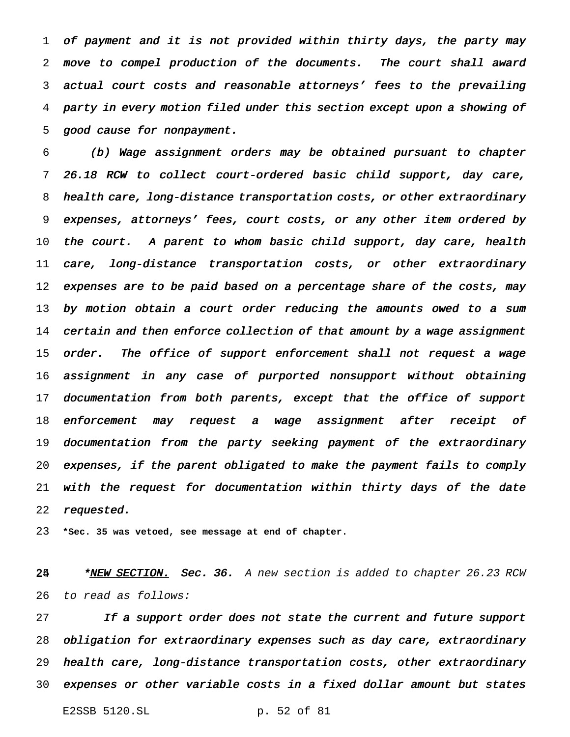of payment and it is not provided within thirty days, the party may move to compel production of the documents. The court shall award actual court costs and reasonable attorneys' fees to the prevailing party in every motion filed under this section except upon <sup>a</sup> showing of good cause for nonpayment.

 (b) Wage assignment orders may be obtained pursuant to chapter 26.18 RCW to collect court-ordered basic child support, day care, health care, long-distance transportation costs, or other extraordinary expenses, attorneys' fees, court costs, or any other item ordered by 10 the court. A parent to whom basic child support, day care, health care, long-distance transportation costs, or other extraordinary expenses are to be paid based on <sup>a</sup> percentage share of the costs, may by motion obtain <sup>a</sup> court order reducing the amounts owed to <sup>a</sup> sum 14 certain and then enforce collection of that amount by a wage assignment 15 order. The office of support enforcement shall not request a wage assignment in any case of purported nonsupport without obtaining 17 documentation from both parents, except that the office of support enforcement may request <sup>a</sup> wage assignment after receipt of documentation from the party seeking payment of the extraordinary expenses, if the parent obligated to make the payment fails to comply with the request for documentation within thirty days of the date 22 requested.

**\*Sec. 35 was vetoed, see message at end of chapter.**

25 \*NEW SECTION. Sec. 36. A new section is added to chapter 26.23 RCW to read as follows:

27 If a support order does not state the current and future support obligation for extraordinary expenses such as day care, extraordinary health care, long-distance transportation costs, other extraordinary expenses or other variable costs in <sup>a</sup> fixed dollar amount but states

E2SSB 5120.SL p. 52 of 81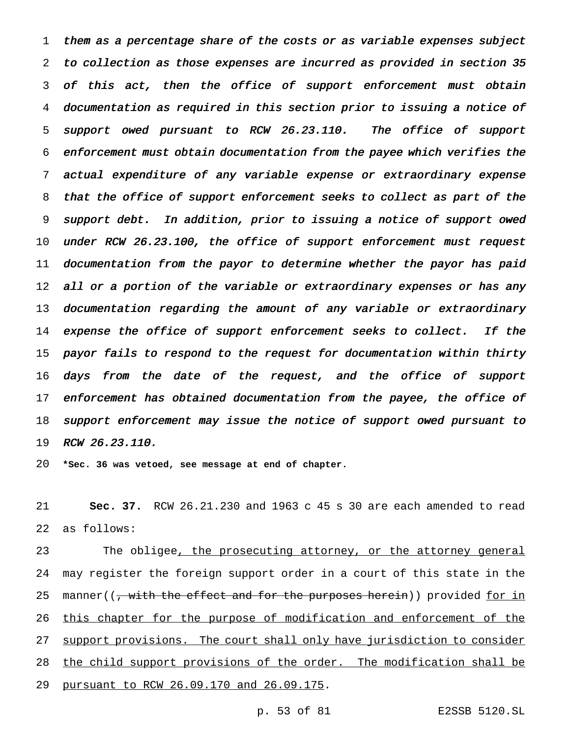them as <sup>a</sup> percentage share of the costs or as variable expenses subject to collection as those expenses are incurred as provided in section <sup>35</sup> of this act, then the office of support enforcement must obtain documentation as required in this section prior to issuing <sup>a</sup> notice of support owed pursuant to RCW 26.23.110. The office of support enforcement must obtain documentation from the payee which verifies the actual expenditure of any variable expense or extraordinary expense that the office of support enforcement seeks to collect as part of the support debt. In addition, prior to issuing <sup>a</sup> notice of support owed under RCW 26.23.100, the office of support enforcement must request documentation from the payor to determine whether the payor has paid 12 all or a portion of the variable or extraordinary expenses or has any documentation regarding the amount of any variable or extraordinary 14 expense the office of support enforcement seeks to collect. If the payor fails to respond to the request for documentation within thirty 16 days from the date of the request, and the office of support 17 enforcement has obtained documentation from the payee, the office of support enforcement may issue the notice of support owed pursuant to RCW 26.23.110.

**\*Sec. 36 was vetoed, see message at end of chapter.**

 **Sec. 37.** RCW 26.21.230 and 1963 c 45 s 30 are each amended to read as follows:

23 The obligee<u>, the prosecuting attorney, or the attorney general</u> may register the foreign support order in a court of this state in the 25 manner((, with the effect and for the purposes herein)) provided for in 26 this chapter for the purpose of modification and enforcement of the 27 support provisions. The court shall only have jurisdiction to consider 28 the child support provisions of the order. The modification shall be pursuant to RCW 26.09.170 and 26.09.175.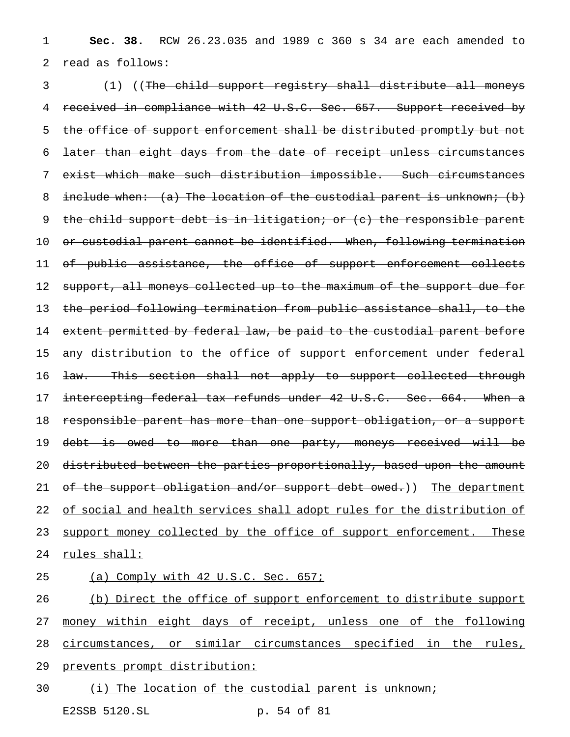1 **Sec. 38.** RCW 26.23.035 and 1989 c 360 s 34 are each amended to 2 read as follows:

3 (1) ((The child support registry shall distribute all moneys 4 received in compliance with 42 U.S.C. Sec. 657. Support received by 5 the office of support enforcement shall be distributed promptly but not 6 later than eight days from the date of receipt unless circumstances 7 exist which make such distribution impossible. Such circumstances 8 include when: (a) The location of the custodial parent is unknown; (b) 9 the child support debt is in litigation; or (c) the responsible parent 10 or custodial parent cannot be identified. When, following termination 11 of public assistance, the office of support enforcement collects 12 support, all moneys collected up to the maximum of the support due for 13 the period following termination from public assistance shall, to the 14 extent permitted by federal law, be paid to the custodial parent before 15 any distribution to the office of support enforcement under federal 16 <del>law. This section shall not apply to support collected through</del> 17 intercepting federal tax refunds under 42 U.S.C. Sec. 664. When a 18 responsible parent has more than one support obligation, or a support 19 debt is owed to more than one party, moneys received will be 20 distributed between the parties proportionally, based upon the amount 21 of the support obligation and/or support debt owed.)) The department 22 of social and health services shall adopt rules for the distribution of 23 support money collected by the office of support enforcement. These 24 rules shall:

## 25 (a) Comply with 42 U.S.C. Sec. 657;

 (b) Direct the office of support enforcement to distribute support money within eight days of receipt, unless one of the following circumstances, or similar circumstances specified in the rules, prevents prompt distribution: (i) The location of the custodial parent is unknown;

E2SSB 5120.SL p. 54 of 81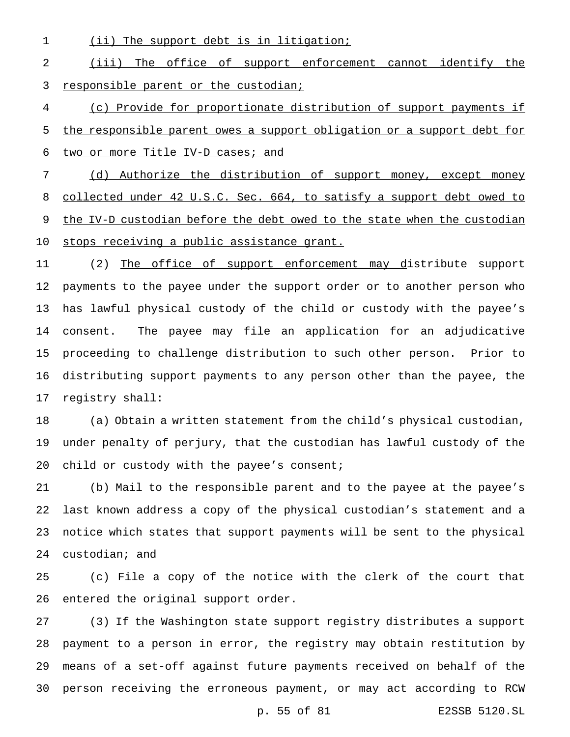1 (ii) The support debt is in litigation;

## (iii) The office of support enforcement cannot identify the responsible parent or the custodian;

 (c) Provide for proportionate distribution of support payments if the responsible parent owes a support obligation or a support debt for 6 two or more Title IV-D cases; and

 (d) Authorize the distribution of support money, except money collected under 42 U.S.C. Sec. 664, to satisfy a support debt owed to 9 the IV-D custodian before the debt owed to the state when the custodian stops receiving a public assistance grant.

11 (2) The office of support enforcement may distribute support payments to the payee under the support order or to another person who has lawful physical custody of the child or custody with the payee's consent. The payee may file an application for an adjudicative proceeding to challenge distribution to such other person. Prior to distributing support payments to any person other than the payee, the registry shall:

 (a) Obtain a written statement from the child's physical custodian, under penalty of perjury, that the custodian has lawful custody of the 20 child or custody with the payee's consent;

 (b) Mail to the responsible parent and to the payee at the payee's last known address a copy of the physical custodian's statement and a notice which states that support payments will be sent to the physical custodian; and

 (c) File a copy of the notice with the clerk of the court that entered the original support order.

 (3) If the Washington state support registry distributes a support payment to a person in error, the registry may obtain restitution by means of a set-off against future payments received on behalf of the person receiving the erroneous payment, or may act according to RCW

p. 55 of 81 E2SSB 5120.SL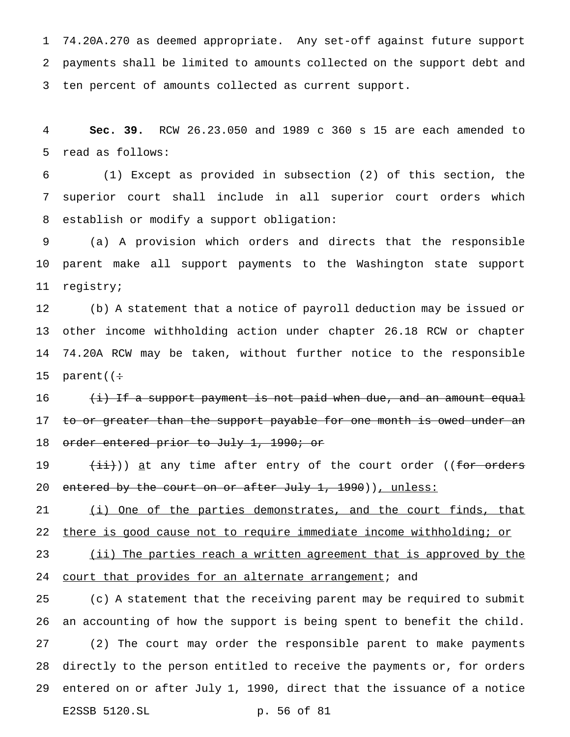74.20A.270 as deemed appropriate. Any set-off against future support payments shall be limited to amounts collected on the support debt and ten percent of amounts collected as current support.

 **Sec. 39.** RCW 26.23.050 and 1989 c 360 s 15 are each amended to read as follows:

 (1) Except as provided in subsection (2) of this section, the superior court shall include in all superior court orders which establish or modify a support obligation:

 (a) A provision which orders and directs that the responsible parent make all support payments to the Washington state support registry;

 (b) A statement that a notice of payroll deduction may be issued or other income withholding action under chapter 26.18 RCW or chapter 74.20A RCW may be taken, without further notice to the responsible 15 parent( $\div$ 

 $(i)$  If a support payment is not paid when due, and an amount equal 17 to or greater than the support payable for one month is owed under an 18 order entered prior to July 1, 1990; or

19  $(iii)$ ) at any time after entry of the court order ((for orders 20 entered by the court on or after July 1, 1990)), unless:

21 (i) One of the parties demonstrates, and the court finds, that there is good cause not to require immediate income withholding; or

23 (ii) The parties reach a written agreement that is approved by the 24 court that provides for an alternate arrangement; and

 (c) A statement that the receiving parent may be required to submit an accounting of how the support is being spent to benefit the child. (2) The court may order the responsible parent to make payments directly to the person entitled to receive the payments or, for orders entered on or after July 1, 1990, direct that the issuance of a notice E2SSB 5120.SL p. 56 of 81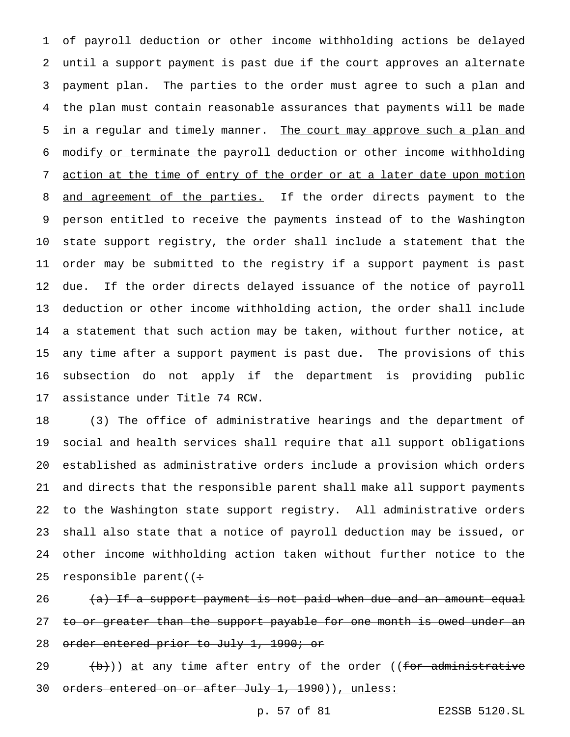of payroll deduction or other income withholding actions be delayed until a support payment is past due if the court approves an alternate payment plan. The parties to the order must agree to such a plan and the plan must contain reasonable assurances that payments will be made 5 in a regular and timely manner. The court may approve such a plan and modify or terminate the payroll deduction or other income withholding action at the time of entry of the order or at a later date upon motion 8 and agreement of the parties. If the order directs payment to the person entitled to receive the payments instead of to the Washington state support registry, the order shall include a statement that the order may be submitted to the registry if a support payment is past due. If the order directs delayed issuance of the notice of payroll deduction or other income withholding action, the order shall include a statement that such action may be taken, without further notice, at any time after a support payment is past due. The provisions of this subsection do not apply if the department is providing public assistance under Title 74 RCW.

 (3) The office of administrative hearings and the department of social and health services shall require that all support obligations established as administrative orders include a provision which orders and directs that the responsible parent shall make all support payments to the Washington state support registry. All administrative orders shall also state that a notice of payroll deduction may be issued, or other income withholding action taken without further notice to the 25 responsible parent( $($ :

26 (a) If a support payment is not paid when due and an amount equal 27 to or greater than the support payable for one month is owed under an 28 order entered prior to July 1, 1990; or

 $(29 \t (b))$  at any time after entry of the order ((for administrative 30 orders entered on or after July 1, 1990)), unless: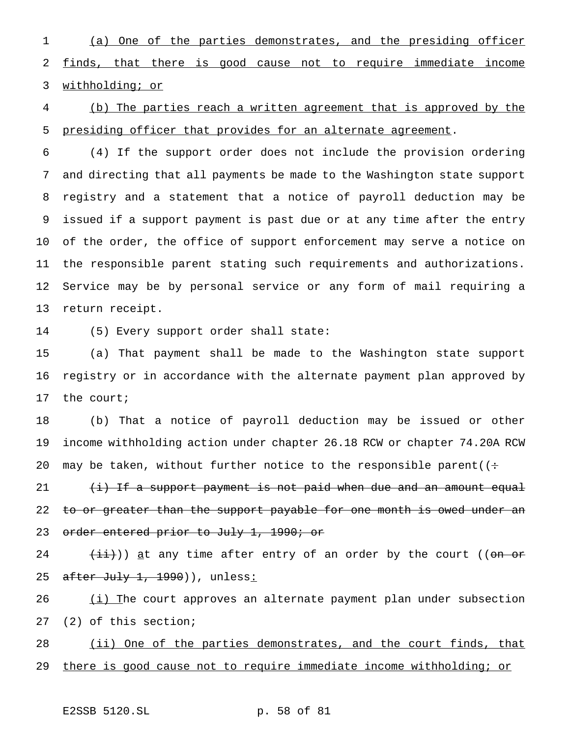(a) One of the parties demonstrates, and the presiding officer finds, that there is good cause not to require immediate income withholding; or

 (b) The parties reach a written agreement that is approved by the presiding officer that provides for an alternate agreement.

 (4) If the support order does not include the provision ordering and directing that all payments be made to the Washington state support registry and a statement that a notice of payroll deduction may be issued if a support payment is past due or at any time after the entry of the order, the office of support enforcement may serve a notice on the responsible parent stating such requirements and authorizations. Service may be by personal service or any form of mail requiring a return receipt.

(5) Every support order shall state:

 (a) That payment shall be made to the Washington state support registry or in accordance with the alternate payment plan approved by the court;

 (b) That a notice of payroll deduction may be issued or other income withholding action under chapter 26.18 RCW or chapter 74.20A RCW 20 may be taken, without further notice to the responsible parent( $($ :

21 (i) If a support payment is not paid when due and an amount equal 22 to or greater than the support payable for one month is owed under an 23 order entered prior to July 1, 1990; or

 $(\pm i)$ ) <u>a</u>t any time after entry of an order by the court (( $\theta$ <del>n or</del> 25 after July 1, 1990)), unless:

26 (i) The court approves an alternate payment plan under subsection (2) of this section;

28 (ii) One of the parties demonstrates, and the court finds, that there is good cause not to require immediate income withholding; or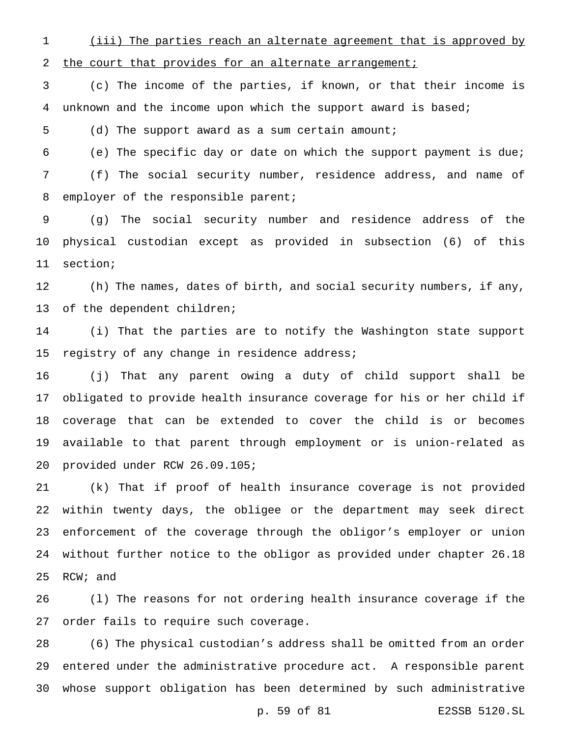(iii) The parties reach an alternate agreement that is approved by 2 the court that provides for an alternate arrangement;

 (c) The income of the parties, if known, or that their income is unknown and the income upon which the support award is based;

(d) The support award as a sum certain amount;

 (e) The specific day or date on which the support payment is due; (f) The social security number, residence address, and name of 8 employer of the responsible parent;

 (g) The social security number and residence address of the physical custodian except as provided in subsection (6) of this section;

 (h) The names, dates of birth, and social security numbers, if any, of the dependent children;

 (i) That the parties are to notify the Washington state support 15 registry of any change in residence address;

 (j) That any parent owing a duty of child support shall be obligated to provide health insurance coverage for his or her child if coverage that can be extended to cover the child is or becomes available to that parent through employment or is union-related as provided under RCW 26.09.105;

 (k) That if proof of health insurance coverage is not provided within twenty days, the obligee or the department may seek direct enforcement of the coverage through the obligor's employer or union without further notice to the obligor as provided under chapter 26.18 RCW; and

 (l) The reasons for not ordering health insurance coverage if the order fails to require such coverage.

 (6) The physical custodian's address shall be omitted from an order entered under the administrative procedure act. A responsible parent whose support obligation has been determined by such administrative

p. 59 of 81 E2SSB 5120.SL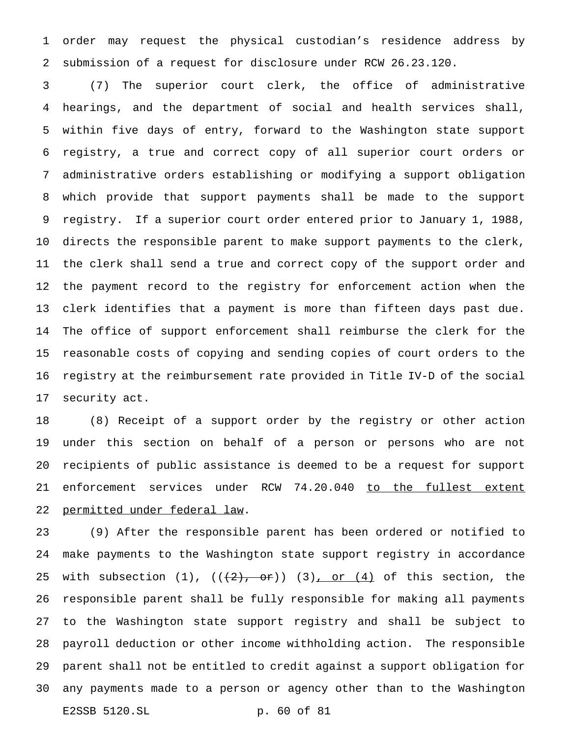order may request the physical custodian's residence address by submission of a request for disclosure under RCW 26.23.120.

 (7) The superior court clerk, the office of administrative hearings, and the department of social and health services shall, within five days of entry, forward to the Washington state support registry, a true and correct copy of all superior court orders or administrative orders establishing or modifying a support obligation which provide that support payments shall be made to the support registry. If a superior court order entered prior to January 1, 1988, directs the responsible parent to make support payments to the clerk, the clerk shall send a true and correct copy of the support order and the payment record to the registry for enforcement action when the clerk identifies that a payment is more than fifteen days past due. The office of support enforcement shall reimburse the clerk for the reasonable costs of copying and sending copies of court orders to the registry at the reimbursement rate provided in Title IV-D of the social security act.

 (8) Receipt of a support order by the registry or other action under this section on behalf of a person or persons who are not recipients of public assistance is deemed to be a request for support 21 enforcement services under RCW 74.20.040 to the fullest extent permitted under federal law.

 (9) After the responsible parent has been ordered or notified to make payments to the Washington state support registry in accordance 25 with subsection  $(1)$ ,  $((+2)$ , or))  $(3)$ , or  $(4)$  of this section, the responsible parent shall be fully responsible for making all payments to the Washington state support registry and shall be subject to payroll deduction or other income withholding action. The responsible parent shall not be entitled to credit against a support obligation for any payments made to a person or agency other than to the Washington E2SSB 5120.SL p. 60 of 81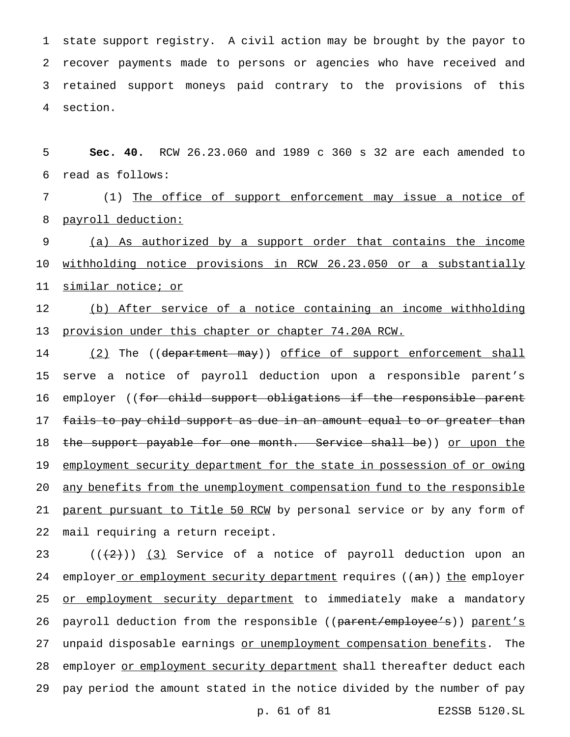state support registry. A civil action may be brought by the payor to recover payments made to persons or agencies who have received and retained support moneys paid contrary to the provisions of this 4 section.

5 **Sec. 40.** RCW 26.23.060 and 1989 c 360 s 32 are each amended to 6 read as follows:

7 (1) The office of support enforcement may issue a notice of 8 payroll deduction:

9 (a) As authorized by a support order that contains the income 10 withholding notice provisions in RCW 26.23.050 or a substantially 11 similar notice; or

12 (b) After service of a notice containing an income withholding 13 provision under this chapter or chapter 74.20A RCW.

14 (2) The ((department may)) office of support enforcement shall 15 serve a notice of payroll deduction upon a responsible parent's 16 employer ((for child support obligations if the responsible parent 17 f<del>ails to pay child support as due in an amount equal to or greater than</del> 18 the support payable for one month. Service shall be)) or upon the 19 employment security department for the state in possession of or owing 20 any benefits from the unemployment compensation fund to the responsible 21 parent pursuant to Title 50 RCM by personal service or by any form of 22 mail requiring a return receipt.

23  $((+2))$   $(3)$  Service of a notice of payroll deduction upon an 24 employer or employment security department requires ((an)) the employer 25 or employment security department to immediately make a mandatory 26 payroll deduction from the responsible ((parent/employee's)) parent's 27 unpaid disposable earnings or unemployment compensation benefits. The 28 employer or employment security department shall thereafter deduct each 29 pay period the amount stated in the notice divided by the number of pay

p. 61 of 81 E2SSB 5120.SL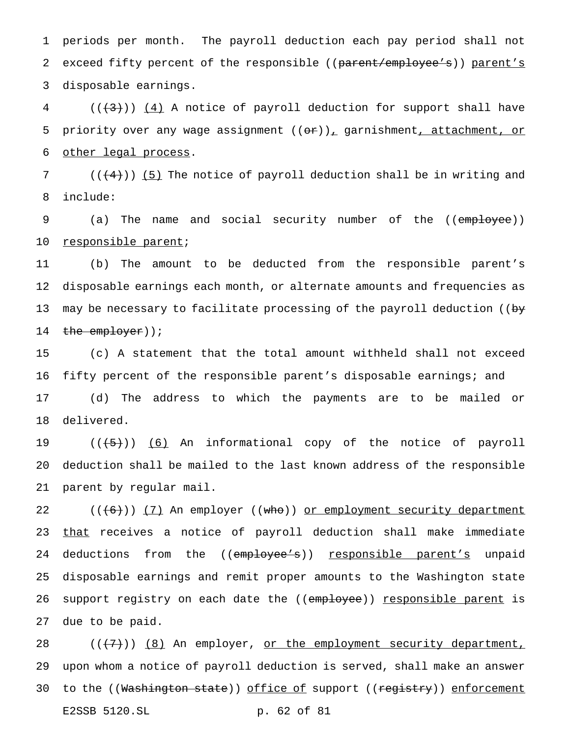1 periods per month. The payroll deduction each pay period shall not 2 exceed fifty percent of the responsible ((parent/employee's)) parent's 3 disposable earnings.

 $4$  (( $\left(\frac{4}{3}\right)$ ) (4) A notice of payroll deduction for support shall have 5 priority over any wage assignment  $((\theta \cdot \tau))_T$  garnishment, attachment, or 6 other legal process.

7 ( $($  $($  $($  $+4$  $)$  $)$   $($   $5$  $)$  The notice of payroll deduction shall be in writing and 8 include:

9 (a) The name and social security number of the ((employee)) 10 responsible parent;

11 (b) The amount to be deducted from the responsible parent's 12 disposable earnings each month, or alternate amounts and frequencies as 13 may be necessary to facilitate processing of the payroll deduction (( $b<sub>y</sub>$ 14 the employer));

 (c) A statement that the total amount withheld shall not exceed fifty percent of the responsible parent's disposable earnings; and (d) The address to which the payments are to be mailed or delivered.

19 ((<del>(5)</del>)) <u>(6)</u> An informational copy of the notice of payroll 20 deduction shall be mailed to the last known address of the responsible 21 parent by regular mail.

22  $((+6))$   $(7)$  An employer  $((\text{who}))$  or employment security department 23 that receives a notice of payroll deduction shall make immediate 24 deductions from the ((employee's)) responsible parent's unpaid 25 disposable earnings and remit proper amounts to the Washington state 26 support registry on each date the ((employee)) responsible parent is 27 due to be paid.

28  $((+7))$   $(8)$  An employer, or the employment security department, 29 upon whom a notice of payroll deduction is served, shall make an answer 30 to the ((Washington state)) office of support ((registry)) enforcement E2SSB 5120.SL p. 62 of 81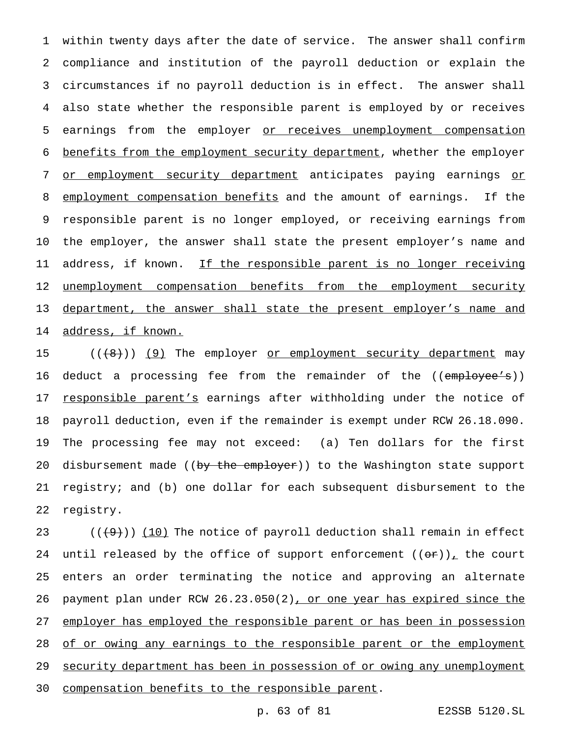1 within twenty days after the date of service. The answer shall confirm 2 compliance and institution of the payroll deduction or explain the 3 circumstances if no payroll deduction is in effect. The answer shall 4 also state whether the responsible parent is employed by or receives 5 earnings from the employer or receives unemployment compensation 6 benefits from the employment security department, whether the employer 7 or employment security department anticipates paying earnings or 8 employment compensation benefits and the amount of earnings. If the 9 responsible parent is no longer employed, or receiving earnings from 10 the employer, the answer shall state the present employer's name and 11 address, if known. If the responsible parent is no longer receiving 12 unemployment compensation benefits from the employment security 13 department, the answer shall state the present employer's name and 14 address, if known.

15 ((<del>(8)</del>)) <u>(9)</u> The employer <u>or employment security department</u> may 16 deduct a processing fee from the remainder of the ((employee's)) 17 responsible parent's earnings after withholding under the notice of 18 payroll deduction, even if the remainder is exempt under RCW 26.18.090. 19 The processing fee may not exceed: (a) Ten dollars for the first 20 disbursement made ((by the employer)) to the Washington state support 21 registry; and (b) one dollar for each subsequent disbursement to the 22 registry.

23  $((+9))$   $(10)$  The notice of payroll deduction shall remain in effect 24 until released by the office of support enforcement  $((\Theta \cdot \mathbf{r}))$ , the court 25 enters an order terminating the notice and approving an alternate 26 payment plan under RCW 26.23.050(2), or one year has expired since the 27 employer has employed the responsible parent or has been in possession 28 of or owing any earnings to the responsible parent or the employment 29 security department has been in possession of or owing any unemployment 30 compensation benefits to the responsible parent.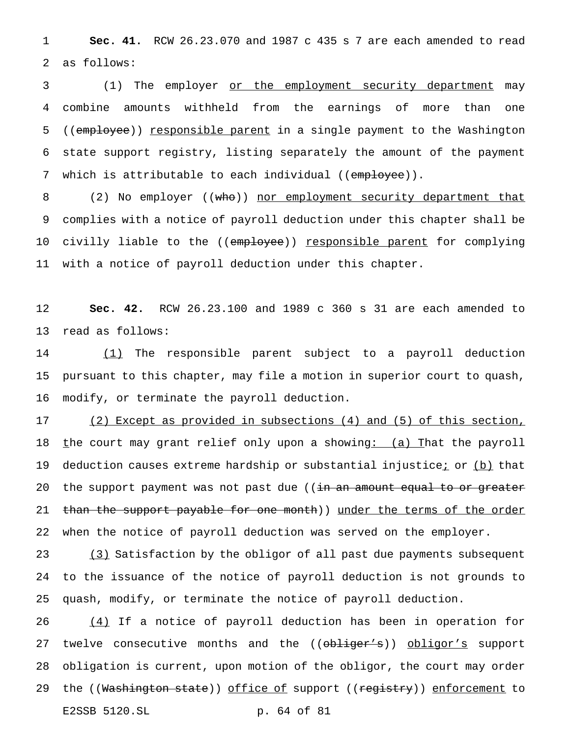**Sec. 41.** RCW 26.23.070 and 1987 c 435 s 7 are each amended to read as follows:

 (1) The employer or the employment security department may combine amounts withheld from the earnings of more than one 5 ((employee)) responsible parent in a single payment to the Washington state support registry, listing separately the amount of the payment 7 which is attributable to each individual ((employee)).

8 (2) No employer ((who)) nor employment security department that complies with a notice of payroll deduction under this chapter shall be 10 civilly liable to the ((employee)) responsible parent for complying with a notice of payroll deduction under this chapter.

 **Sec. 42.** RCW 26.23.100 and 1989 c 360 s 31 are each amended to read as follows:

 (1) The responsible parent subject to a payroll deduction pursuant to this chapter, may file a motion in superior court to quash, modify, or terminate the payroll deduction.

 (2) Except as provided in subsections (4) and (5) of this section, 18 the court may grant relief only upon a showing: (a) That the payroll 19 deduction causes extreme hardship or substantial injustice; or (b) that 20 the support payment was not past due ((in an amount equal to or greater 21 than the support payable for one month)) under the terms of the order when the notice of payroll deduction was served on the employer.

 (3) Satisfaction by the obligor of all past due payments subsequent to the issuance of the notice of payroll deduction is not grounds to quash, modify, or terminate the notice of payroll deduction.

 (4) If a notice of payroll deduction has been in operation for 27 twelve consecutive months and the ((obliger's)) obligor's support obligation is current, upon motion of the obligor, the court may order 29 the ((<del>Washington state</del>)) <u>office of</u> support ((<del>registry</del>)) enforcement to E2SSB 5120.SL p. 64 of 81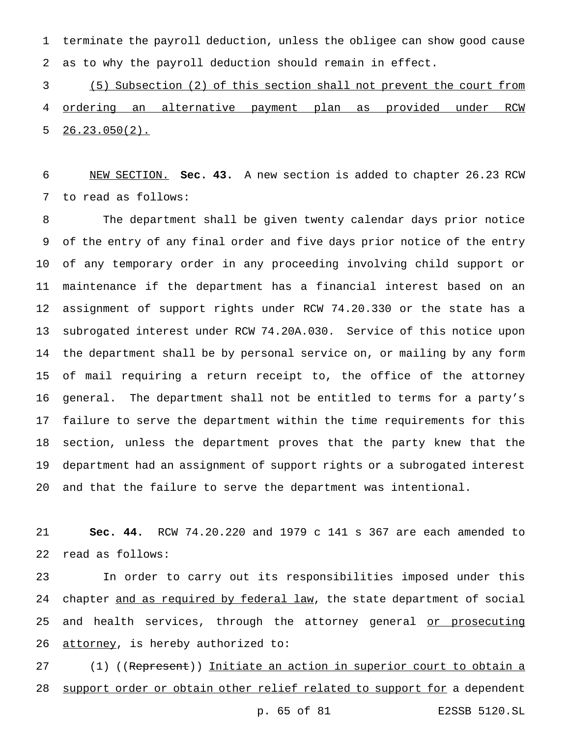terminate the payroll deduction, unless the obligee can show good cause as to why the payroll deduction should remain in effect.

 (5) Subsection (2) of this section shall not prevent the court from ordering an alternative payment plan as provided under RCW  $5 \quad 26.23.050(2)$ .

 NEW SECTION. **Sec. 43.** A new section is added to chapter 26.23 RCW to read as follows:

 The department shall be given twenty calendar days prior notice of the entry of any final order and five days prior notice of the entry of any temporary order in any proceeding involving child support or maintenance if the department has a financial interest based on an assignment of support rights under RCW 74.20.330 or the state has a subrogated interest under RCW 74.20A.030. Service of this notice upon the department shall be by personal service on, or mailing by any form of mail requiring a return receipt to, the office of the attorney general. The department shall not be entitled to terms for a party's failure to serve the department within the time requirements for this section, unless the department proves that the party knew that the department had an assignment of support rights or a subrogated interest and that the failure to serve the department was intentional.

 **Sec. 44.** RCW 74.20.220 and 1979 c 141 s 367 are each amended to read as follows:

 In order to carry out its responsibilities imposed under this 24 chapter and as required by federal law, the state department of social 25 and health services, through the attorney general or prosecuting 26 attorney, is hereby authorized to:

27 (1) ((Represent)) Initiate an action in superior court to obtain a 28 support order or obtain other relief related to support for a dependent

p. 65 of 81 E2SSB 5120.SL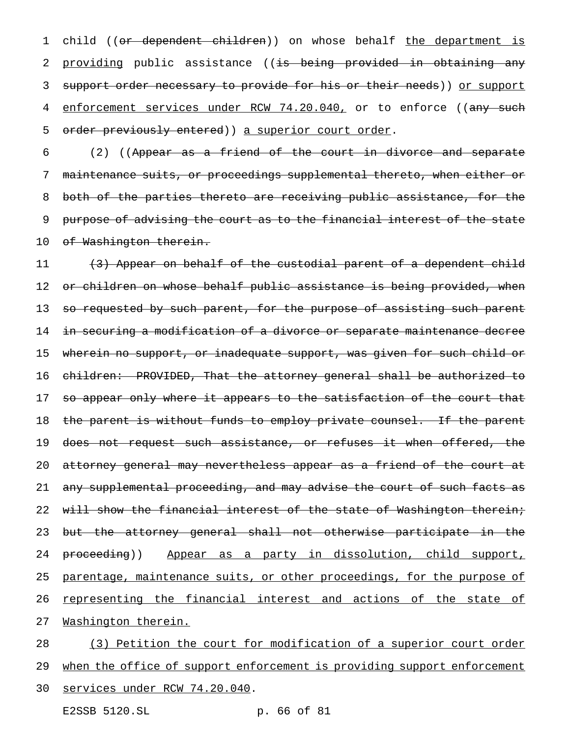1 child ((or dependent children)) on whose behalf the department is 2 providing public assistance ((<del>is being provided in obtaining any</del> 3 support order necessary to provide for his or their needs)) or support 4 enforcement services under RCW 74.20.040, or to enforce ((any such 5 order previously entered)) a superior court order.

6 (2) ((Appear as a friend of the court in divorce and separate 7 maintenance suits, or proceedings supplemental thereto, when either or 8 both of the parties thereto are receiving public assistance, for the 9 purpose of advising the court as to the financial interest of the state 10 of Washington therein.

11 (3) Appear on behalf of the custodial parent of a dependent child 12 o<del>r children on whose behalf public assistance is being provided, when</del> 13 so requested by such parent, for the purpose of assisting such parent 14 in securing a modification of a divorce or separate maintenance decree 15 wherein no support, or inadequate support, was given for such child or 16 children: PROVIDED, That the attorney general shall be authorized to 17 so appear only where it appears to the satisfaction of the court that 18 the parent is without funds to employ private counsel. If the parent 19 does not request such assistance, or refuses it when offered, the 20 attorney general may nevertheless appear as a friend of the court at 21 any supplemental proceeding, and may advise the court of such facts as 22 will show the financial interest of the state of Washington therein; 23 but the attorney general shall not otherwise participate in the 24 proceeding)) Appear as a party in dissolution, child support, 25 parentage, maintenance suits, or other proceedings, for the purpose of 26 representing the financial interest and actions of the state of 27 Washington therein.

28 (3) Petition the court for modification of a superior court order 29 when the office of support enforcement is providing support enforcement 30 services under RCW 74.20.040.

E2SSB 5120.SL p. 66 of 81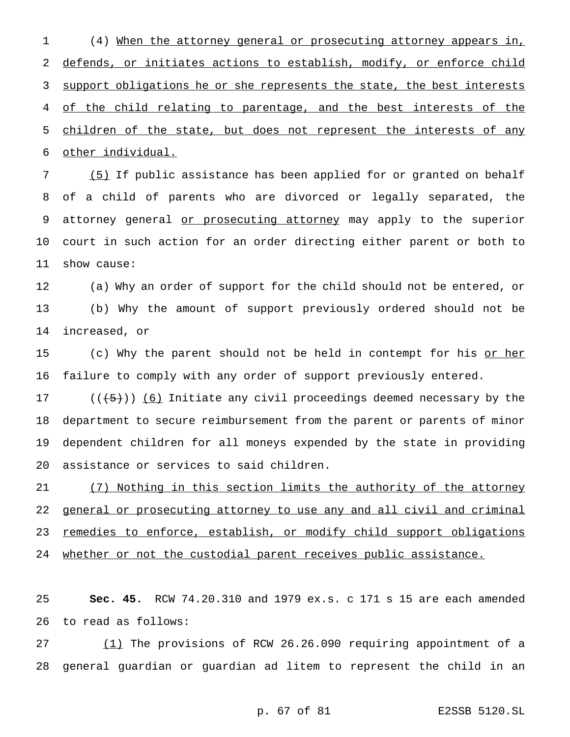(4) When the attorney general or prosecuting attorney appears in, 2 defends, or initiates actions to establish, modify, or enforce child 3 support obligations he or she represents the state, the best interests of the child relating to parentage, and the best interests of the 5 children of the state, but does not represent the interests of any other individual.

 (5) If public assistance has been applied for or granted on behalf of a child of parents who are divorced or legally separated, the 9 attorney general or prosecuting attorney may apply to the superior court in such action for an order directing either parent or both to show cause:

 (a) Why an order of support for the child should not be entered, or (b) Why the amount of support previously ordered should not be increased, or

15 (c) Why the parent should not be held in contempt for his or her failure to comply with any order of support previously entered.

 $((+5))$   $(6)$  Initiate any civil proceedings deemed necessary by the department to secure reimbursement from the parent or parents of minor dependent children for all moneys expended by the state in providing assistance or services to said children.

 (7) Nothing in this section limits the authority of the attorney general or prosecuting attorney to use any and all civil and criminal 23 remedies to enforce, establish, or modify child support obligations whether or not the custodial parent receives public assistance.

 **Sec. 45.** RCW 74.20.310 and 1979 ex.s. c 171 s 15 are each amended to read as follows:

 (1) The provisions of RCW 26.26.090 requiring appointment of a general guardian or guardian ad litem to represent the child in an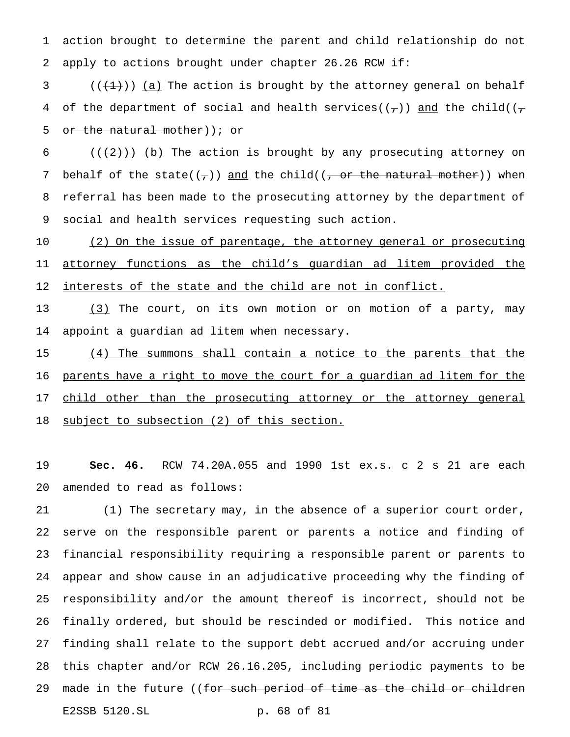action brought to determine the parent and child relationship do not apply to actions brought under chapter 26.26 RCW if:

3  $((+1))$  (a) The action is brought by the attorney general on behalf 4 of the department of social and health services( $(\tau)$ ) and the child( $(\tau)$ 5 or the natural mother) ; or

 $((+2))$  (b) The action is brought by any prosecuting attorney on 7 behalf of the state( $(\tau)$ ) and the child( $(\tau)$  or the natural mother)) when referral has been made to the prosecuting attorney by the department of social and health services requesting such action.

10 (2) On the issue of parentage, the attorney general or prosecuting 11 attorney functions as the child's guardian ad litem provided the 12 <u>interests of the state and the child are not in conflict.</u>

 (3) The court, on its own motion or on motion of a party, may appoint a guardian ad litem when necessary.

 (4) The summons shall contain a notice to the parents that the parents have a right to move the court for a guardian ad litem for the 17 child other than the prosecuting attorney or the attorney general subject to subsection (2) of this section.

 **Sec. 46.** RCW 74.20A.055 and 1990 1st ex.s. c 2 s 21 are each amended to read as follows:

 (1) The secretary may, in the absence of a superior court order, serve on the responsible parent or parents a notice and finding of financial responsibility requiring a responsible parent or parents to appear and show cause in an adjudicative proceeding why the finding of responsibility and/or the amount thereof is incorrect, should not be finally ordered, but should be rescinded or modified. This notice and finding shall relate to the support debt accrued and/or accruing under this chapter and/or RCW 26.16.205, including periodic payments to be 29 made in the future ((<del>for such period of time as the child or children</del> E2SSB 5120.SL p. 68 of 81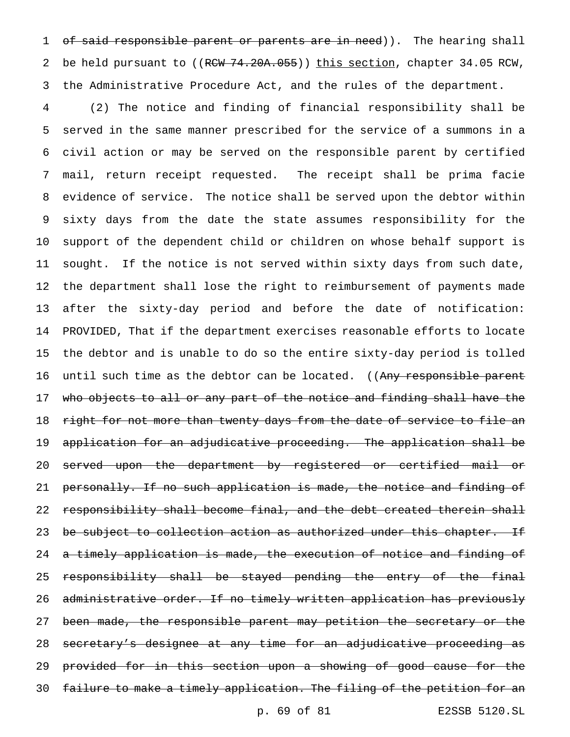1 of said responsible parent or parents are in need)). The hearing shall 2 be held pursuant to ((RCW 74.20A.055)) this section, chapter 34.05 RCW, the Administrative Procedure Act, and the rules of the department.

 (2) The notice and finding of financial responsibility shall be served in the same manner prescribed for the service of a summons in a civil action or may be served on the responsible parent by certified mail, return receipt requested. The receipt shall be prima facie evidence of service. The notice shall be served upon the debtor within sixty days from the date the state assumes responsibility for the support of the dependent child or children on whose behalf support is sought. If the notice is not served within sixty days from such date, the department shall lose the right to reimbursement of payments made after the sixty-day period and before the date of notification: PROVIDED, That if the department exercises reasonable efforts to locate the debtor and is unable to do so the entire sixty-day period is tolled 16 until such time as the debtor can be located. ((Any responsible parent who objects to all or any part of the notice and finding shall have the 18 right for not more than twenty days from the date of service to file an application for an adjudicative proceeding. The application shall be served upon the department by registered or certified mail or 21 personally. If no such application is made, the notice and finding of 22 responsibility shall become final, and the debt created therein shall 23 be subject to collection action as authorized under this chapter. If 24 a timely application is made, the execution of notice and finding of responsibility shall be stayed pending the entry of the final administrative order. If no timely written application has previously 27 been made, the responsible parent may petition the secretary or the 28 secretary's designee at any time for an adjudicative proceeding as provided for in this section upon a showing of good cause for the failure to make a timely application. The filing of the petition for an

p. 69 of 81 E2SSB 5120.SL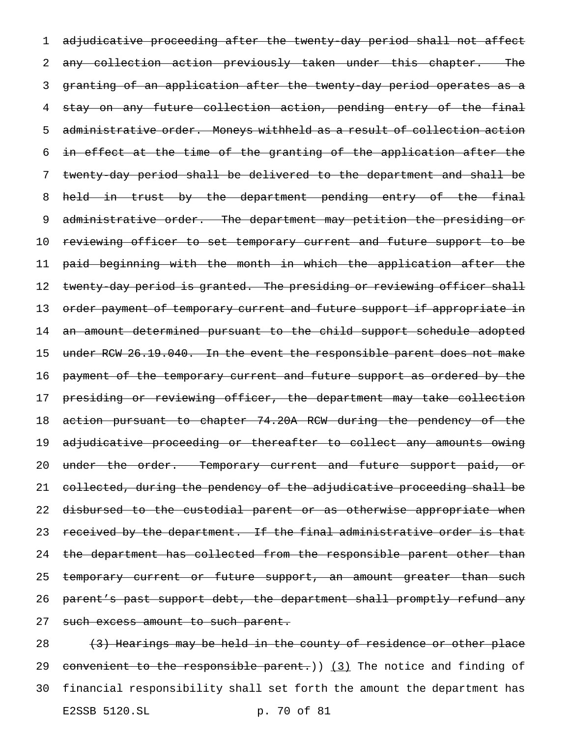1 adjudicative proceeding after the twenty-day period shall not affect 2 any collection action previously taken under this chapter. The 3 granting of an application after the twenty-day period operates as a 4 stay on any future collection action, pending entry of the final 5 administrative order. Moneys withheld as a result of collection action 6 in effect at the time of the granting of the application after the 7 twenty-day period shall be delivered to the department and shall be 8 held in trust by the department pending entry of the final 9 administrative order. The department may petition the presiding or 10 reviewing officer to set temporary current and future support to be 11 paid beginning with the month in which the application after the 12 twenty-day period is granted. The presiding or reviewing officer shall 13 order payment of temporary current and future support if appropriate in 14 an amount determined pursuant to the child support schedule adopted 15 under RCW 26.19.040. In the event the responsible parent does not make 16 payment of the temporary current and future support as ordered by the 17 presiding or reviewing officer, the department may take collection 18 action pursuant to chapter 74.20A RCW during the pendency of the 19 adjudicative proceeding or thereafter to collect any amounts owing 20 under the order. Temporary current and future support paid, or 21 collected, during the pendency of the adjudicative proceeding shall be 22 disbursed to the custodial parent or as otherwise appropriate when 23 received by the department. If the final administrative order is that 24 the department has collected from the responsible parent other than 25 temporary current or future support, an amount greater than such 26 parent's past support debt, the department shall promptly refund any 27 such excess amount to such parent.

28 (3) Hearings may be held in the county of residence or other place 29 convenient to the responsible parent.)) (3) The notice and finding of 30 financial responsibility shall set forth the amount the department has E2SSB 5120.SL p. 70 of 81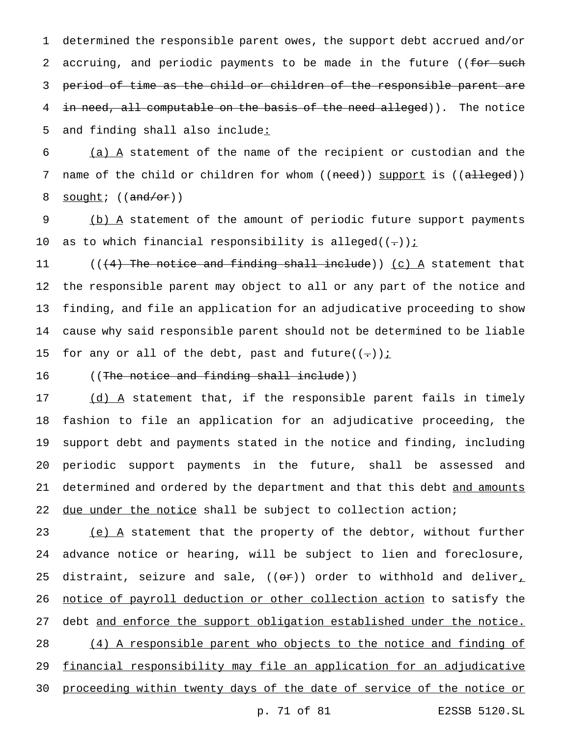1 determined the responsible parent owes, the support debt accrued and/or 2 accruing, and periodic payments to be made in the future ((for such 3 period of time as the child or children of the responsible parent are 4 in need, all computable on the basis of the need alleged)). The notice 5 and finding shall also include:

 $6$  (a)  $A$  statement of the name of the recipient or custodian and the 7 name of the child or children for whom ((need)) support is ((alleged)) 8 sought;  $((and/or))$ 

9 (b) A statement of the amount of periodic future support payments 10 as to which financial responsibility is alleged( $(-)$ );

 $((4)$  The notice and finding shall include)) (c) A statement that the responsible parent may object to all or any part of the notice and finding, and file an application for an adjudicative proceeding to show cause why said responsible parent should not be determined to be liable 15 for any or all of the debt, past and future $((-))$  *i* 

16 ((The notice and finding shall include))

17 (d) A statement that, if the responsible parent fails in timely 18 fashion to file an application for an adjudicative proceeding, the 19 support debt and payments stated in the notice and finding, including 20 periodic support payments in the future, shall be assessed and 21 determined and ordered by the department and that this debt and amounts 22 due under the notice shall be subject to collection action;

23 (e) A statement that the property of the debtor, without further 24 advance notice or hearing, will be subject to lien and foreclosure, 25 distraint, seizure and sale,  $($   $(\theta \cdot \hat{r})$  order to withhold and deliver, 26 notice of payroll deduction or other collection action to satisfy the 27 debt and enforce the support obligation established under the notice. 28 (4) A responsible parent who objects to the notice and finding of 29 financial responsibility may file an application for an adjudicative 30 proceeding within twenty days of the date of service of the notice or

p. 71 of 81 E2SSB 5120.SL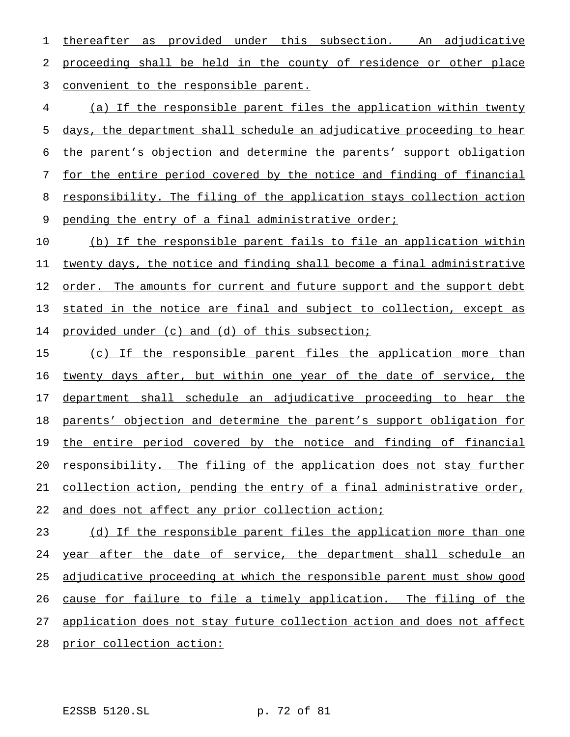1 thereafter as provided under this subsection. An adjudicative proceeding shall be held in the county of residence or other place convenient to the responsible parent.

 (a) If the responsible parent files the application within twenty days, the department shall schedule an adjudicative proceeding to hear the parent's objection and determine the parents' support obligation for the entire period covered by the notice and finding of financial responsibility. The filing of the application stays collection action pending the entry of a final administrative order;

 (b) If the responsible parent fails to file an application within twenty days, the notice and finding shall become a final administrative 12 order. The amounts for current and future support and the support debt 13 stated in the notice are final and subject to collection, except as provided under (c) and (d) of this subsection;

 (c) If the responsible parent files the application more than twenty days after, but within one year of the date of service, the 17 department shall schedule an adjudicative proceeding to hear the parents' objection and determine the parent's support obligation for the entire period covered by the notice and finding of financial 20 responsibility. The filing of the application does not stay further collection action, pending the entry of a final administrative order, 22 and does not affect any prior collection action;

23 (d) If the responsible parent files the application more than one year after the date of service, the department shall schedule an adjudicative proceeding at which the responsible parent must show good 26 cause for failure to file a timely application. The filing of the application does not stay future collection action and does not affect prior collection action: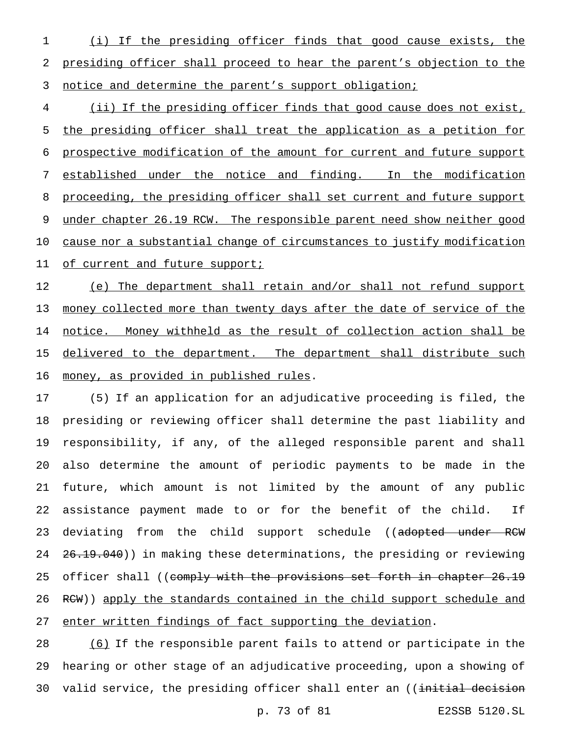(i) If the presiding officer finds that good cause exists, the presiding officer shall proceed to hear the parent's objection to the 3 notice and determine the parent's support obligation;

 (ii) If the presiding officer finds that good cause does not exist, the presiding officer shall treat the application as a petition for prospective modification of the amount for current and future support established under the notice and finding. In the modification 8 proceeding, the presiding officer shall set current and future support under chapter 26.19 RCW. The responsible parent need show neither good cause nor a substantial change of circumstances to justify modification 11 of current and future support;

12 (e) The department shall retain and/or shall not refund support money collected more than twenty days after the date of service of the notice. Money withheld as the result of collection action shall be 15 delivered to the department. The department shall distribute such 16 money, as provided in published rules.

 (5) If an application for an adjudicative proceeding is filed, the presiding or reviewing officer shall determine the past liability and responsibility, if any, of the alleged responsible parent and shall also determine the amount of periodic payments to be made in the future, which amount is not limited by the amount of any public assistance payment made to or for the benefit of the child. If 23 deviating from the child support schedule ((adopted under RCW 24 26.19.040)) in making these determinations, the presiding or reviewing 25 officer shall ((comply with the provisions set forth in chapter 26.19 26 RCW)) apply the standards contained in the child support schedule and enter written findings of fact supporting the deviation.

 (6) If the responsible parent fails to attend or participate in the hearing or other stage of an adjudicative proceeding, upon a showing of 30 valid service, the presiding officer shall enter an ((<del>initial decision</del>

p. 73 of 81 E2SSB 5120.SL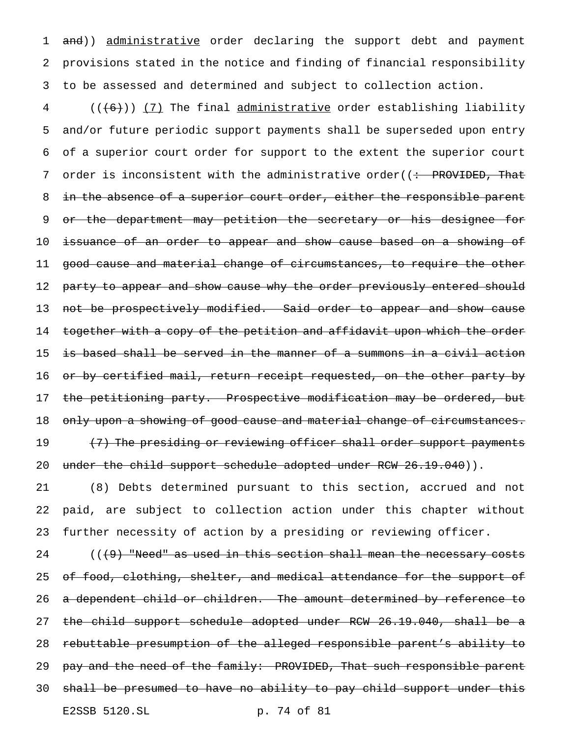1 and)) administrative order declaring the support debt and payment 2 provisions stated in the notice and finding of financial responsibility 3 to be assessed and determined and subject to collection action.

 $4$  (( $(6)$ )) (7) The final administrative order establishing liability 5 and/or future periodic support payments shall be superseded upon entry 6 of a superior court order for support to the extent the superior court 7 order is inconsistent with the administrative order( $\left( \div \text{ PROVIDED, That} \right)$ 8 in the absence of a superior court order, either the responsible parent 9 or the department may petition the secretary or his designee for 10 <del>issuance of an order to appear and show cause based on a showing of</del> 11 good cause and material change of circumstances, to require the other 12 party to appear and show cause why the order previously entered should 13 not be prospectively modified. Said order to appear and show cause 14 together with a copy of the petition and affidavit upon which the order 15 is based shall be served in the manner of a summons in a civil action 16 o<del>r by certified mail, return receipt requested, on the other party by</del> 17 the petitioning party. Prospective modification may be ordered, but 18 only upon a showing of good cause and material change of circumstances. 19 (<del>7) The presiding or reviewing officer shall order support payments</del> 20 under the child support schedule adopted under RCW 26.19.040)).

21 (8) Debts determined pursuant to this section, accrued and not 22 paid, are subject to collection action under this chapter without 23 further necessity of action by a presiding or reviewing officer.

 $($   $($   $\{$   $\}$   $)$  "Need" as used in this section shall mean the necessary costs 25 of food, clothing, shelter, and medical attendance for the support of a dependent child or children. The amount determined by reference to the child support schedule adopted under RCW 26.19.040, shall be a rebuttable presumption of the alleged responsible parent's ability to 29 pay and the need of the family: PROVIDED, That such responsible parent shall be presumed to have no ability to pay child support under this E2SSB 5120.SL p. 74 of 81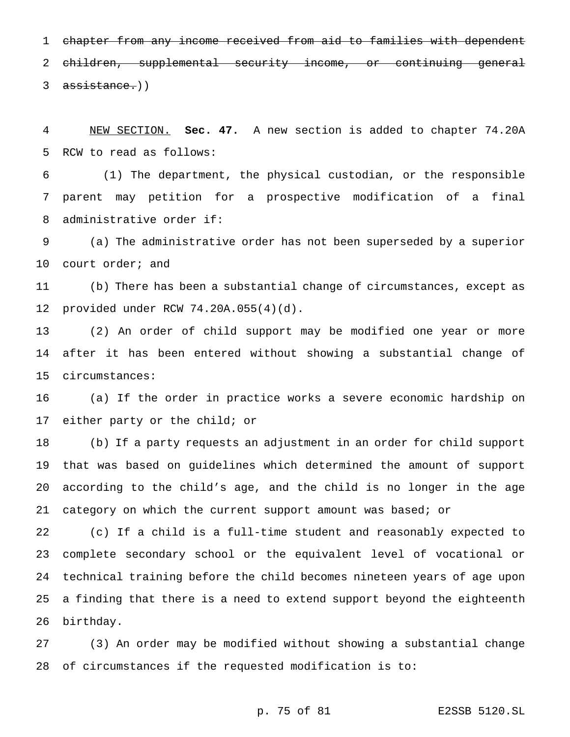chapter from any income received from aid to families with dependent children, supplemental security income, or continuing general 3 assistance.))

 NEW SECTION. **Sec. 47.** A new section is added to chapter 74.20A RCW to read as follows:

 (1) The department, the physical custodian, or the responsible parent may petition for a prospective modification of a final administrative order if:

 (a) The administrative order has not been superseded by a superior court order; and

 (b) There has been a substantial change of circumstances, except as provided under RCW 74.20A.055(4)(d).

 (2) An order of child support may be modified one year or more after it has been entered without showing a substantial change of circumstances:

 (a) If the order in practice works a severe economic hardship on either party or the child; or

 (b) If a party requests an adjustment in an order for child support that was based on guidelines which determined the amount of support according to the child's age, and the child is no longer in the age category on which the current support amount was based; or

 (c) If a child is a full-time student and reasonably expected to complete secondary school or the equivalent level of vocational or technical training before the child becomes nineteen years of age upon a finding that there is a need to extend support beyond the eighteenth birthday.

 (3) An order may be modified without showing a substantial change of circumstances if the requested modification is to:

p. 75 of 81 E2SSB 5120.SL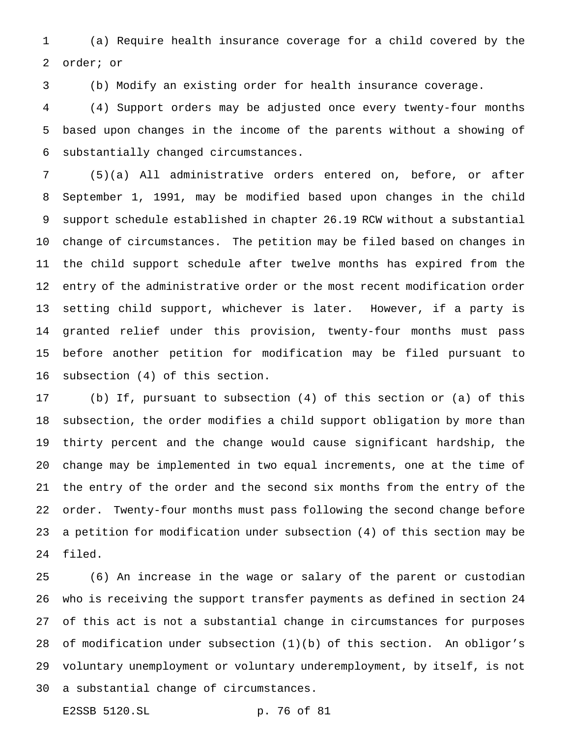(a) Require health insurance coverage for a child covered by the order; or

(b) Modify an existing order for health insurance coverage.

 (4) Support orders may be adjusted once every twenty-four months based upon changes in the income of the parents without a showing of substantially changed circumstances.

 (5)(a) All administrative orders entered on, before, or after September 1, 1991, may be modified based upon changes in the child support schedule established in chapter 26.19 RCW without a substantial change of circumstances. The petition may be filed based on changes in the child support schedule after twelve months has expired from the entry of the administrative order or the most recent modification order setting child support, whichever is later. However, if a party is granted relief under this provision, twenty-four months must pass before another petition for modification may be filed pursuant to subsection (4) of this section.

 (b) If, pursuant to subsection (4) of this section or (a) of this subsection, the order modifies a child support obligation by more than thirty percent and the change would cause significant hardship, the change may be implemented in two equal increments, one at the time of the entry of the order and the second six months from the entry of the order. Twenty-four months must pass following the second change before a petition for modification under subsection (4) of this section may be filed.

 (6) An increase in the wage or salary of the parent or custodian who is receiving the support transfer payments as defined in section 24 of this act is not a substantial change in circumstances for purposes of modification under subsection (1)(b) of this section. An obligor's voluntary unemployment or voluntary underemployment, by itself, is not a substantial change of circumstances.

E2SSB 5120.SL p. 76 of 81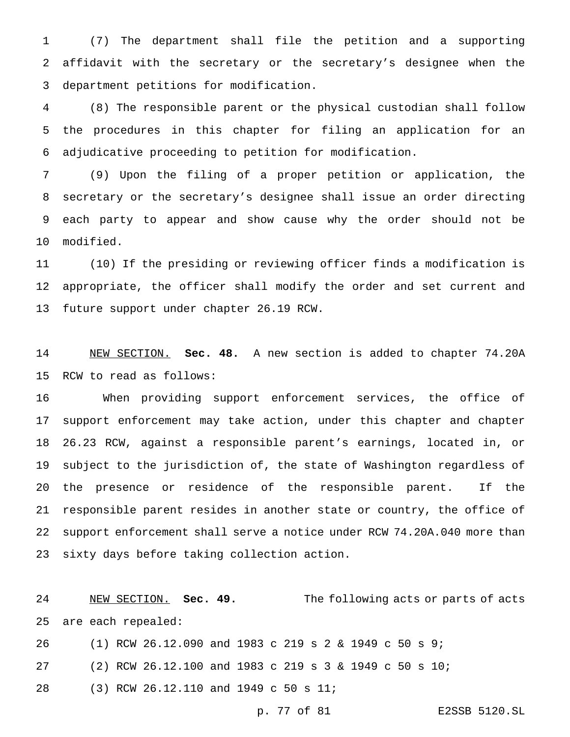(7) The department shall file the petition and a supporting affidavit with the secretary or the secretary's designee when the department petitions for modification.

 (8) The responsible parent or the physical custodian shall follow the procedures in this chapter for filing an application for an adjudicative proceeding to petition for modification.

 (9) Upon the filing of a proper petition or application, the secretary or the secretary's designee shall issue an order directing each party to appear and show cause why the order should not be modified.

 (10) If the presiding or reviewing officer finds a modification is appropriate, the officer shall modify the order and set current and future support under chapter 26.19 RCW.

 NEW SECTION. **Sec. 48.** A new section is added to chapter 74.20A RCW to read as follows:

 When providing support enforcement services, the office of support enforcement may take action, under this chapter and chapter 26.23 RCW, against a responsible parent's earnings, located in, or subject to the jurisdiction of, the state of Washington regardless of the presence or residence of the responsible parent. If the responsible parent resides in another state or country, the office of support enforcement shall serve a notice under RCW 74.20A.040 more than sixty days before taking collection action.

 NEW SECTION. **Sec. 49.** The following acts or parts of acts are each repealed:

 (1) RCW 26.12.090 and 1983 c 219s2& 1949 c 50 s 9; (2) RCW 26.12.100 and 1983 c 219s3& 1949 c 50 s 10; (3) RCW 26.12.110 and 1949 c 50 s 11;

p. 77 of 81 E2SSB 5120.SL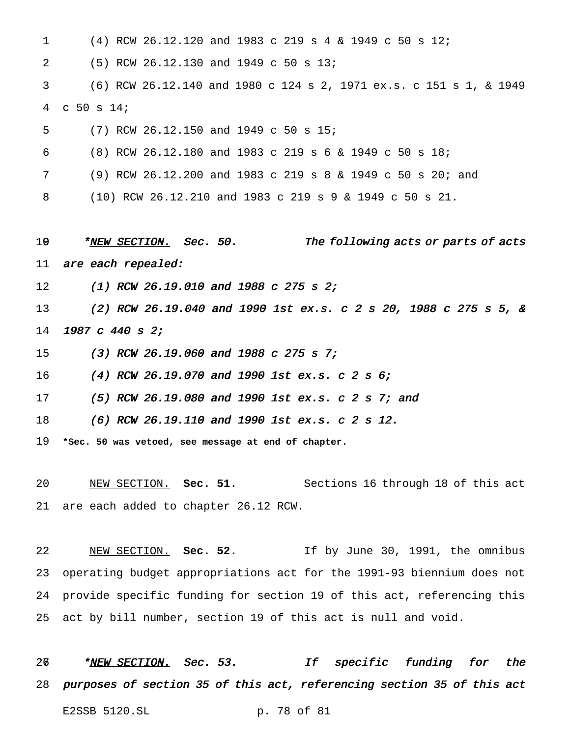| $\mathbf 1$ | (4) RCW 26.12.120 and 1983 c 219 s 4 & 1949 c 50 s 12;                |
|-------------|-----------------------------------------------------------------------|
| 2           | (5) RCW 26.12.130 and 1949 c 50 s 13;                                 |
| 3           | (6) RCW 26.12.140 and 1980 c 124 s 2, 1971 ex.s. c 151 s 1, & 1949    |
| 4           | $C$ 50 s 14;                                                          |
| 5           | (7) RCW 26.12.150 and 1949 c 50 s 15;                                 |
| 6           | (8) RCW 26.12.180 and 1983 c 219 s 6 & 1949 c 50 s 18;                |
| 7           | (9) RCW 26.12.200 and 1983 c 219 s 8 & 1949 c 50 s 20; and            |
| 8           | (10) RCW 26.12.210 and 1983 c 219 s 9 & 1949 c 50 s 21.               |
|             |                                                                       |
| 19          | * <u>NEW SECTION.</u> Sec. 50.<br>The following acts or parts of acts |
| 11          | are each repealed:                                                    |
| 12          | $(1)$ RCW 26.19.010 and 1988 c 275 s 2;                               |
| 13          | (2) RCW 26.19.040 and 1990 1st ex.s. c 2 s 20, 1988 c 275 s 5, &      |
| 14          | 1987 c 440 s 2;                                                       |
| 15          | $(3)$ RCW 26.19.060 and 1988 c 275 s 7;                               |
| 16          | (4) RCW 26.19.070 and 1990 1st ex.s. c 2 s 6;                         |
| 17          | (5) RCW 26.19.080 and 1990 1st ex.s. c 2 s 7; and                     |
| 18          | (6) RCW 26.19.110 and 1990 1st ex.s. $c$ 2 s 12.                      |
| 19          | *Sec. 50 was vetoed, see message at end of chapter.                   |
|             |                                                                       |

are each added to chapter 26.12 RCW.

 NEW SECTION. **Sec. 52.** If by June 30, 1991, the omnibus operating budget appropriations act for the 1991-93 biennium does not provide specific funding for section 19 of this act, referencing this act by bill number, section 19 of this act is null and void.

26 \*NEW SECTION. Sec. 53. If specific funding for the purposes of section <sup>35</sup> of this act, referencing section <sup>35</sup> of this act E2SSB 5120.SL p. 78 of 81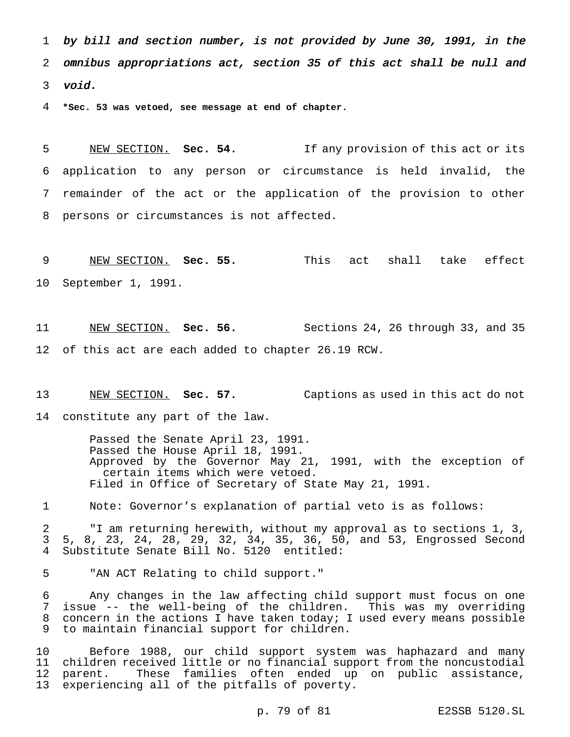by bill and section number, is not provided by June 30, 1991, in the omnibus appropriations act, section <sup>35</sup> of this act shall be null and void.

**\*Sec. 53 was vetoed, see message at end of chapter.**

 NEW SECTION. **Sec. 54.** If any provision of this act or its application to any person or circumstance is held invalid, the remainder of the act or the application of the provision to other persons or circumstances is not affected.

 NEW SECTION. **Sec. 55.** This act shall take effect September 1, 1991.

11 NEW SECTION. **Sec. 56.** Sections 24, 26 through 33, and 35 of this act are each added to chapter 26.19 RCW.

 NEW SECTION. **Sec. 57.** Captions as used in this act do not constitute any part of the law.

> Passed the Senate April 23, 1991. Passed the House April 18, 1991. Approved by the Governor May 21, 1991, with the exception of certain items which were vetoed. Filed in Office of Secretary of State May 21, 1991.

Note: Governor's explanation of partial veto is as follows:

 "I am returning herewith, without my approval as to sections 1, 3, 5, 8, 23, 24, 28, 29, 32, 34, 35, 36, 50, and 53, Engrossed Second Substitute Senate Bill No. 5120 entitled:

"AN ACT Relating to child support."

 Any changes in the law affecting child support must focus on one issue -- the well-being of the children. This was my overriding 8 concern in the actions I have taken today; I used every means possible to maintain financial support for children.

 Before 1988, our child support system was haphazard and many children received little or no financial support from the noncustodial parent. These families often ended up on public assistance, experiencing all of the pitfalls of poverty.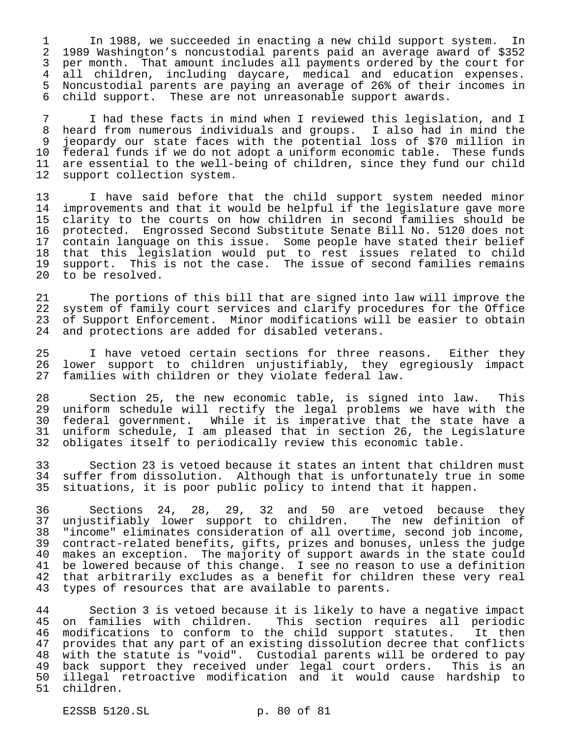In 1988, we succeeded in enacting a new child support system. In 1989 Washington's noncustodial parents paid an average award of \$352 per month. That amount includes all payments ordered by the court for all children, including daycare, medical and education expenses. 5 Noncustodial parents are paying an average of 26% of their incomes in<br>6 child support. These are not unreasonable support awards. child support. These are not unreasonable support awards.

 I had these facts in mind when I reviewed this legislation, and I heard from numerous individuals and groups. I also had in mind the jeopardy our state faces with the potential loss of \$70 million in 10 federal funds if we do not adopt a uniform economic table. These funds<br>11 are essential to the well-being of children, since they fund our child are essential to the well-being of children, since they fund our child support collection system.

 I have said before that the child support system needed minor 14 improvements and that it would be helpful if the legislature gave more<br>15 clarity to the courts on how children in second families should be clarity to the courts on how children in second families should be protected. Engrossed Second Substitute Senate Bill No. 5120 does not contain language on this issue. Some people have stated their belief that this legislation would put to rest issues related to child 19 support. This is not the case. The issue of second families remains<br>20 to be resolved. to be resolved.

 The portions of this bill that are signed into law will improve the system of family court services and clarify procedures for the Office of Support Enforcement. Minor modifications will be easier to obtain and protections are added for disabled veterans.

 I have vetoed certain sections for three reasons. Either they lower support to children unjustifiably, they egregiously impact families with children or they violate federal law.

 Section 25, the new economic table, is signed into law. This uniform schedule will rectify the legal problems we have with the federal government. While it is imperative that the state have a uniform schedule, I am pleased that in section 26, the Legislature obligates itself to periodically review this economic table.

33 Section 23 is vetoed because it states an intent that children must<br>34 suffer from dissolution. Although that is unfortunately true in some 34 suffer from dissolution. Although that is unfortunately true in some<br>35 situations, it is poor public policy to intend that it happen. situations, it is poor public policy to intend that it happen.

 Sections 24, 28, 29, 32 and 50 are vetoed because they unjustifiably lower support to children. The new definition of "income" eliminates consideration of all overtime, second job income, contract-related benefits, gifts, prizes and bonuses, unless the judge makes an exception. The majority of support awards in the state could be lowered because of this change. I see no reason to use a definition 42 that arbitrarily excludes as a benefit for children these very real<br>43 types of resources that are available to parents. types of resources that are available to parents.

44 Section 3 is vetoed because it is likely to have a negative impact<br>45 on families with children. This section requires all periodic on families with children. This section requires all periodic modifications to conform to the child support statutes. It then provides that any part of an existing dissolution decree that conflicts with the statute is "void". Custodial parents will be ordered to pay back support they received under legal court orders. This is an illegal retroactive modification and it would cause hardship to children.